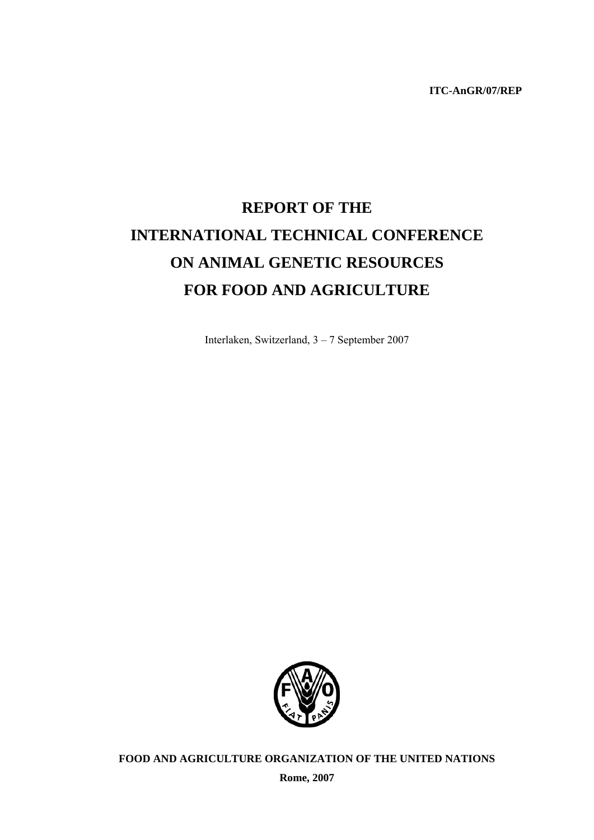**ITC-AnGR/07/REP** 

# **REPORT OF THE INTERNATIONAL TECHNICAL CONFERENCE ON ANIMAL GENETIC RESOURCES FOR FOOD AND AGRICULTURE**

Interlaken, Switzerland, 3 – 7 September 2007



**FOOD AND AGRICULTURE ORGANIZATION OF THE UNITED NATIONS** 

**Rome, 2007**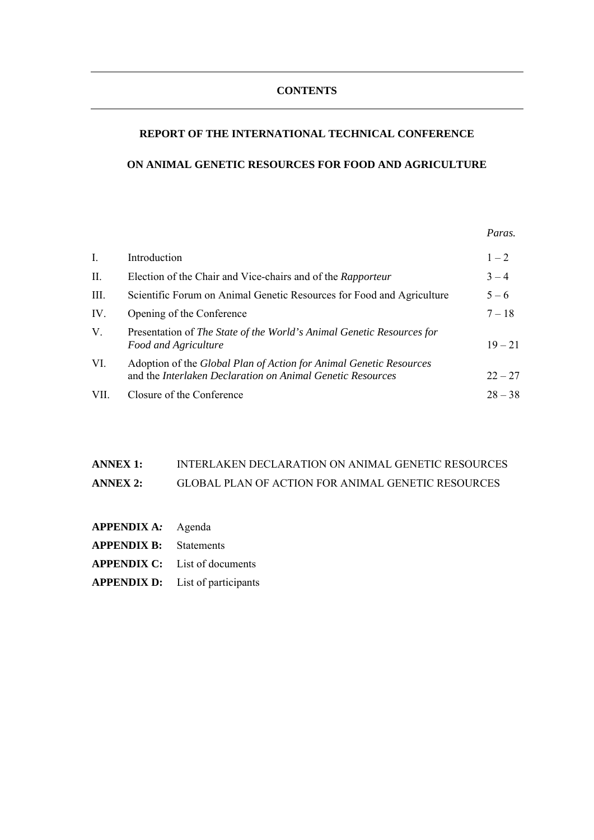### **CONTENTS**

# **REPORT OF THE INTERNATIONAL TECHNICAL CONFERENCE**

# **ON ANIMAL GENETIC RESOURCES FOR FOOD AND AGRICULTURE**

 *Paras.*

| $\mathbf{I}$ . | Introduction                                                                                                                     | $1 - 2$   |
|----------------|----------------------------------------------------------------------------------------------------------------------------------|-----------|
| II.            | Election of the Chair and Vice-chairs and of the Rapporteur                                                                      | $3 - 4$   |
| III.           | Scientific Forum on Animal Genetic Resources for Food and Agriculture                                                            | $5 - 6$   |
| IV.            | Opening of the Conference                                                                                                        | $7 - 18$  |
| V.             | Presentation of The State of the World's Animal Genetic Resources for<br>Food and Agriculture                                    | $19 - 21$ |
| VI.            | Adoption of the Global Plan of Action for Animal Genetic Resources<br>and the Interlaken Declaration on Animal Genetic Resources | $22 - 27$ |
| VII.           | Closure of the Conference                                                                                                        | $28 - 38$ |

# **ANNEX 1:** INTERLAKEN DECLARATION ON ANIMAL GENETIC RESOURCES **ANNEX 2:** GLOBAL PLAN OF ACTION FOR ANIMAL GENETIC RESOURCES

- **APPENDIX A***:*Agenda
- **APPENDIX B:** Statements
- **APPENDIX C:** List of documents
- **APPENDIX D:** List of participants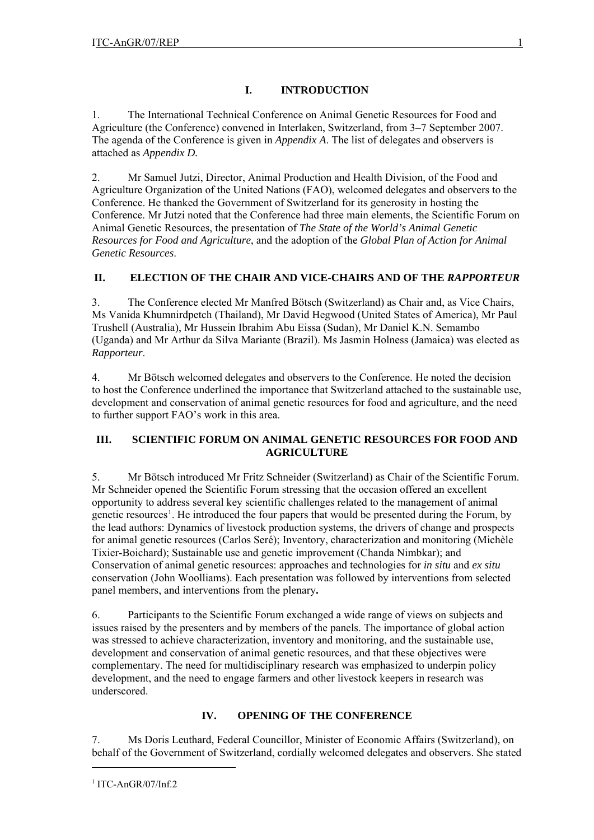# **I. INTRODUCTION**

1. The International Technical Conference on Animal Genetic Resources for Food and Agriculture (the Conference) convened in Interlaken, Switzerland, from 3–7 September 2007. The agenda of the Conference is given in *Appendix A*. The list of delegates and observers is attached as *Appendix D.* 

2. Mr Samuel Jutzi, Director, Animal Production and Health Division, of the Food and Agriculture Organization of the United Nations (FAO), welcomed delegates and observers to the Conference. He thanked the Government of Switzerland for its generosity in hosting the Conference. Mr Jutzi noted that the Conference had three main elements, the Scientific Forum on Animal Genetic Resources, the presentation of *The State of the World's Animal Genetic Resources for Food and Agriculture*, and the adoption of the *Global Plan of Action for Animal Genetic Resources*.

# **II. ELECTION OF THE CHAIR AND VICE-CHAIRS AND OF THE** *RAPPORTEUR*

3. The Conference elected Mr Manfred Bötsch (Switzerland) as Chair and, as Vice Chairs, Ms Vanida Khumnirdpetch (Thailand), Mr David Hegwood (United States of America), Mr Paul Trushell (Australia), Mr Hussein Ibrahim Abu Eissa (Sudan), Mr Daniel K.N. Semambo (Uganda) and Mr Arthur da Silva Mariante (Brazil). Ms Jasmin Holness (Jamaica) was elected as *Rapporteur*.

4. Mr Bötsch welcomed delegates and observers to the Conference. He noted the decision to host the Conference underlined the importance that Switzerland attached to the sustainable use, development and conservation of animal genetic resources for food and agriculture, and the need to further support FAO's work in this area.

# **III. SCIENTIFIC FORUM ON ANIMAL GENETIC RESOURCES FOR FOOD AND AGRICULTURE**

5. Mr Bötsch introduced Mr Fritz Schneider (Switzerland) as Chair of the Scientific Forum. Mr Schneider opened the Scientific Forum stressing that the occasion offered an excellent opportunity to address several key scientific challenges related to the management of animal genetic resources<sup>[1](#page-4-0)</sup>. He introduced the four papers that would be presented during the Forum, by the lead authors: Dynamics of livestock production systems, the drivers of change and prospects for animal genetic resources (Carlos Seré); Inventory, characterization and monitoring (Michèle Tixier-Boichard); Sustainable use and genetic improvement (Chanda Nimbkar); and Conservation of animal genetic resources: approaches and technologies for *in situ* and *ex situ* conservation (John Woolliams). Each presentation was followed by interventions from selected panel members, and interventions from the plenary**.** 

6. Participants to the Scientific Forum exchanged a wide range of views on subjects and issues raised by the presenters and by members of the panels. The importance of global action was stressed to achieve characterization, inventory and monitoring, and the sustainable use, development and conservation of animal genetic resources, and that these objectives were complementary. The need for multidisciplinary research was emphasized to underpin policy development, and the need to engage farmers and other livestock keepers in research was underscored.

# **IV. OPENING OF THE CONFERENCE**

7. Ms Doris Leuthard, Federal Councillor, Minister of Economic Affairs (Switzerland), on behalf of the Government of Switzerland, cordially welcomed delegates and observers. She stated

<span id="page-4-0"></span> $\overline{a}$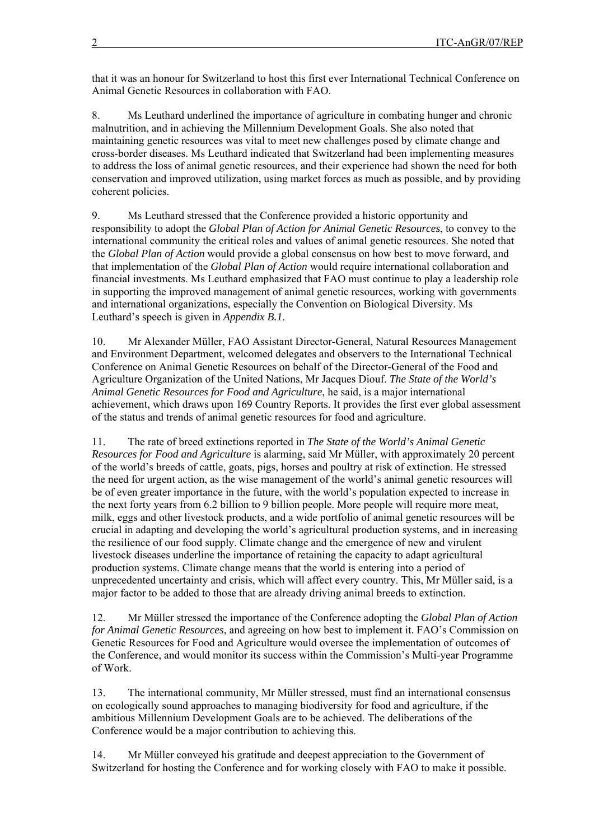that it was an honour for Switzerland to host this first ever International Technical Conference on Animal Genetic Resources in collaboration with FAO.

8. Ms Leuthard underlined the importance of agriculture in combating hunger and chronic malnutrition, and in achieving the Millennium Development Goals. She also noted that maintaining genetic resources was vital to meet new challenges posed by climate change and cross-border diseases. Ms Leuthard indicated that Switzerland had been implementing measures to address the loss of animal genetic resources, and their experience had shown the need for both conservation and improved utilization, using market forces as much as possible, and by providing coherent policies.

9. Ms Leuthard stressed that the Conference provided a historic opportunity and responsibility to adopt the *Global Plan of Action for Animal Genetic Resources*, to convey to the international community the critical roles and values of animal genetic resources. She noted that the *Global Plan of Action* would provide a global consensus on how best to move forward, and that implementation of the *Global Plan of Action* would require international collaboration and financial investments. Ms Leuthard emphasized that FAO must continue to play a leadership role in supporting the improved management of animal genetic resources, working with governments and international organizations, especially the Convention on Biological Diversity. Ms Leuthard's speech is given in *Appendix B.1*.

10. Mr Alexander Müller, FAO Assistant Director-General, Natural Resources Management and Environment Department, welcomed delegates and observers to the International Technical Conference on Animal Genetic Resources on behalf of the Director-General of the Food and Agriculture Organization of the United Nations, Mr Jacques Diouf. *The State of the World's Animal Genetic Resources for Food and Agriculture*, he said, is a major international achievement, which draws upon 169 Country Reports. It provides the first ever global assessment of the status and trends of animal genetic resources for food and agriculture.

11. The rate of breed extinctions reported in *The State of the World's Animal Genetic Resources for Food and Agriculture* is alarming, said Mr Müller, with approximately 20 percent of the world's breeds of cattle, goats, pigs, horses and poultry at risk of extinction. He stressed the need for urgent action, as the wise management of the world's animal genetic resources will be of even greater importance in the future, with the world's population expected to increase in the next forty years from 6.2 billion to 9 billion people. More people will require more meat, milk, eggs and other livestock products, and a wide portfolio of animal genetic resources will be crucial in adapting and developing the world's agricultural production systems, and in increasing the resilience of our food supply. Climate change and the emergence of new and virulent livestock diseases underline the importance of retaining the capacity to adapt agricultural production systems. Climate change means that the world is entering into a period of unprecedented uncertainty and crisis, which will affect every country. This, Mr Müller said, is a major factor to be added to those that are already driving animal breeds to extinction.

12. Mr Müller stressed the importance of the Conference adopting the *Global Plan of Action for Animal Genetic Resources*, and agreeing on how best to implement it. FAO's Commission on Genetic Resources for Food and Agriculture would oversee the implementation of outcomes of the Conference, and would monitor its success within the Commission's Multi-year Programme of Work.

13. The international community, Mr Müller stressed, must find an international consensus on ecologically sound approaches to managing biodiversity for food and agriculture, if the ambitious Millennium Development Goals are to be achieved. The deliberations of the Conference would be a major contribution to achieving this.

14. Mr Müller conveyed his gratitude and deepest appreciation to the Government of Switzerland for hosting the Conference and for working closely with FAO to make it possible.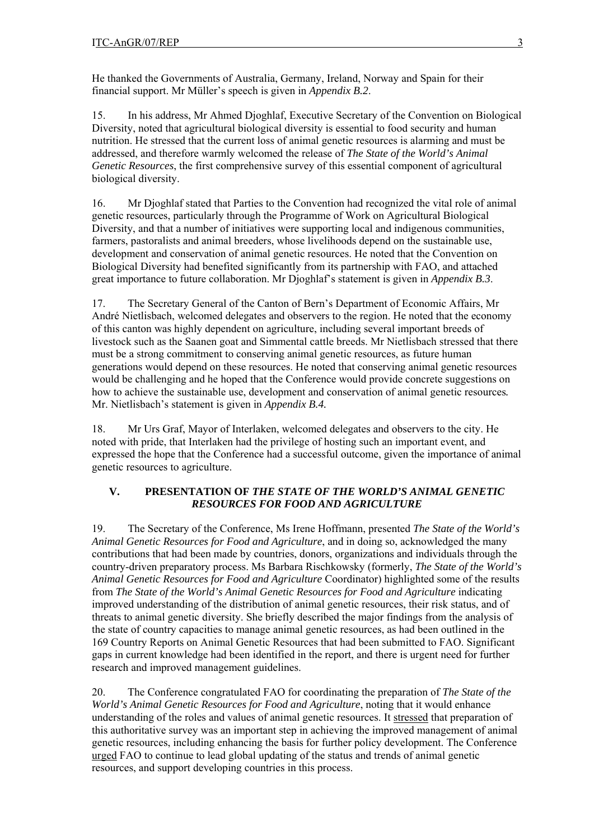He thanked the Governments of Australia, Germany, Ireland, Norway and Spain for their financial support. Mr Müller's speech is given in *Appendix B.2*.

15. In his address, Mr Ahmed Djoghlaf, Executive Secretary of the Convention on Biological Diversity, noted that agricultural biological diversity is essential to food security and human nutrition. He stressed that the current loss of animal genetic resources is alarming and must be addressed, and therefore warmly welcomed the release of *The State of the World's Animal Genetic Resources*, the first comprehensive survey of this essential component of agricultural biological diversity.

16. Mr Djoghlaf stated that Parties to the Convention had recognized the vital role of animal genetic resources, particularly through the Programme of Work on Agricultural Biological Diversity, and that a number of initiatives were supporting local and indigenous communities, farmers, pastoralists and animal breeders, whose livelihoods depend on the sustainable use, development and conservation of animal genetic resources. He noted that the Convention on Biological Diversity had benefited significantly from its partnership with FAO, and attached great importance to future collaboration. Mr Djoghlaf's statement is given in *Appendix B.3*.

17. The Secretary General of the Canton of Bern's Department of Economic Affairs, Mr André Nietlisbach, welcomed delegates and observers to the region. He noted that the economy of this canton was highly dependent on agriculture, including several important breeds of livestock such as the Saanen goat and Simmental cattle breeds. Mr Nietlisbach stressed that there must be a strong commitment to conserving animal genetic resources, as future human generations would depend on these resources. He noted that conserving animal genetic resources would be challenging and he hoped that the Conference would provide concrete suggestions on how to achieve the sustainable use, development and conservation of animal genetic resources*.*  Mr. Nietlisbach's statement is given in *Appendix B.4.* 

18. Mr Urs Graf, Mayor of Interlaken, welcomed delegates and observers to the city. He noted with pride, that Interlaken had the privilege of hosting such an important event, and expressed the hope that the Conference had a successful outcome, given the importance of animal genetic resources to agriculture.

# **V. PRESENTATION OF** *THE STATE OF THE WORLD'S ANIMAL GENETIC RESOURCES FOR FOOD AND AGRICULTURE*

19. The Secretary of the Conference, Ms Irene Hoffmann, presented *The State of the World's Animal Genetic Resources for Food and Agriculture*, and in doing so, acknowledged the many contributions that had been made by countries, donors, organizations and individuals through the country-driven preparatory process. Ms Barbara Rischkowsky (formerly, *The State of the World's Animal Genetic Resources for Food and Agriculture* Coordinator) highlighted some of the results from *The State of the World's Animal Genetic Resources for Food and Agriculture* indicating improved understanding of the distribution of animal genetic resources, their risk status, and of threats to animal genetic diversity. She briefly described the major findings from the analysis of the state of country capacities to manage animal genetic resources, as had been outlined in the 169 Country Reports on Animal Genetic Resources that had been submitted to FAO. Significant gaps in current knowledge had been identified in the report, and there is urgent need for further research and improved management guidelines.

20. The Conference congratulated FAO for coordinating the preparation of *The State of the World's Animal Genetic Resources for Food and Agriculture*, noting that it would enhance understanding of the roles and values of animal genetic resources. It stressed that preparation of this authoritative survey was an important step in achieving the improved management of animal genetic resources, including enhancing the basis for further policy development. The Conference urged FAO to continue to lead global updating of the status and trends of animal genetic resources, and support developing countries in this process.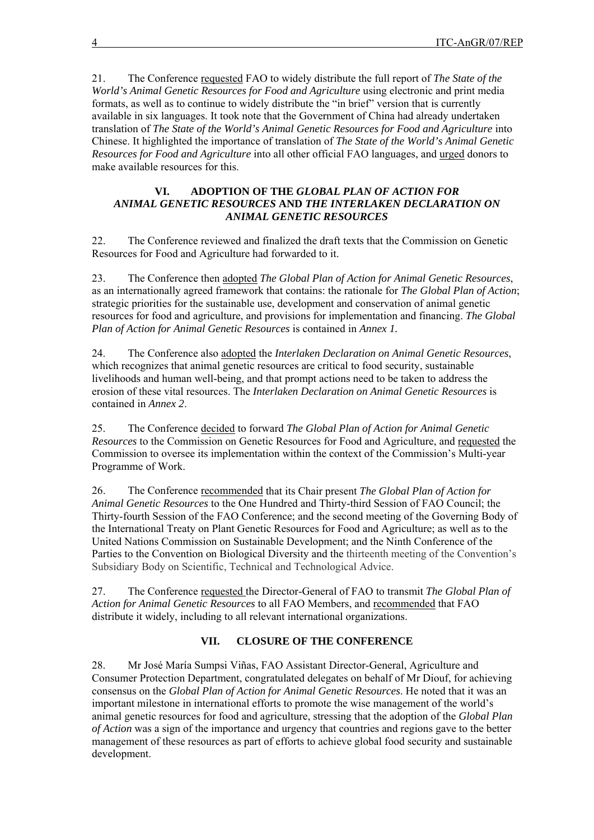21. The Conference requested FAO to widely distribute the full report of *The State of the World's Animal Genetic Resources for Food and Agriculture* using electronic and print media formats, as well as to continue to widely distribute the "in brief" version that is currently available in six languages. It took note that the Government of China had already undertaken translation of *The State of the World's Animal Genetic Resources for Food and Agriculture* into Chinese. It highlighted the importance of translation of *The State of the World's Animal Genetic Resources for Food and Agriculture* into all other official FAO languages, and urged donors to make available resources for this.

#### **VI. ADOPTION OF THE** *GLOBAL PLAN OF ACTION FOR ANIMAL GENETIC RESOURCES* **AND** *THE INTERLAKEN DECLARATION ON ANIMAL GENETIC RESOURCES*

22. The Conference reviewed and finalized the draft texts that the Commission on Genetic Resources for Food and Agriculture had forwarded to it.

23. The Conference then adopted *The Global Plan of Action for Animal Genetic Resources*, as an internationally agreed framework that contains: the rationale for *The Global Plan of Action*; strategic priorities for the sustainable use, development and conservation of animal genetic resources for food and agriculture, and provisions for implementation and financing. *The Global Plan of Action for Animal Genetic Resources* is contained in *Annex 1.* 

24. The Conference also adopted the *Interlaken Declaration on Animal Genetic Resources*, which recognizes that animal genetic resources are critical to food security, sustainable livelihoods and human well-being, and that prompt actions need to be taken to address the erosion of these vital resources. The *Interlaken Declaration on Animal Genetic Resources* is contained in *Annex 2*.

25. The Conference decided to forward *The Global Plan of Action for Animal Genetic Resources* to the Commission on Genetic Resources for Food and Agriculture, and requested the Commission to oversee its implementation within the context of the Commission's Multi-year Programme of Work.

26. The Conference recommended that its Chair present *The Global Plan of Action for Animal Genetic Resources* to the One Hundred and Thirty-third Session of FAO Council; the Thirty-fourth Session of the FAO Conference; and the second meeting of the Governing Body of the International Treaty on Plant Genetic Resources for Food and Agriculture; as well as to the United Nations Commission on Sustainable Development; and the Ninth Conference of the Parties to the Convention on Biological Diversity and the thirteenth meeting of the Convention's Subsidiary Body on Scientific, Technical and Technological Advice.

27. The Conference requested the Director-General of FAO to transmit *The Global Plan of Action for Animal Genetic Resources* to all FAO Members, and recommended that FAO distribute it widely, including to all relevant international organizations.

# **VII. CLOSURE OF THE CONFERENCE**

28. Mr José María Sumpsi Viñas, FAO Assistant Director-General, Agriculture and Consumer Protection Department, congratulated delegates on behalf of Mr Diouf, for achieving consensus on the *Global Plan of Action for Animal Genetic Resources*. He noted that it was an important milestone in international efforts to promote the wise management of the world's animal genetic resources for food and agriculture, stressing that the adoption of the *Global Plan of Action* was a sign of the importance and urgency that countries and regions gave to the better management of these resources as part of efforts to achieve global food security and sustainable development.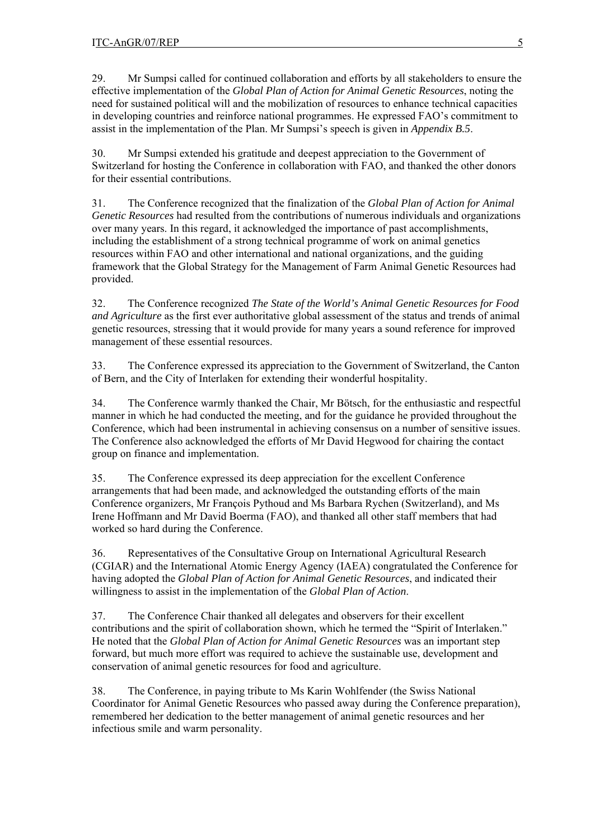29. Mr Sumpsi called for continued collaboration and efforts by all stakeholders to ensure the effective implementation of the *Global Plan of Action for Animal Genetic Resources*, noting the need for sustained political will and the mobilization of resources to enhance technical capacities in developing countries and reinforce national programmes. He expressed FAO's commitment to assist in the implementation of the Plan. Mr Sumpsi's speech is given in *Appendix B.5*.

30. Mr Sumpsi extended his gratitude and deepest appreciation to the Government of Switzerland for hosting the Conference in collaboration with FAO, and thanked the other donors for their essential contributions.

31. The Conference recognized that the finalization of the *Global Plan of Action for Animal Genetic Resources* had resulted from the contributions of numerous individuals and organizations over many years. In this regard, it acknowledged the importance of past accomplishments, including the establishment of a strong technical programme of work on animal genetics resources within FAO and other international and national organizations, and the guiding framework that the Global Strategy for the Management of Farm Animal Genetic Resources had provided.

32. The Conference recognized *The State of the World's Animal Genetic Resources for Food and Agriculture* as the first ever authoritative global assessment of the status and trends of animal genetic resources, stressing that it would provide for many years a sound reference for improved management of these essential resources.

33. The Conference expressed its appreciation to the Government of Switzerland, the Canton of Bern, and the City of Interlaken for extending their wonderful hospitality.

34. The Conference warmly thanked the Chair, Mr Bötsch, for the enthusiastic and respectful manner in which he had conducted the meeting, and for the guidance he provided throughout the Conference, which had been instrumental in achieving consensus on a number of sensitive issues. The Conference also acknowledged the efforts of Mr David Hegwood for chairing the contact group on finance and implementation.

35. The Conference expressed its deep appreciation for the excellent Conference arrangements that had been made, and acknowledged the outstanding efforts of the main Conference organizers, Mr François Pythoud and Ms Barbara Rychen (Switzerland), and Ms Irene Hoffmann and Mr David Boerma (FAO), and thanked all other staff members that had worked so hard during the Conference.

36. Representatives of the Consultative Group on International Agricultural Research (CGIAR) and the International Atomic Energy Agency (IAEA) congratulated the Conference for having adopted the *Global Plan of Action for Animal Genetic Resources*, and indicated their willingness to assist in the implementation of the *Global Plan of Action*.

37. The Conference Chair thanked all delegates and observers for their excellent contributions and the spirit of collaboration shown, which he termed the "Spirit of Interlaken." He noted that the *Global Plan of Action for Animal Genetic Resources* was an important step forward, but much more effort was required to achieve the sustainable use, development and conservation of animal genetic resources for food and agriculture.

38. The Conference, in paying tribute to Ms Karin Wohlfender (the Swiss National Coordinator for Animal Genetic Resources who passed away during the Conference preparation), remembered her dedication to the better management of animal genetic resources and her infectious smile and warm personality.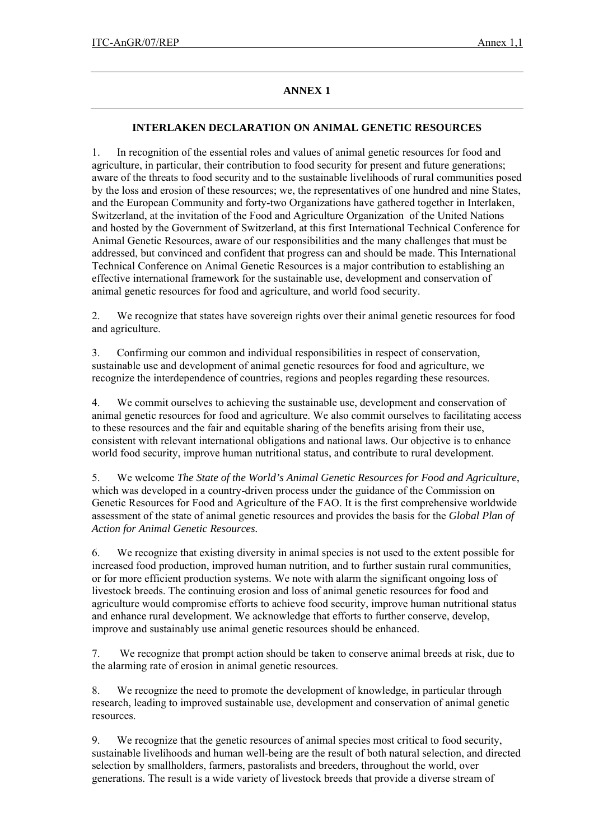# **ANNEX 1**

#### **INTERLAKEN DECLARATION ON ANIMAL GENETIC RESOURCES**

1. In recognition of the essential roles and values of animal genetic resources for food and agriculture, in particular, their contribution to food security for present and future generations; aware of the threats to food security and to the sustainable livelihoods of rural communities posed by the loss and erosion of these resources; we, the representatives of one hundred and nine States, and the European Community and forty-two Organizations have gathered together in Interlaken, Switzerland, at the invitation of the Food and Agriculture Organization of the United Nations and hosted by the Government of Switzerland, at this first International Technical Conference for Animal Genetic Resources, aware of our responsibilities and the many challenges that must be addressed, but convinced and confident that progress can and should be made. This International Technical Conference on Animal Genetic Resources is a major contribution to establishing an effective international framework for the sustainable use, development and conservation of animal genetic resources for food and agriculture, and world food security.

2. We recognize that states have sovereign rights over their animal genetic resources for food and agriculture.

3. Confirming our common and individual responsibilities in respect of conservation, sustainable use and development of animal genetic resources for food and agriculture, we recognize the interdependence of countries, regions and peoples regarding these resources.

4. We commit ourselves to achieving the sustainable use, development and conservation of animal genetic resources for food and agriculture. We also commit ourselves to facilitating access to these resources and the fair and equitable sharing of the benefits arising from their use, consistent with relevant international obligations and national laws. Our objective is to enhance world food security, improve human nutritional status, and contribute to rural development.

5. We welcome *The State of the World's Animal Genetic Resources for Food and Agriculture*, which was developed in a country-driven process under the guidance of the Commission on Genetic Resources for Food and Agriculture of the FAO. It is the first comprehensive worldwide assessment of the state of animal genetic resources and provides the basis for the *Global Plan of Action for Animal Genetic Resources.* 

6. We recognize that existing diversity in animal species is not used to the extent possible for increased food production, improved human nutrition, and to further sustain rural communities, or for more efficient production systems. We note with alarm the significant ongoing loss of livestock breeds. The continuing erosion and loss of animal genetic resources for food and agriculture would compromise efforts to achieve food security, improve human nutritional status and enhance rural development. We acknowledge that efforts to further conserve, develop, improve and sustainably use animal genetic resources should be enhanced.

7. We recognize that prompt action should be taken to conserve animal breeds at risk, due to the alarming rate of erosion in animal genetic resources.

8. We recognize the need to promote the development of knowledge, in particular through research, leading to improved sustainable use, development and conservation of animal genetic resources.

9. We recognize that the genetic resources of animal species most critical to food security, sustainable livelihoods and human well-being are the result of both natural selection, and directed selection by smallholders, farmers, pastoralists and breeders, throughout the world, over generations. The result is a wide variety of livestock breeds that provide a diverse stream of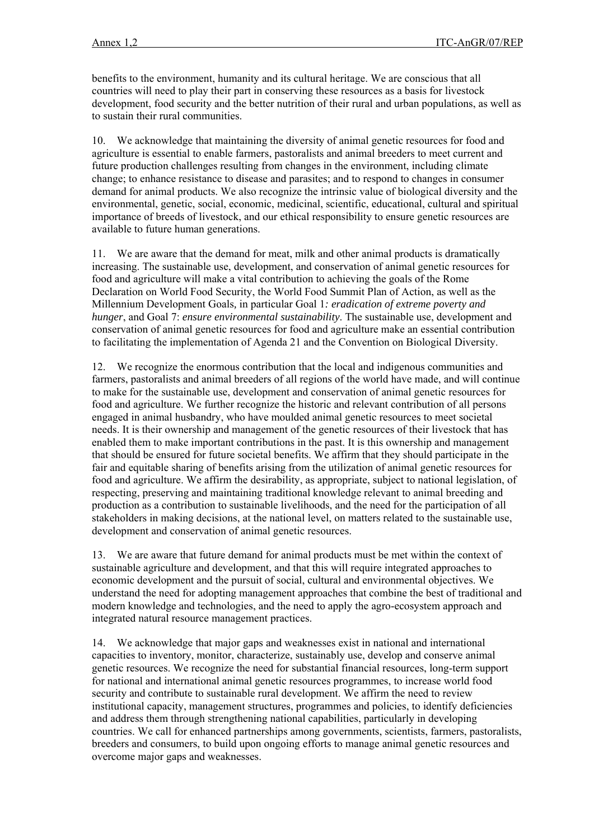benefits to the environment, humanity and its cultural heritage. We are conscious that all countries will need to play their part in conserving these resources as a basis for livestock development, food security and the better nutrition of their rural and urban populations, as well as to sustain their rural communities.

10. We acknowledge that maintaining the diversity of animal genetic resources for food and agriculture is essential to enable farmers, pastoralists and animal breeders to meet current and future production challenges resulting from changes in the environment, including climate change; to enhance resistance to disease and parasites; and to respond to changes in consumer demand for animal products. We also recognize the intrinsic value of biological diversity and the environmental, genetic, social, economic, medicinal, scientific, educational, cultural and spiritual importance of breeds of livestock, and our ethical responsibility to ensure genetic resources are available to future human generations.

11. We are aware that the demand for meat, milk and other animal products is dramatically increasing. The sustainable use, development, and conservation of animal genetic resources for food and agriculture will make a vital contribution to achieving the goals of the Rome Declaration on World Food Security, the World Food Summit Plan of Action, as well as the Millennium Development Goals*,* in particular Goal 1*: eradication of extreme poverty and hunger*, and Goal 7: *ensure environmental sustainability*. The sustainable use, development and conservation of animal genetic resources for food and agriculture make an essential contribution to facilitating the implementation of Agenda 21 and the Convention on Biological Diversity.

12. We recognize the enormous contribution that the local and indigenous communities and farmers, pastoralists and animal breeders of all regions of the world have made, and will continue to make for the sustainable use, development and conservation of animal genetic resources for food and agriculture. We further recognize the historic and relevant contribution of all persons engaged in animal husbandry, who have moulded animal genetic resources to meet societal needs. It is their ownership and management of the genetic resources of their livestock that has enabled them to make important contributions in the past. It is this ownership and management that should be ensured for future societal benefits. We affirm that they should participate in the fair and equitable sharing of benefits arising from the utilization of animal genetic resources for food and agriculture. We affirm the desirability, as appropriate, subject to national legislation, of respecting, preserving and maintaining traditional knowledge relevant to animal breeding and production as a contribution to sustainable livelihoods, and the need for the participation of all stakeholders in making decisions, at the national level, on matters related to the sustainable use, development and conservation of animal genetic resources.

13. We are aware that future demand for animal products must be met within the context of sustainable agriculture and development, and that this will require integrated approaches to economic development and the pursuit of social, cultural and environmental objectives. We understand the need for adopting management approaches that combine the best of traditional and modern knowledge and technologies, and the need to apply the agro-ecosystem approach and integrated natural resource management practices.

14. We acknowledge that major gaps and weaknesses exist in national and international capacities to inventory, monitor, characterize, sustainably use, develop and conserve animal genetic resources. We recognize the need for substantial financial resources, long-term support for national and international animal genetic resources programmes, to increase world food security and contribute to sustainable rural development. We affirm the need to review institutional capacity, management structures, programmes and policies, to identify deficiencies and address them through strengthening national capabilities, particularly in developing countries. We call for enhanced partnerships among governments, scientists, farmers, pastoralists, breeders and consumers, to build upon ongoing efforts to manage animal genetic resources and overcome major gaps and weaknesses.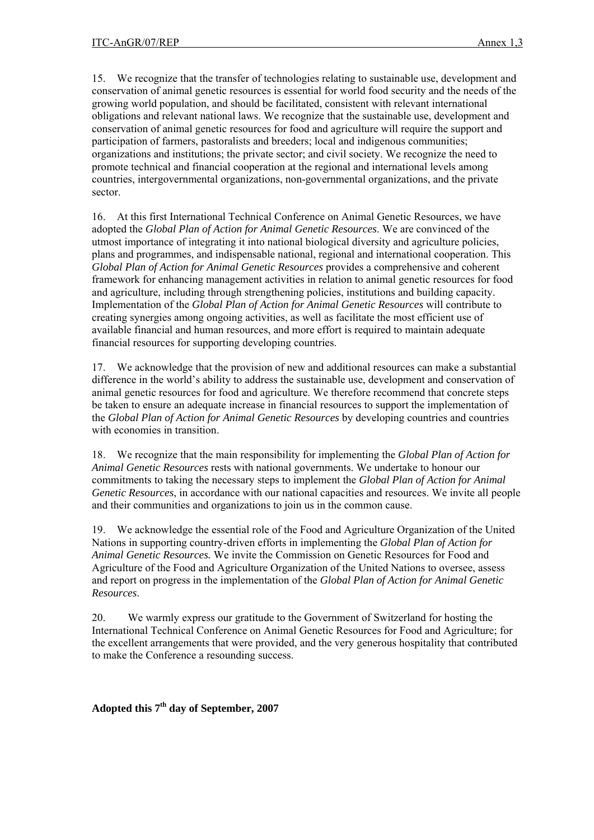15. We recognize that the transfer of technologies relating to sustainable use, development and conservation of animal genetic resources is essential for world food security and the needs of the growing world population, and should be facilitated, consistent with relevant international obligations and relevant national laws. We recognize that the sustainable use, development and conservation of animal genetic resources for food and agriculture will require the support and participation of farmers, pastoralists and breeders; local and indigenous communities; organizations and institutions; the private sector; and civil society. We recognize the need to promote technical and financial cooperation at the regional and international levels among countries, intergovernmental organizations, non-governmental organizations, and the private sector.

16. At this first International Technical Conference on Animal Genetic Resources, we have adopted the *Global Plan of Action for Animal Genetic Resources*. We are convinced of the utmost importance of integrating it into national biological diversity and agriculture policies, plans and programmes, and indispensable national, regional and international cooperation. This *Global Plan of Action for Animal Genetic Resources* provides a comprehensive and coherent framework for enhancing management activities in relation to animal genetic resources for food and agriculture, including through strengthening policies, institutions and building capacity. Implementation of the *Global Plan of Action for Animal Genetic Resources* will contribute to creating synergies among ongoing activities, as well as facilitate the most efficient use of available financial and human resources, and more effort is required to maintain adequate financial resources for supporting developing countries.

17. We acknowledge that the provision of new and additional resources can make a substantial difference in the world's ability to address the sustainable use, development and conservation of animal genetic resources for food and agriculture. We therefore recommend that concrete steps be taken to ensure an adequate increase in financial resources to support the implementation of the *Global Plan of Action for Animal Genetic Resources* by developing countries and countries with economies in transition.

18. We recognize that the main responsibility for implementing the *Global Plan of Action for Animal Genetic Resources* rests with national governments. We undertake to honour our commitments to taking the necessary steps to implement the *Global Plan of Action for Animal Genetic Resources*, in accordance with our national capacities and resources. We invite all people and their communities and organizations to join us in the common cause.

19. We acknowledge the essential role of the Food and Agriculture Organization of the United Nations in supporting country-driven efforts in implementing the *Global Plan of Action for Animal Genetic Resources.* We invite the Commission on Genetic Resources for Food and Agriculture of the Food and Agriculture Organization of the United Nations to oversee, assess and report on progress in the implementation of the *Global Plan of Action for Animal Genetic Resources*.

20. We warmly express our gratitude to the Government of Switzerland for hosting the International Technical Conference on Animal Genetic Resources for Food and Agriculture; for the excellent arrangements that were provided, and the very generous hospitality that contributed to make the Conference a resounding success.

**Adopted this 7th day of September, 2007**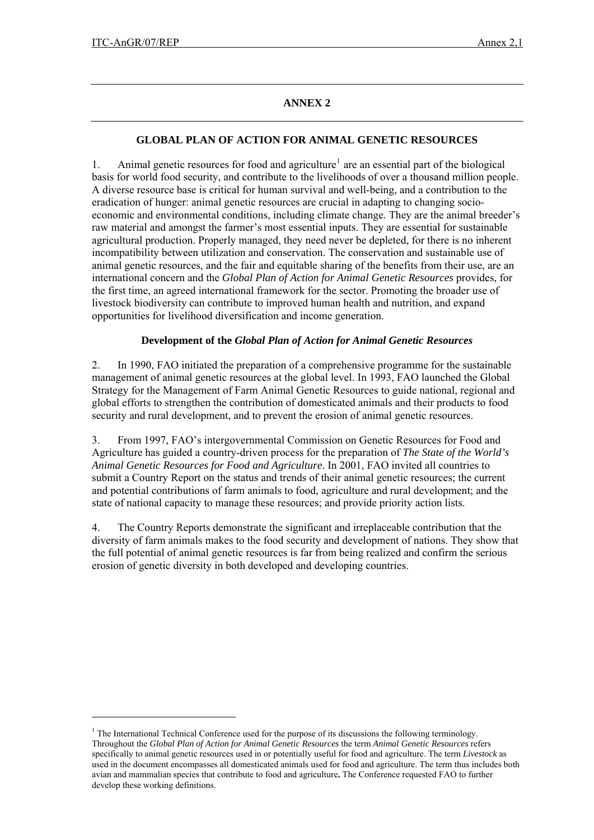$\overline{a}$ 

# **ANNEX 2**

# **GLOBAL PLAN OF ACTION FOR ANIMAL GENETIC RESOURCES**

[1](#page-14-0). Animal genetic resources for food and agriculture<sup>1</sup> are an essential part of the biological basis for world food security, and contribute to the livelihoods of over a thousand million people. A diverse resource base is critical for human survival and well-being, and a contribution to the eradication of hunger: animal genetic resources are crucial in adapting to changing socioeconomic and environmental conditions, including climate change. They are the animal breeder's raw material and amongst the farmer's most essential inputs. They are essential for sustainable agricultural production. Properly managed, they need never be depleted, for there is no inherent incompatibility between utilization and conservation. The conservation and sustainable use of animal genetic resources, and the fair and equitable sharing of the benefits from their use, are an international concern and the *Global Plan of Action for Animal Genetic Resources* provides, for the first time, an agreed international framework for the sector. Promoting the broader use of livestock biodiversity can contribute to improved human health and nutrition, and expand opportunities for livelihood diversification and income generation.

#### **Development of the** *Global Plan of Action for Animal Genetic Resources*

2. In 1990, FAO initiated the preparation of a comprehensive programme for the sustainable management of animal genetic resources at the global level. In 1993, FAO launched the Global Strategy for the Management of Farm Animal Genetic Resources to guide national, regional and global efforts to strengthen the contribution of domesticated animals and their products to food security and rural development, and to prevent the erosion of animal genetic resources.

3. From 1997, FAO's intergovernmental Commission on Genetic Resources for Food and Agriculture has guided a country-driven process for the preparation of *The State of the World's Animal Genetic Resources for Food and Agriculture*. In 2001, FAO invited all countries to submit a Country Report on the status and trends of their animal genetic resources; the current and potential contributions of farm animals to food, agriculture and rural development; and the state of national capacity to manage these resources; and provide priority action lists.

4. The Country Reports demonstrate the significant and irreplaceable contribution that the diversity of farm animals makes to the food security and development of nations. They show that the full potential of animal genetic resources is far from being realized and confirm the serious erosion of genetic diversity in both developed and developing countries.

<span id="page-14-0"></span><sup>&</sup>lt;sup>1</sup> The International Technical Conference used for the purpose of its discussions the following terminology. Throughout the *Global Plan of Action for Animal Genetic Resources* the term *Animal Genetic Resources* refers specifically to animal genetic resources used in or potentially useful for food and agriculture. The term *Livestock* as used in the document encompasses all domesticated animals used for food and agriculture. The term thus includes both avian and mammalian species that contribute to food and agriculture**.** The Conference requested FAO to further develop these working definitions.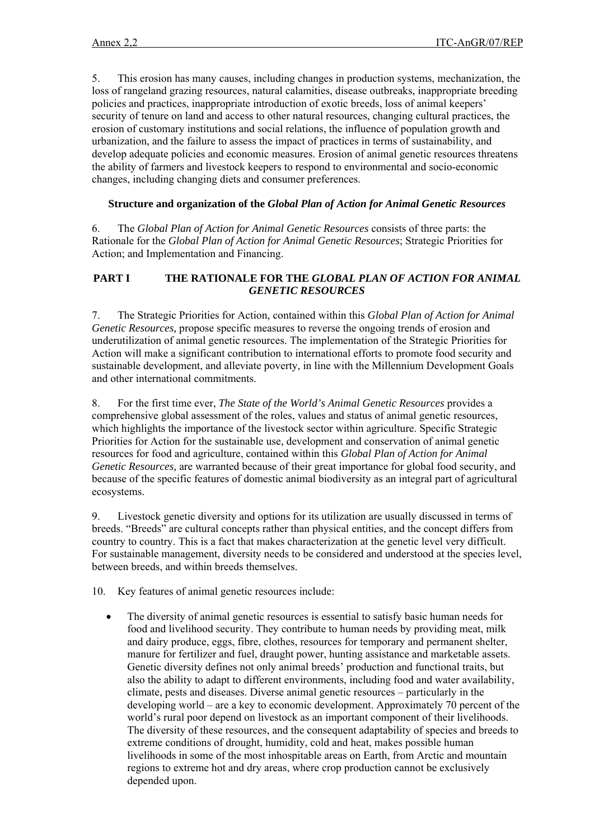5. This erosion has many causes, including changes in production systems, mechanization, the loss of rangeland grazing resources, natural calamities, disease outbreaks, inappropriate breeding policies and practices, inappropriate introduction of exotic breeds, loss of animal keepers' security of tenure on land and access to other natural resources, changing cultural practices, the erosion of customary institutions and social relations, the influence of population growth and urbanization, and the failure to assess the impact of practices in terms of sustainability, and develop adequate policies and economic measures. Erosion of animal genetic resources threatens the ability of farmers and livestock keepers to respond to environmental and socio-economic changes, including changing diets and consumer preferences.

#### **Structure and organization of the** *Global Plan of Action for Animal Genetic Resources*

6. The *Global Plan of Action for Animal Genetic Resources* consists of three parts: the Rationale for the *Global Plan of Action for Animal Genetic Resources*; Strategic Priorities for Action; and Implementation and Financing.

#### **PART I THE RATIONALE FOR THE** *GLOBAL PLAN OF ACTION FOR ANIMAL GENETIC RESOURCES*

7. The Strategic Priorities for Action*,* contained within this *Global Plan of Action for Animal Genetic Resources,* propose specific measures to reverse the ongoing trends of erosion and underutilization of animal genetic resources. The implementation of the Strategic Priorities for Action will make a significant contribution to international efforts to promote food security and sustainable development, and alleviate poverty, in line with the Millennium Development Goals and other international commitments.

8. For the first time ever, *The State of the World's Animal Genetic Resources* provides a comprehensive global assessment of the roles, values and status of animal genetic resources, which highlights the importance of the livestock sector within agriculture. Specific Strategic Priorities for Action for the sustainable use, development and conservation of animal genetic resources for food and agriculture, contained within this *Global Plan of Action for Animal Genetic Resources,* are warranted because of their great importance for global food security, and because of the specific features of domestic animal biodiversity as an integral part of agricultural ecosystems.

9. Livestock genetic diversity and options for its utilization are usually discussed in terms of breeds. "Breeds" are cultural concepts rather than physical entities, and the concept differs from country to country. This is a fact that makes characterization at the genetic level very difficult. For sustainable management, diversity needs to be considered and understood at the species level, between breeds, and within breeds themselves.

10. Key features of animal genetic resources include:

• The diversity of animal genetic resources is essential to satisfy basic human needs for food and livelihood security. They contribute to human needs by providing meat, milk and dairy produce, eggs, fibre, clothes, resources for temporary and permanent shelter, manure for fertilizer and fuel, draught power, hunting assistance and marketable assets. Genetic diversity defines not only animal breeds' production and functional traits, but also the ability to adapt to different environments, including food and water availability, climate, pests and diseases. Diverse animal genetic resources – particularly in the developing world – are a key to economic development. Approximately 70 percent of the world's rural poor depend on livestock as an important component of their livelihoods. The diversity of these resources, and the consequent adaptability of species and breeds to extreme conditions of drought, humidity, cold and heat, makes possible human livelihoods in some of the most inhospitable areas on Earth, from Arctic and mountain regions to extreme hot and dry areas, where crop production cannot be exclusively depended upon.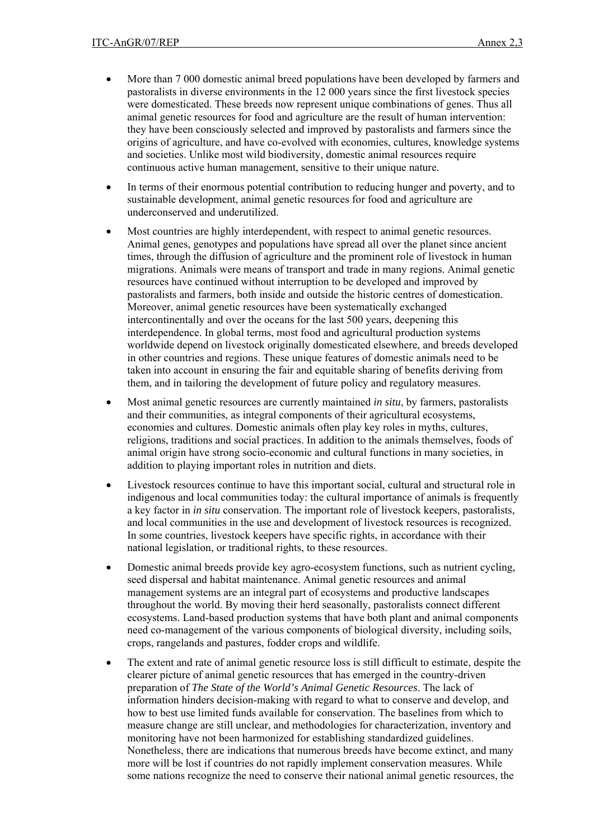- More than 7 000 domestic animal breed populations have been developed by farmers and pastoralists in diverse environments in the 12 000 years since the first livestock species were domesticated. These breeds now represent unique combinations of genes. Thus all animal genetic resources for food and agriculture are the result of human intervention: they have been consciously selected and improved by pastoralists and farmers since the origins of agriculture, and have co-evolved with economies, cultures, knowledge systems and societies. Unlike most wild biodiversity, domestic animal resources require continuous active human management, sensitive to their unique nature.
- In terms of their enormous potential contribution to reducing hunger and poverty, and to sustainable development, animal genetic resources for food and agriculture are underconserved and underutilized.
- Most countries are highly interdependent, with respect to animal genetic resources. Animal genes, genotypes and populations have spread all over the planet since ancient times, through the diffusion of agriculture and the prominent role of livestock in human migrations. Animals were means of transport and trade in many regions. Animal genetic resources have continued without interruption to be developed and improved by pastoralists and farmers, both inside and outside the historic centres of domestication. Moreover, animal genetic resources have been systematically exchanged intercontinentally and over the oceans for the last 500 years, deepening this interdependence. In global terms, most food and agricultural production systems worldwide depend on livestock originally domesticated elsewhere, and breeds developed in other countries and regions. These unique features of domestic animals need to be taken into account in ensuring the fair and equitable sharing of benefits deriving from them, and in tailoring the development of future policy and regulatory measures.
- Most animal genetic resources are currently maintained *in situ*, by farmers, pastoralists and their communities, as integral components of their agricultural ecosystems, economies and cultures. Domestic animals often play key roles in myths, cultures, religions, traditions and social practices. In addition to the animals themselves, foods of animal origin have strong socio-economic and cultural functions in many societies, in addition to playing important roles in nutrition and diets.
- Livestock resources continue to have this important social, cultural and structural role in indigenous and local communities today: the cultural importance of animals is frequently a key factor in *in situ* conservation. The important role of livestock keepers, pastoralists, and local communities in the use and development of livestock resources is recognized. In some countries, livestock keepers have specific rights, in accordance with their national legislation, or traditional rights, to these resources.
- Domestic animal breeds provide key agro-ecosystem functions, such as nutrient cycling, seed dispersal and habitat maintenance. Animal genetic resources and animal management systems are an integral part of ecosystems and productive landscapes throughout the world. By moving their herd seasonally, pastoralists connect different ecosystems. Land-based production systems that have both plant and animal components need co-management of the various components of biological diversity, including soils, crops, rangelands and pastures, fodder crops and wildlife.
- The extent and rate of animal genetic resource loss is still difficult to estimate, despite the clearer picture of animal genetic resources that has emerged in the country-driven preparation of *The State of the World's Animal Genetic Resources*. The lack of information hinders decision-making with regard to what to conserve and develop, and how to best use limited funds available for conservation. The baselines from which to measure change are still unclear, and methodologies for characterization, inventory and monitoring have not been harmonized for establishing standardized guidelines. Nonetheless, there are indications that numerous breeds have become extinct, and many more will be lost if countries do not rapidly implement conservation measures. While some nations recognize the need to conserve their national animal genetic resources, the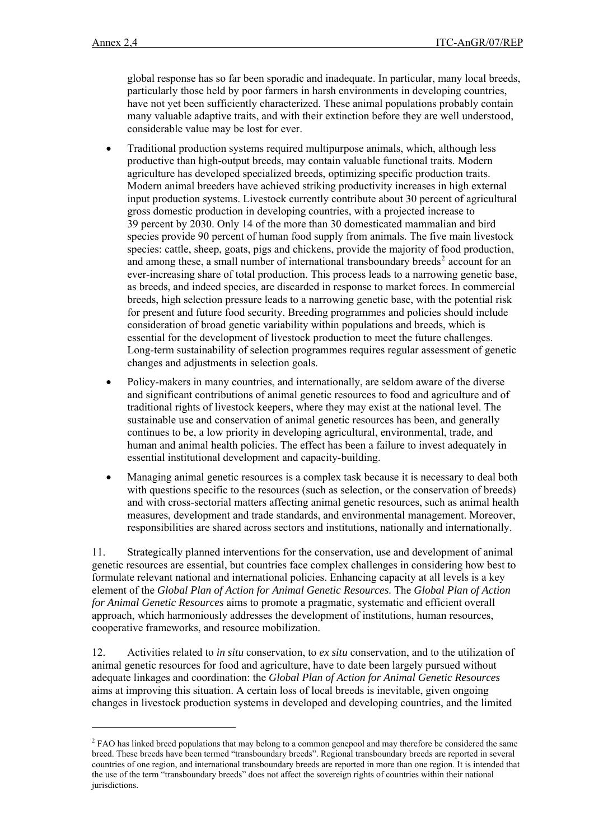l

global response has so far been sporadic and inadequate. In particular, many local breeds, particularly those held by poor farmers in harsh environments in developing countries, have not yet been sufficiently characterized. These animal populations probably contain many valuable adaptive traits, and with their extinction before they are well understood, considerable value may be lost for ever.

- Traditional production systems required multipurpose animals, which, although less productive than high-output breeds, may contain valuable functional traits. Modern agriculture has developed specialized breeds, optimizing specific production traits. Modern animal breeders have achieved striking productivity increases in high external input production systems. Livestock currently contribute about 30 percent of agricultural gross domestic production in developing countries, with a projected increase to 39 percent by 2030. Only 14 of the more than 30 domesticated mammalian and bird species provide 90 percent of human food supply from animals. The five main livestock species: cattle, sheep, goats, pigs and chickens, provide the majority of food production, and among these, a small number of international transboundary breeds<sup>[2](#page-17-0)</sup> account for an ever-increasing share of total production. This process leads to a narrowing genetic base, as breeds, and indeed species, are discarded in response to market forces. In commercial breeds, high selection pressure leads to a narrowing genetic base, with the potential risk for present and future food security. Breeding programmes and policies should include consideration of broad genetic variability within populations and breeds, which is essential for the development of livestock production to meet the future challenges. Long-term sustainability of selection programmes requires regular assessment of genetic changes and adjustments in selection goals.
- Policy-makers in many countries, and internationally, are seldom aware of the diverse and significant contributions of animal genetic resources to food and agriculture and of traditional rights of livestock keepers, where they may exist at the national level. The sustainable use and conservation of animal genetic resources has been, and generally continues to be, a low priority in developing agricultural, environmental, trade, and human and animal health policies. The effect has been a failure to invest adequately in essential institutional development and capacity-building.
- Managing animal genetic resources is a complex task because it is necessary to deal both with questions specific to the resources (such as selection, or the conservation of breeds) and with cross-sectorial matters affecting animal genetic resources, such as animal health measures, development and trade standards, and environmental management. Moreover, responsibilities are shared across sectors and institutions, nationally and internationally.

11. Strategically planned interventions for the conservation, use and development of animal genetic resources are essential, but countries face complex challenges in considering how best to formulate relevant national and international policies. Enhancing capacity at all levels is a key element of the *Global Plan of Action for Animal Genetic Resources*. The *Global Plan of Action for Animal Genetic Resources* aims to promote a pragmatic, systematic and efficient overall approach, which harmoniously addresses the development of institutions, human resources, cooperative frameworks, and resource mobilization.

12. Activities related to *in situ* conservation, to *ex situ* conservation, and to the utilization of animal genetic resources for food and agriculture, have to date been largely pursued without adequate linkages and coordination: the *Global Plan of Action for Animal Genetic Resources* aims at improving this situation. A certain loss of local breeds is inevitable, given ongoing changes in livestock production systems in developed and developing countries, and the limited

<span id="page-17-0"></span> $2$  FAO has linked breed populations that may belong to a common genepool and may therefore be considered the same breed. These breeds have been termed "transboundary breeds". Regional transboundary breeds are reported in several countries of one region, and international transboundary breeds are reported in more than one region. It is intended that the use of the term "transboundary breeds" does not affect the sovereign rights of countries within their national jurisdictions.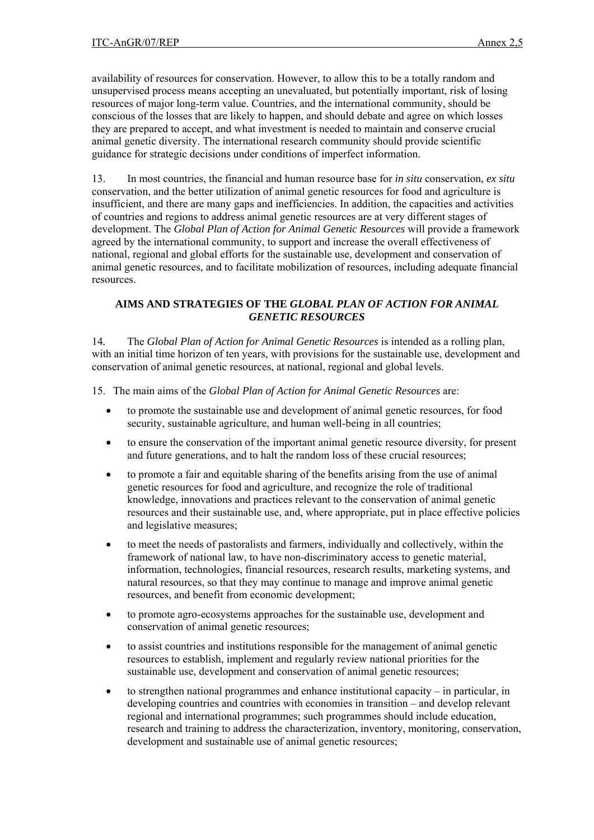availability of resources for conservation. However, to allow this to be a totally random and unsupervised process means accepting an unevaluated, but potentially important, risk of losing resources of major long-term value. Countries, and the international community, should be conscious of the losses that are likely to happen, and should debate and agree on which losses they are prepared to accept, and what investment is needed to maintain and conserve crucial animal genetic diversity. The international research community should provide scientific guidance for strategic decisions under conditions of imperfect information.

13. In most countries, the financial and human resource base for *in situ* conservation, *ex situ* conservation, and the better utilization of animal genetic resources for food and agriculture is insufficient, and there are many gaps and inefficiencies. In addition, the capacities and activities of countries and regions to address animal genetic resources are at very different stages of development. The *Global Plan of Action for Animal Genetic Resources* will provide a framework agreed by the international community, to support and increase the overall effectiveness of national, regional and global efforts for the sustainable use, development and conservation of animal genetic resources, and to facilitate mobilization of resources, including adequate financial resources.

### **AIMS AND STRATEGIES OF THE** *GLOBAL PLAN OF ACTION FOR ANIMAL GENETIC RESOURCES*

14*.* The *Global Plan of Action for Animal Genetic Resources* is intended as a rolling plan, with an initial time horizon of ten years, with provisions for the sustainable use, development and conservation of animal genetic resources, at national, regional and global levels.

15. The main aims of the *Global Plan of Action for Animal Genetic Resources* are:

- to promote the sustainable use and development of animal genetic resources, for food security, sustainable agriculture, and human well-being in all countries;
- to ensure the conservation of the important animal genetic resource diversity, for present and future generations, and to halt the random loss of these crucial resources;
- to promote a fair and equitable sharing of the benefits arising from the use of animal genetic resources for food and agriculture, and recognize the role of traditional knowledge, innovations and practices relevant to the conservation of animal genetic resources and their sustainable use, and, where appropriate, put in place effective policies and legislative measures;
- to meet the needs of pastoralists and farmers, individually and collectively, within the framework of national law, to have non-discriminatory access to genetic material, information, technologies, financial resources, research results, marketing systems, and natural resources, so that they may continue to manage and improve animal genetic resources, and benefit from economic development;
- to promote agro-ecosystems approaches for the sustainable use, development and conservation of animal genetic resources;
- to assist countries and institutions responsible for the management of animal genetic resources to establish, implement and regularly review national priorities for the sustainable use, development and conservation of animal genetic resources;
- to strengthen national programmes and enhance institutional capacity in particular, in developing countries and countries with economies in transition – and develop relevant regional and international programmes; such programmes should include education, research and training to address the characterization, inventory, monitoring, conservation, development and sustainable use of animal genetic resources;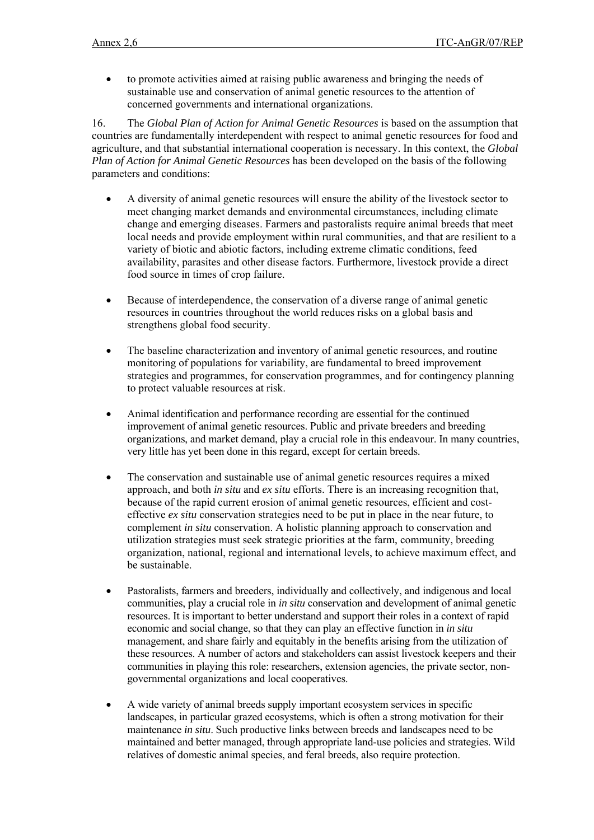• to promote activities aimed at raising public awareness and bringing the needs of sustainable use and conservation of animal genetic resources to the attention of concerned governments and international organizations.

16. The *Global Plan of Action for Animal Genetic Resources* is based on the assumption that countries are fundamentally interdependent with respect to animal genetic resources for food and agriculture, and that substantial international cooperation is necessary. In this context, the *Global Plan of Action for Animal Genetic Resources* has been developed on the basis of the following parameters and conditions:

- A diversity of animal genetic resources will ensure the ability of the livestock sector to meet changing market demands and environmental circumstances, including climate change and emerging diseases. Farmers and pastoralists require animal breeds that meet local needs and provide employment within rural communities, and that are resilient to a variety of biotic and abiotic factors, including extreme climatic conditions, feed availability, parasites and other disease factors. Furthermore, livestock provide a direct food source in times of crop failure.
- Because of interdependence, the conservation of a diverse range of animal genetic resources in countries throughout the world reduces risks on a global basis and strengthens global food security.
- The baseline characterization and inventory of animal genetic resources, and routine monitoring of populations for variability, are fundamental to breed improvement strategies and programmes, for conservation programmes, and for contingency planning to protect valuable resources at risk.
- Animal identification and performance recording are essential for the continued improvement of animal genetic resources. Public and private breeders and breeding organizations, and market demand, play a crucial role in this endeavour. In many countries, very little has yet been done in this regard, except for certain breeds.
- The conservation and sustainable use of animal genetic resources requires a mixed approach, and both *in situ* and *ex situ* efforts. There is an increasing recognition that, because of the rapid current erosion of animal genetic resources, efficient and costeffective *ex situ* conservation strategies need to be put in place in the near future, to complement *in situ* conservation. A holistic planning approach to conservation and utilization strategies must seek strategic priorities at the farm, community, breeding organization, national, regional and international levels, to achieve maximum effect, and be sustainable.
- Pastoralists, farmers and breeders, individually and collectively, and indigenous and local communities, play a crucial role in *in situ* conservation and development of animal genetic resources. It is important to better understand and support their roles in a context of rapid economic and social change, so that they can play an effective function in *in situ* management, and share fairly and equitably in the benefits arising from the utilization of these resources. A number of actors and stakeholders can assist livestock keepers and their communities in playing this role: researchers, extension agencies, the private sector, nongovernmental organizations and local cooperatives.
- A wide variety of animal breeds supply important ecosystem services in specific landscapes, in particular grazed ecosystems, which is often a strong motivation for their maintenance *in situ*. Such productive links between breeds and landscapes need to be maintained and better managed, through appropriate land-use policies and strategies. Wild relatives of domestic animal species, and feral breeds, also require protection.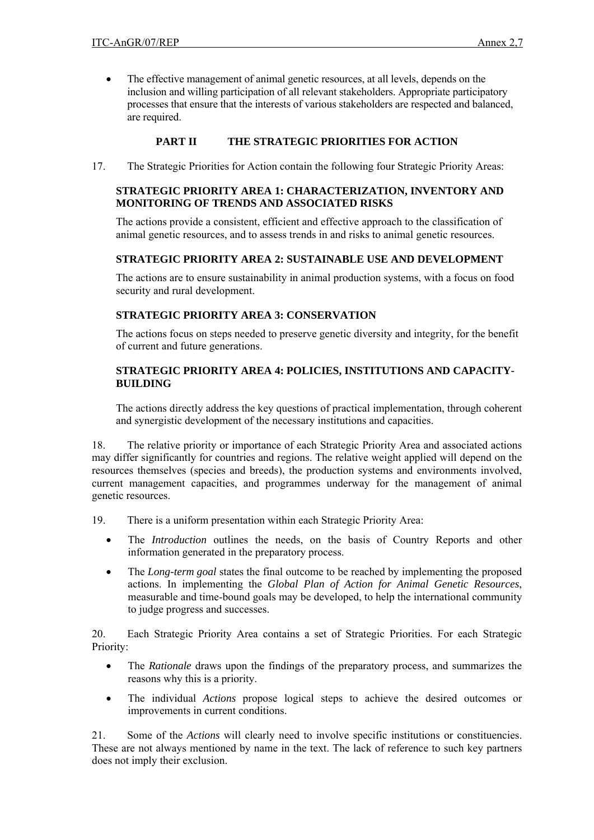• The effective management of animal genetic resources, at all levels, depends on the inclusion and willing participation of all relevant stakeholders. Appropriate participatory processes that ensure that the interests of various stakeholders are respected and balanced, are required.

# **PART II THE STRATEGIC PRIORITIES FOR ACTION**

17. The Strategic Priorities for Action contain the following four Strategic Priority Areas:

# **STRATEGIC PRIORITY AREA 1: CHARACTERIZATION, INVENTORY AND MONITORING OF TRENDS AND ASSOCIATED RISKS**

The actions provide a consistent, efficient and effective approach to the classification of animal genetic resources, and to assess trends in and risks to animal genetic resources.

# **STRATEGIC PRIORITY AREA 2: SUSTAINABLE USE AND DEVELOPMENT**

The actions are to ensure sustainability in animal production systems, with a focus on food security and rural development.

# **STRATEGIC PRIORITY AREA 3: CONSERVATION**

The actions focus on steps needed to preserve genetic diversity and integrity, for the benefit of current and future generations.

### **STRATEGIC PRIORITY AREA 4: POLICIES, INSTITUTIONS AND CAPACITY-BUILDING**

The actions directly address the key questions of practical implementation, through coherent and synergistic development of the necessary institutions and capacities.

18. The relative priority or importance of each Strategic Priority Area and associated actions may differ significantly for countries and regions. The relative weight applied will depend on the resources themselves (species and breeds), the production systems and environments involved, current management capacities, and programmes underway for the management of animal genetic resources.

- 19. There is a uniform presentation within each Strategic Priority Area:
	- The *Introduction* outlines the needs, on the basis of Country Reports and other information generated in the preparatory process.
	- The *Long-term goal* states the final outcome to be reached by implementing the proposed actions. In implementing the *Global Plan of Action for Animal Genetic Resources*, measurable and time-bound goals may be developed, to help the international community to judge progress and successes.

20. Each Strategic Priority Area contains a set of Strategic Priorities. For each Strategic Priority:

- The *Rationale* draws upon the findings of the preparatory process, and summarizes the reasons why this is a priority.
- The individual *Actions* propose logical steps to achieve the desired outcomes or improvements in current conditions.

21. Some of the *Actions* will clearly need to involve specific institutions or constituencies. These are not always mentioned by name in the text. The lack of reference to such key partners does not imply their exclusion.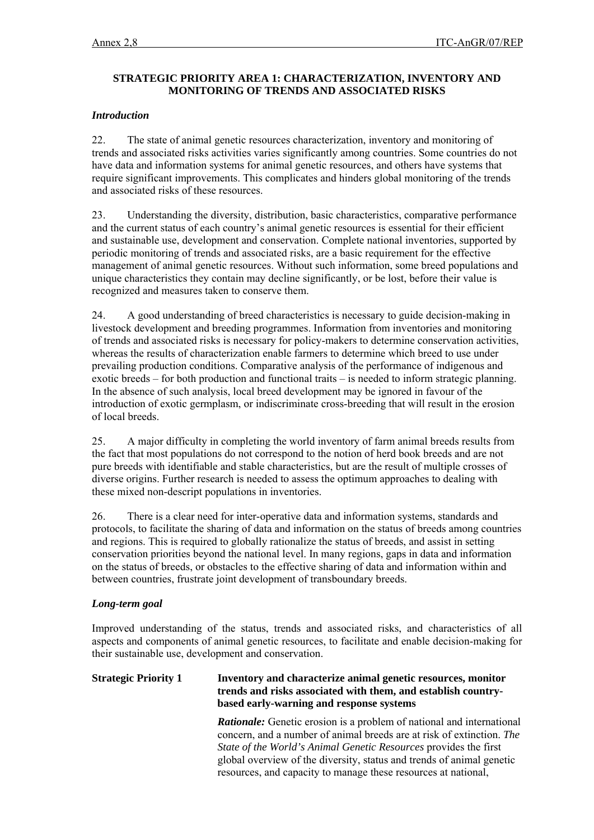# **STRATEGIC PRIORITY AREA 1: CHARACTERIZATION, INVENTORY AND MONITORING OF TRENDS AND ASSOCIATED RISKS**

# *Introduction*

22. The state of animal genetic resources characterization, inventory and monitoring of trends and associated risks activities varies significantly among countries. Some countries do not have data and information systems for animal genetic resources, and others have systems that require significant improvements. This complicates and hinders global monitoring of the trends and associated risks of these resources.

23. Understanding the diversity, distribution, basic characteristics, comparative performance and the current status of each country's animal genetic resources is essential for their efficient and sustainable use, development and conservation. Complete national inventories, supported by periodic monitoring of trends and associated risks, are a basic requirement for the effective management of animal genetic resources. Without such information, some breed populations and unique characteristics they contain may decline significantly, or be lost, before their value is recognized and measures taken to conserve them.

24. A good understanding of breed characteristics is necessary to guide decision-making in livestock development and breeding programmes. Information from inventories and monitoring of trends and associated risks is necessary for policy-makers to determine conservation activities, whereas the results of characterization enable farmers to determine which breed to use under prevailing production conditions. Comparative analysis of the performance of indigenous and exotic breeds – for both production and functional traits – is needed to inform strategic planning. In the absence of such analysis, local breed development may be ignored in favour of the introduction of exotic germplasm, or indiscriminate cross-breeding that will result in the erosion of local breeds.

25. A major difficulty in completing the world inventory of farm animal breeds results from the fact that most populations do not correspond to the notion of herd book breeds and are not pure breeds with identifiable and stable characteristics, but are the result of multiple crosses of diverse origins. Further research is needed to assess the optimum approaches to dealing with these mixed non-descript populations in inventories.

26. There is a clear need for inter-operative data and information systems, standards and protocols, to facilitate the sharing of data and information on the status of breeds among countries and regions. This is required to globally rationalize the status of breeds, and assist in setting conservation priorities beyond the national level. In many regions, gaps in data and information on the status of breeds, or obstacles to the effective sharing of data and information within and between countries, frustrate joint development of transboundary breeds.

# *Long-term goal*

Improved understanding of the status, trends and associated risks, and characteristics of all aspects and components of animal genetic resources, to facilitate and enable decision-making for their sustainable use, development and conservation.

#### **Strategic Priority 1 Inventory and characterize animal genetic resources, monitor trends and risks associated with them, and establish countrybased early-warning and response systems**

*Rationale:* Genetic erosion is a problem of national and international concern, and a number of animal breeds are at risk of extinction. *The State of the World's Animal Genetic Resources* provides the first global overview of the diversity, status and trends of animal genetic resources, and capacity to manage these resources at national,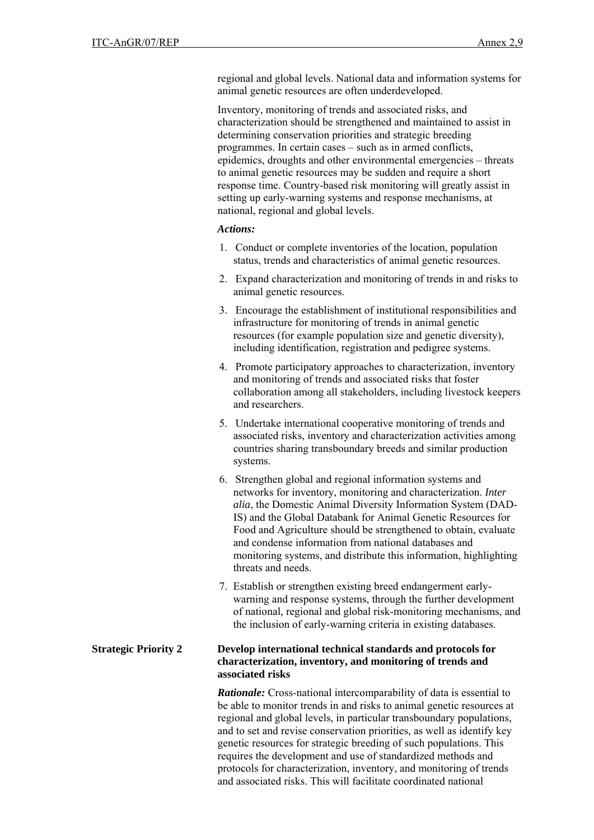regional and global levels. National data and information systems for animal genetic resources are often underdeveloped.

Inventory, monitoring of trends and associated risks, and characterization should be strengthened and maintained to assist in determining conservation priorities and strategic breeding programmes. In certain cases – such as in armed conflicts, epidemics, droughts and other environmental emergencies – threats to animal genetic resources may be sudden and require a short response time. Country-based risk monitoring will greatly assist in setting up early-warning systems and response mechanisms, at national, regional and global levels.

#### *Actions:*

- 1. Conduct or complete inventories of the location, population status, trends and characteristics of animal genetic resources.
- 2. Expand characterization and monitoring of trends in and risks to animal genetic resources.
- 3. Encourage the establishment of institutional responsibilities and infrastructure for monitoring of trends in animal genetic resources (for example population size and genetic diversity), including identification, registration and pedigree systems.
- 4. Promote participatory approaches to characterization, inventory and monitoring of trends and associated risks that foster collaboration among all stakeholders, including livestock keepers and researchers.
- 5. Undertake international cooperative monitoring of trends and associated risks, inventory and characterization activities among countries sharing transboundary breeds and similar production systems.
- 6. Strengthen global and regional information systems and networks for inventory, monitoring and characterization. *Inter alia*, the Domestic Animal Diversity Information System (DAD-IS) and the Global Databank for Animal Genetic Resources for Food and Agriculture should be strengthened to obtain, evaluate and condense information from national databases and monitoring systems, and distribute this information, highlighting threats and needs.
- 7. Establish or strengthen existing breed endangerment earlywarning and response systems, through the further development of national, regional and global risk-monitoring mechanisms, and the inclusion of early-warning criteria in existing databases.

#### **Strategic Priority 2 Develop international technical standards and protocols for characterization, inventory, and monitoring of trends and associated risks**

*Rationale:* Cross-national intercomparability of data is essential to be able to monitor trends in and risks to animal genetic resources at regional and global levels, in particular transboundary populations, and to set and revise conservation priorities, as well as identify key genetic resources for strategic breeding of such populations. This requires the development and use of standardized methods and protocols for characterization, inventory, and monitoring of trends and associated risks. This will facilitate coordinated national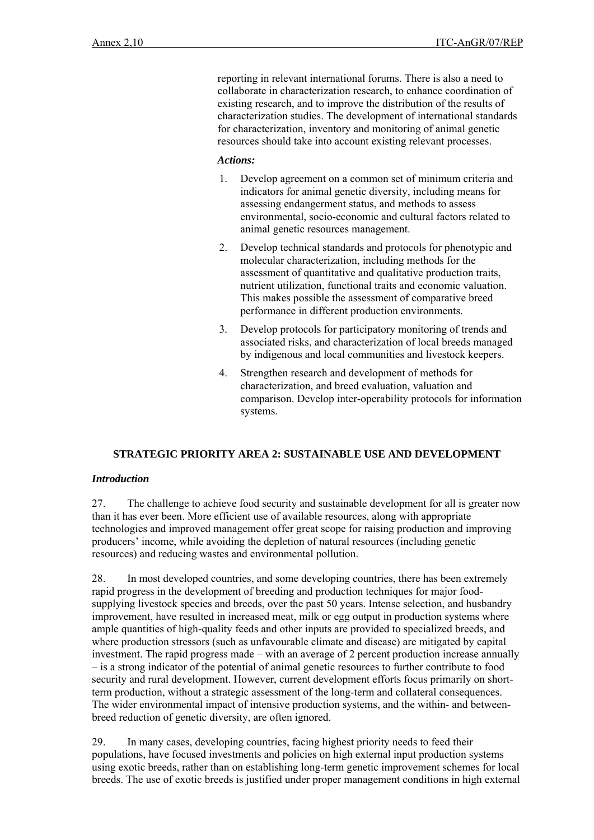reporting in relevant international forums. There is also a need to collaborate in characterization research, to enhance coordination of existing research, and to improve the distribution of the results of characterization studies. The development of international standards for characterization, inventory and monitoring of animal genetic resources should take into account existing relevant processes.

#### *Actions:*

- 1. Develop agreement on a common set of minimum criteria and indicators for animal genetic diversity, including means for assessing endangerment status, and methods to assess environmental, socio-economic and cultural factors related to animal genetic resources management.
- 2. Develop technical standards and protocols for phenotypic and molecular characterization, including methods for the assessment of quantitative and qualitative production traits, nutrient utilization, functional traits and economic valuation. This makes possible the assessment of comparative breed performance in different production environments.
- 3. Develop protocols for participatory monitoring of trends and associated risks, and characterization of local breeds managed by indigenous and local communities and livestock keepers.
- 4. Strengthen research and development of methods for characterization, and breed evaluation, valuation and comparison. Develop inter-operability protocols for information systems.

# **STRATEGIC PRIORITY AREA 2: SUSTAINABLE USE AND DEVELOPMENT**

#### *Introduction*

27. The challenge to achieve food security and sustainable development for all is greater now than it has ever been. More efficient use of available resources, along with appropriate technologies and improved management offer great scope for raising production and improving producers' income, while avoiding the depletion of natural resources (including genetic resources) and reducing wastes and environmental pollution.

28. In most developed countries, and some developing countries, there has been extremely rapid progress in the development of breeding and production techniques for major foodsupplying livestock species and breeds, over the past 50 years. Intense selection, and husbandry improvement, have resulted in increased meat, milk or egg output in production systems where ample quantities of high-quality feeds and other inputs are provided to specialized breeds, and where production stressors (such as unfavourable climate and disease) are mitigated by capital investment. The rapid progress made – with an average of 2 percent production increase annually – is a strong indicator of the potential of animal genetic resources to further contribute to food security and rural development. However, current development efforts focus primarily on shortterm production, without a strategic assessment of the long-term and collateral consequences. The wider environmental impact of intensive production systems, and the within- and betweenbreed reduction of genetic diversity, are often ignored.

29. In many cases, developing countries, facing highest priority needs to feed their populations, have focused investments and policies on high external input production systems using exotic breeds, rather than on establishing long-term genetic improvement schemes for local breeds. The use of exotic breeds is justified under proper management conditions in high external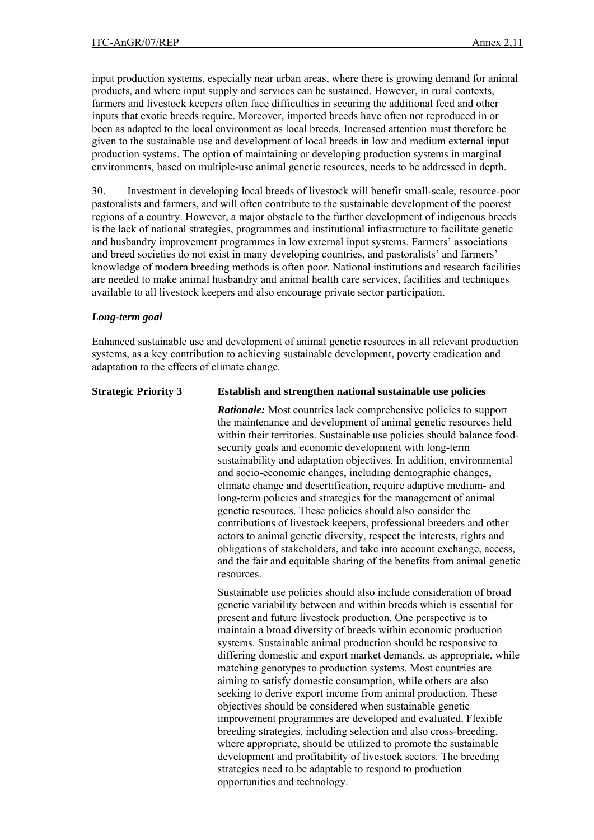input production systems, especially near urban areas, where there is growing demand for animal products, and where input supply and services can be sustained. However, in rural contexts, farmers and livestock keepers often face difficulties in securing the additional feed and other inputs that exotic breeds require. Moreover, imported breeds have often not reproduced in or been as adapted to the local environment as local breeds. Increased attention must therefore be given to the sustainable use and development of local breeds in low and medium external input production systems. The option of maintaining or developing production systems in marginal environments, based on multiple-use animal genetic resources, needs to be addressed in depth.

30. Investment in developing local breeds of livestock will benefit small-scale, resource-poor pastoralists and farmers, and will often contribute to the sustainable development of the poorest regions of a country. However, a major obstacle to the further development of indigenous breeds is the lack of national strategies, programmes and institutional infrastructure to facilitate genetic and husbandry improvement programmes in low external input systems. Farmers' associations and breed societies do not exist in many developing countries, and pastoralists' and farmers' knowledge of modern breeding methods is often poor. National institutions and research facilities are needed to make animal husbandry and animal health care services, facilities and techniques available to all livestock keepers and also encourage private sector participation.

#### *Long-term goal*

Enhanced sustainable use and development of animal genetic resources in all relevant production systems, as a key contribution to achieving sustainable development, poverty eradication and adaptation to the effects of climate change.

#### **Strategic Priority 3 Establish and strengthen national sustainable use policies**

*Rationale:* Most countries lack comprehensive policies to support the maintenance and development of animal genetic resources held within their territories. Sustainable use policies should balance foodsecurity goals and economic development with long-term sustainability and adaptation objectives. In addition, environmental and socio-economic changes, including demographic changes, climate change and desertification, require adaptive medium- and long-term policies and strategies for the management of animal genetic resources. These policies should also consider the contributions of livestock keepers, professional breeders and other actors to animal genetic diversity, respect the interests, rights and obligations of stakeholders, and take into account exchange, access, and the fair and equitable sharing of the benefits from animal genetic resources.

Sustainable use policies should also include consideration of broad genetic variability between and within breeds which is essential for present and future livestock production. One perspective is to maintain a broad diversity of breeds within economic production systems. Sustainable animal production should be responsive to differing domestic and export market demands, as appropriate, while matching genotypes to production systems. Most countries are aiming to satisfy domestic consumption, while others are also seeking to derive export income from animal production. These objectives should be considered when sustainable genetic improvement programmes are developed and evaluated. Flexible breeding strategies, including selection and also cross-breeding, where appropriate, should be utilized to promote the sustainable development and profitability of livestock sectors. The breeding strategies need to be adaptable to respond to production opportunities and technology.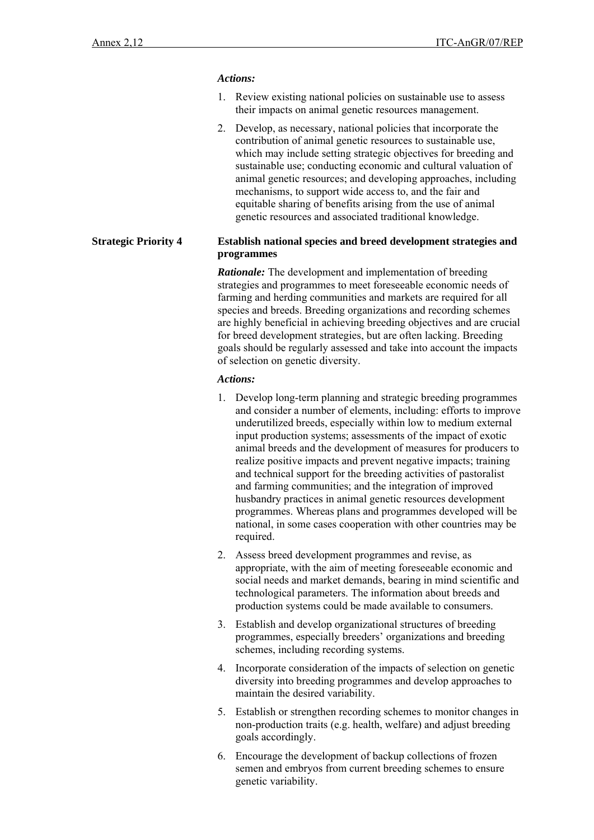#### *Actions:*

- 1. Review existing national policies on sustainable use to assess their impacts on animal genetic resources management.
- 2. Develop, as necessary, national policies that incorporate the contribution of animal genetic resources to sustainable use, which may include setting strategic objectives for breeding and sustainable use; conducting economic and cultural valuation of animal genetic resources; and developing approaches, including mechanisms, to support wide access to, and the fair and equitable sharing of benefits arising from the use of animal genetic resources and associated traditional knowledge.

#### **Strategic Priority 4 Establish national species and breed development strategies and programmes**

*Rationale:* The development and implementation of breeding strategies and programmes to meet foreseeable economic needs of farming and herding communities and markets are required for all species and breeds. Breeding organizations and recording schemes are highly beneficial in achieving breeding objectives and are crucial for breed development strategies, but are often lacking. Breeding goals should be regularly assessed and take into account the impacts of selection on genetic diversity.

#### *Actions:*

- 1. Develop long-term planning and strategic breeding programmes and consider a number of elements, including: efforts to improve underutilized breeds, especially within low to medium external input production systems; assessments of the impact of exotic animal breeds and the development of measures for producers to realize positive impacts and prevent negative impacts; training and technical support for the breeding activities of pastoralist and farming communities; and the integration of improved husbandry practices in animal genetic resources development programmes. Whereas plans and programmes developed will be national, in some cases cooperation with other countries may be required.
- 2. Assess breed development programmes and revise, as appropriate, with the aim of meeting foreseeable economic and social needs and market demands, bearing in mind scientific and technological parameters. The information about breeds and production systems could be made available to consumers.
- 3. Establish and develop organizational structures of breeding programmes, especially breeders' organizations and breeding schemes, including recording systems.
- 4. Incorporate consideration of the impacts of selection on genetic diversity into breeding programmes and develop approaches to maintain the desired variability.
- 5. Establish or strengthen recording schemes to monitor changes in non-production traits (e.g. health, welfare) and adjust breeding goals accordingly.
- 6. Encourage the development of backup collections of frozen semen and embryos from current breeding schemes to ensure genetic variability.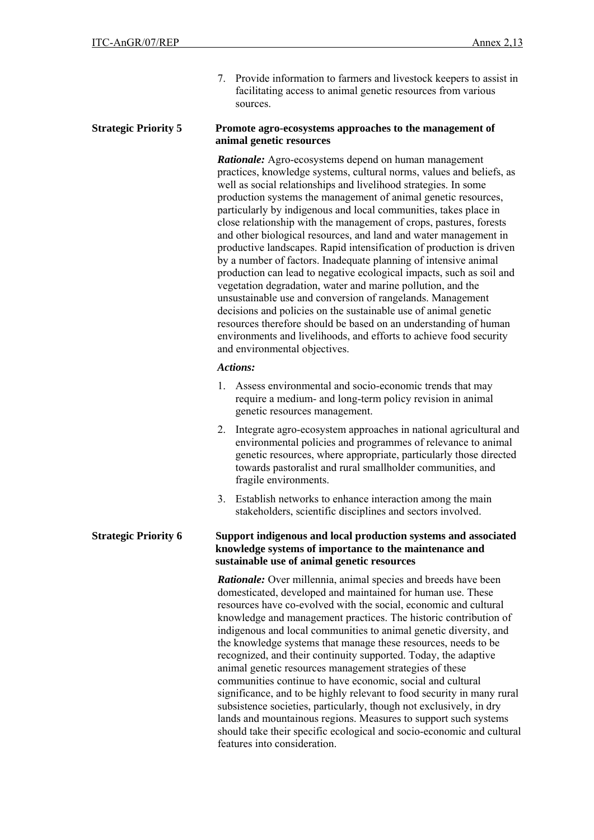7. Provide information to farmers and livestock keepers to assist in facilitating access to animal genetic resources from various sources.

#### **Strategic Priority 5 Promote agro-ecosystems approaches to the management of animal genetic resources**

 *Rationale:* Agro-ecosystems depend on human management practices, knowledge systems, cultural norms, values and beliefs, as well as social relationships and livelihood strategies. In some production systems the management of animal genetic resources, particularly by indigenous and local communities, takes place in close relationship with the management of crops, pastures, forests and other biological resources, and land and water management in productive landscapes. Rapid intensification of production is driven by a number of factors. Inadequate planning of intensive animal production can lead to negative ecological impacts, such as soil and vegetation degradation, water and marine pollution, and the unsustainable use and conversion of rangelands. Management decisions and policies on the sustainable use of animal genetic resources therefore should be based on an understanding of human environments and livelihoods, and efforts to achieve food security and environmental objectives.

#### *Actions:*

- 1. Assess environmental and socio-economic trends that may require a medium- and long-term policy revision in animal genetic resources management.
- 2. Integrate agro-ecosystem approaches in national agricultural and environmental policies and programmes of relevance to animal genetic resources, where appropriate, particularly those directed towards pastoralist and rural smallholder communities, and fragile environments.
- 3. Establish networks to enhance interaction among the main stakeholders, scientific disciplines and sectors involved.

#### **Strategic Priority 6 Support indigenous and local production systems and associated knowledge systems of importance to the maintenance and sustainable use of animal genetic resources**

 *Rationale:* Over millennia, animal species and breeds have been domesticated, developed and maintained for human use. These resources have co-evolved with the social, economic and cultural knowledge and management practices. The historic contribution of indigenous and local communities to animal genetic diversity, and the knowledge systems that manage these resources, needs to be recognized, and their continuity supported. Today, the adaptive animal genetic resources management strategies of these communities continue to have economic, social and cultural significance, and to be highly relevant to food security in many rural subsistence societies, particularly, though not exclusively, in dry lands and mountainous regions. Measures to support such systems should take their specific ecological and socio-economic and cultural features into consideration.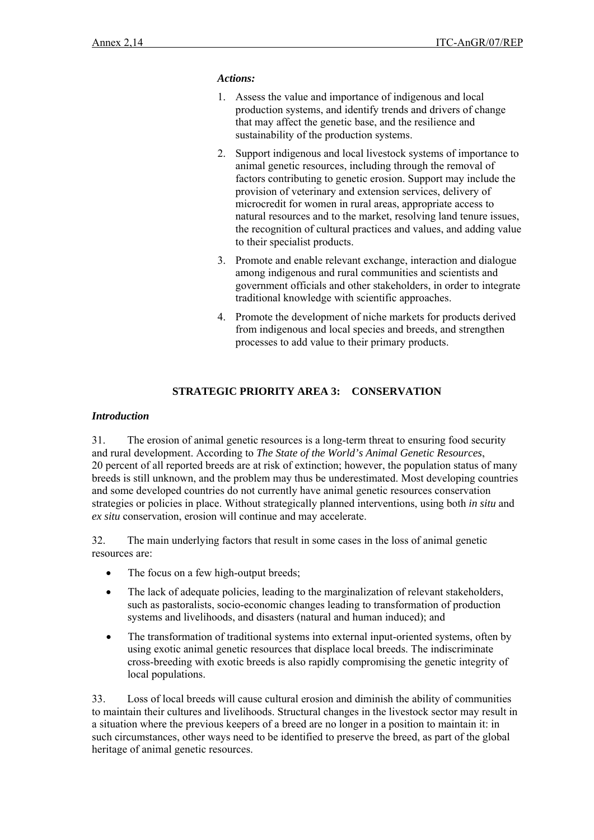#### *Actions:*

- 1. Assess the value and importance of indigenous and local production systems, and identify trends and drivers of change that may affect the genetic base, and the resilience and sustainability of the production systems.
- 2. Support indigenous and local livestock systems of importance to animal genetic resources, including through the removal of factors contributing to genetic erosion. Support may include the provision of veterinary and extension services, delivery of microcredit for women in rural areas, appropriate access to natural resources and to the market, resolving land tenure issues, the recognition of cultural practices and values, and adding value to their specialist products.
- 3. Promote and enable relevant exchange, interaction and dialogue among indigenous and rural communities and scientists and government officials and other stakeholders, in order to integrate traditional knowledge with scientific approaches.
- 4. Promote the development of niche markets for products derived from indigenous and local species and breeds, and strengthen processes to add value to their primary products.

# **STRATEGIC PRIORITY AREA 3: CONSERVATION**

#### *Introduction*

31. The erosion of animal genetic resources is a long-term threat to ensuring food security and rural development. According to *The State of the World's Animal Genetic Resources*, 20 percent of all reported breeds are at risk of extinction; however, the population status of many breeds is still unknown, and the problem may thus be underestimated. Most developing countries and some developed countries do not currently have animal genetic resources conservation strategies or policies in place. Without strategically planned interventions, using both *in situ* and *ex situ* conservation, erosion will continue and may accelerate.

32. The main underlying factors that result in some cases in the loss of animal genetic resources are:

- The focus on a few high-output breeds;
- The lack of adequate policies, leading to the marginalization of relevant stakeholders, such as pastoralists, socio-economic changes leading to transformation of production systems and livelihoods, and disasters (natural and human induced); and
- The transformation of traditional systems into external input-oriented systems, often by using exotic animal genetic resources that displace local breeds. The indiscriminate cross-breeding with exotic breeds is also rapidly compromising the genetic integrity of local populations.

33. Loss of local breeds will cause cultural erosion and diminish the ability of communities to maintain their cultures and livelihoods. Structural changes in the livestock sector may result in a situation where the previous keepers of a breed are no longer in a position to maintain it: in such circumstances, other ways need to be identified to preserve the breed, as part of the global heritage of animal genetic resources.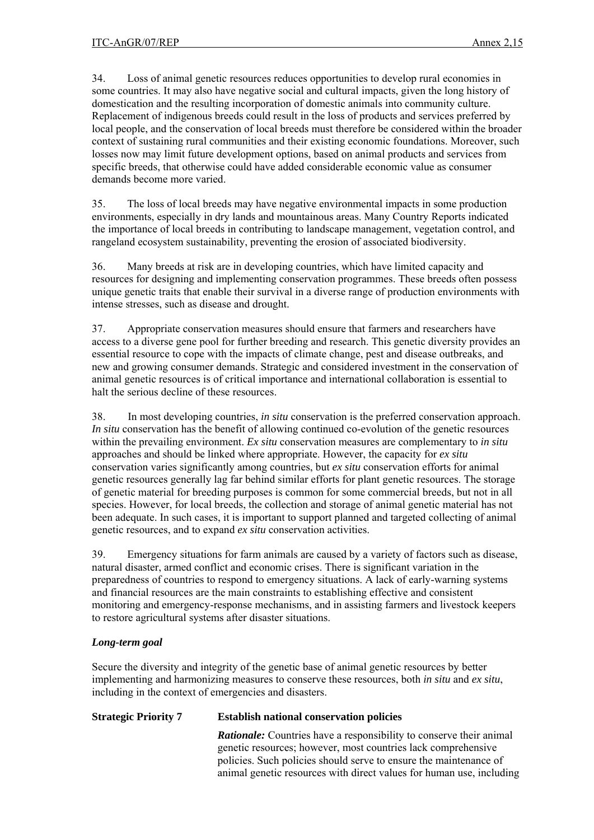34. Loss of animal genetic resources reduces opportunities to develop rural economies in some countries. It may also have negative social and cultural impacts, given the long history of domestication and the resulting incorporation of domestic animals into community culture. Replacement of indigenous breeds could result in the loss of products and services preferred by local people, and the conservation of local breeds must therefore be considered within the broader context of sustaining rural communities and their existing economic foundations. Moreover, such losses now may limit future development options, based on animal products and services from specific breeds, that otherwise could have added considerable economic value as consumer demands become more varied.

35. The loss of local breeds may have negative environmental impacts in some production environments, especially in dry lands and mountainous areas. Many Country Reports indicated the importance of local breeds in contributing to landscape management, vegetation control, and rangeland ecosystem sustainability, preventing the erosion of associated biodiversity.

36. Many breeds at risk are in developing countries, which have limited capacity and resources for designing and implementing conservation programmes. These breeds often possess unique genetic traits that enable their survival in a diverse range of production environments with intense stresses, such as disease and drought.

37. Appropriate conservation measures should ensure that farmers and researchers have access to a diverse gene pool for further breeding and research. This genetic diversity provides an essential resource to cope with the impacts of climate change, pest and disease outbreaks, and new and growing consumer demands. Strategic and considered investment in the conservation of animal genetic resources is of critical importance and international collaboration is essential to halt the serious decline of these resources.

38. In most developing countries, *in situ* conservation is the preferred conservation approach. *In situ* conservation has the benefit of allowing continued co-evolution of the genetic resources within the prevailing environment. *Ex situ* conservation measures are complementary to *in situ* approaches and should be linked where appropriate. However, the capacity for *ex situ* conservation varies significantly among countries, but *ex situ* conservation efforts for animal genetic resources generally lag far behind similar efforts for plant genetic resources. The storage of genetic material for breeding purposes is common for some commercial breeds, but not in all species. However, for local breeds, the collection and storage of animal genetic material has not been adequate. In such cases, it is important to support planned and targeted collecting of animal genetic resources, and to expand *ex situ* conservation activities.

39. Emergency situations for farm animals are caused by a variety of factors such as disease, natural disaster, armed conflict and economic crises. There is significant variation in the preparedness of countries to respond to emergency situations. A lack of early-warning systems and financial resources are the main constraints to establishing effective and consistent monitoring and emergency-response mechanisms, and in assisting farmers and livestock keepers to restore agricultural systems after disaster situations.

# *Long-term goal*

Secure the diversity and integrity of the genetic base of animal genetic resources by better implementing and harmonizing measures to conserve these resources, both *in situ* and *ex situ*, including in the context of emergencies and disasters.

# **Strategic Priority 7 Establish national conservation policies**

*Rationale:* Countries have a responsibility to conserve their animal genetic resources; however, most countries lack comprehensive policies. Such policies should serve to ensure the maintenance of animal genetic resources with direct values for human use, including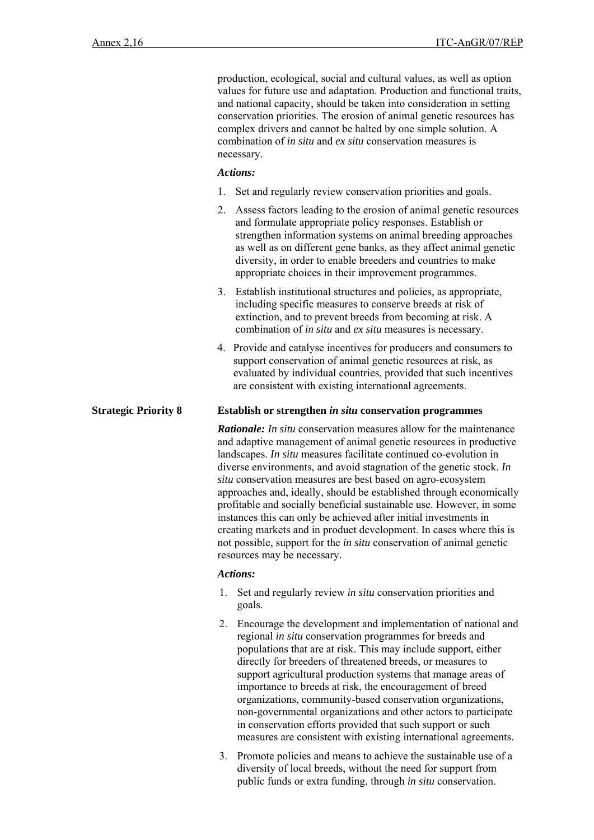production, ecological, social and cultural values, as well as option values for future use and adaptation. Production and functional traits, and national capacity, should be taken into consideration in setting conservation priorities. The erosion of animal genetic resources has complex drivers and cannot be halted by one simple solution. A combination of *in situ* and *ex situ* conservation measures is necessary.

#### *Actions:*

- 1. Set and regularly review conservation priorities and goals.
- 2. Assess factors leading to the erosion of animal genetic resources and formulate appropriate policy responses. Establish or strengthen information systems on animal breeding approaches as well as on different gene banks, as they affect animal genetic diversity, in order to enable breeders and countries to make appropriate choices in their improvement programmes.
- 3. Establish institutional structures and policies, as appropriate, including specific measures to conserve breeds at risk of extinction, and to prevent breeds from becoming at risk. A combination of *in situ* and *ex situ* measures is necessary.
- 4. Provide and catalyse incentives for producers and consumers to support conservation of animal genetic resources at risk, as evaluated by individual countries, provided that such incentives are consistent with existing international agreements.

#### **Strategic Priority 8 Establish or strengthen** *in situ* **conservation programmes**

 *Rationale: In situ* conservation measures allow for the maintenance and adaptive management of animal genetic resources in productive landscapes. *In situ* measures facilitate continued co-evolution in diverse environments, and avoid stagnation of the genetic stock. *In situ* conservation measures are best based on agro-ecosystem approaches and, ideally, should be established through economically profitable and socially beneficial sustainable use. However, in some instances this can only be achieved after initial investments in creating markets and in product development. In cases where this is not possible, support for the *in situ* conservation of animal genetic resources may be necessary.

#### *Actions:*

- 1. Set and regularly review *in situ* conservation priorities and goals.
- 2. Encourage the development and implementation of national and regional *in situ* conservation programmes for breeds and populations that are at risk. This may include support, either directly for breeders of threatened breeds, or measures to support agricultural production systems that manage areas of importance to breeds at risk, the encouragement of breed organizations, community-based conservation organizations, non-governmental organizations and other actors to participate in conservation efforts provided that such support or such measures are consistent with existing international agreements.
- 3. Promote policies and means to achieve the sustainable use of a diversity of local breeds, without the need for support from public funds or extra funding, through *in situ* conservation.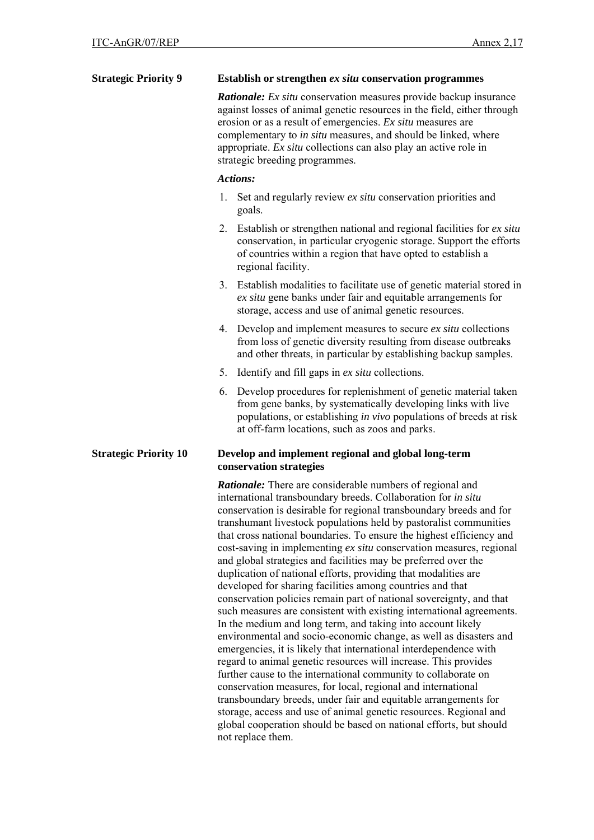| <b>Strategic Priority 9</b>  | Establish or strengthen ex situ conservation programmes                                                                                                                                                                                                                                                                                                                                                                                                                                                                                                                                                                                                                                                                                                                                                                                                                                                                                                                                                                                                                                                             |  |  |
|------------------------------|---------------------------------------------------------------------------------------------------------------------------------------------------------------------------------------------------------------------------------------------------------------------------------------------------------------------------------------------------------------------------------------------------------------------------------------------------------------------------------------------------------------------------------------------------------------------------------------------------------------------------------------------------------------------------------------------------------------------------------------------------------------------------------------------------------------------------------------------------------------------------------------------------------------------------------------------------------------------------------------------------------------------------------------------------------------------------------------------------------------------|--|--|
|                              | <b>Rationale:</b> Ex situ conservation measures provide backup insurance<br>against losses of animal genetic resources in the field, either through<br>erosion or as a result of emergencies. Ex situ measures are<br>complementary to in situ measures, and should be linked, where<br>appropriate. Ex situ collections can also play an active role in<br>strategic breeding programmes.                                                                                                                                                                                                                                                                                                                                                                                                                                                                                                                                                                                                                                                                                                                          |  |  |
|                              | <b>Actions:</b>                                                                                                                                                                                                                                                                                                                                                                                                                                                                                                                                                                                                                                                                                                                                                                                                                                                                                                                                                                                                                                                                                                     |  |  |
|                              | Set and regularly review ex situ conservation priorities and<br>1.<br>goals.                                                                                                                                                                                                                                                                                                                                                                                                                                                                                                                                                                                                                                                                                                                                                                                                                                                                                                                                                                                                                                        |  |  |
|                              | 2. Establish or strengthen national and regional facilities for ex situ<br>conservation, in particular cryogenic storage. Support the efforts<br>of countries within a region that have opted to establish a<br>regional facility.                                                                                                                                                                                                                                                                                                                                                                                                                                                                                                                                                                                                                                                                                                                                                                                                                                                                                  |  |  |
|                              | 3. Establish modalities to facilitate use of genetic material stored in<br>ex situ gene banks under fair and equitable arrangements for<br>storage, access and use of animal genetic resources.                                                                                                                                                                                                                                                                                                                                                                                                                                                                                                                                                                                                                                                                                                                                                                                                                                                                                                                     |  |  |
|                              | 4. Develop and implement measures to secure <i>ex situ</i> collections<br>from loss of genetic diversity resulting from disease outbreaks<br>and other threats, in particular by establishing backup samples.                                                                                                                                                                                                                                                                                                                                                                                                                                                                                                                                                                                                                                                                                                                                                                                                                                                                                                       |  |  |
|                              | 5. Identify and fill gaps in ex situ collections.                                                                                                                                                                                                                                                                                                                                                                                                                                                                                                                                                                                                                                                                                                                                                                                                                                                                                                                                                                                                                                                                   |  |  |
|                              | 6. Develop procedures for replenishment of genetic material taken<br>from gene banks, by systematically developing links with live<br>populations, or establishing <i>in vivo</i> populations of breeds at risk<br>at off-farm locations, such as zoos and parks.                                                                                                                                                                                                                                                                                                                                                                                                                                                                                                                                                                                                                                                                                                                                                                                                                                                   |  |  |
| <b>Strategic Priority 10</b> | Develop and implement regional and global long-term<br>conservation strategies                                                                                                                                                                                                                                                                                                                                                                                                                                                                                                                                                                                                                                                                                                                                                                                                                                                                                                                                                                                                                                      |  |  |
|                              | Rationale: There are considerable numbers of regional and<br>international transboundary breeds. Collaboration for in situ<br>conservation is desirable for regional transboundary breeds and for<br>transhumant livestock populations held by pastoralist communities<br>that cross national boundaries. To ensure the highest efficiency and<br>cost-saving in implementing ex situ conservation measures, regional<br>and global strategies and facilities may be preferred over the<br>duplication of national efforts, providing that modalities are<br>developed for sharing facilities among countries and that<br>conservation policies remain part of national sovereignty, and that<br>such measures are consistent with existing international agreements.<br>In the medium and long term, and taking into account likely<br>environmental and socio-economic change, as well as disasters and<br>emergencies, it is likely that international interdependence with<br>regard to animal genetic resources will increase. This provides<br>further cause to the international community to collaborate on |  |  |

further cause to the international community to collaborate on conservation measures, for local, regional and international transboundary breeds, under fair and equitable arrangements for storage, access and use of animal genetic resources. Regional and global cooperation should be based on national efforts, but should not replace them.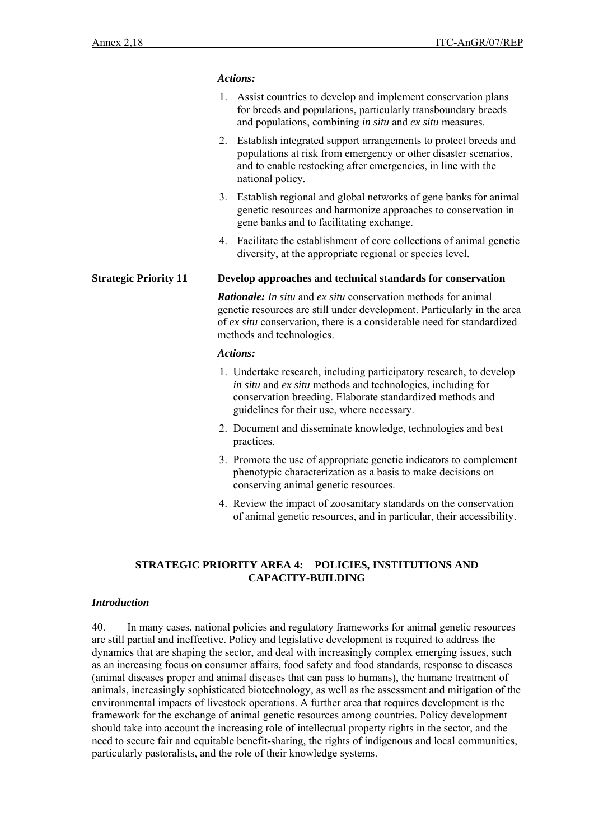#### *Actions:*

- 1. Assist countries to develop and implement conservation plans for breeds and populations, particularly transboundary breeds and populations, combining *in situ* and *ex situ* measures.
- 2. Establish integrated support arrangements to protect breeds and populations at risk from emergency or other disaster scenarios, and to enable restocking after emergencies, in line with the national policy.
- 3. Establish regional and global networks of gene banks for animal genetic resources and harmonize approaches to conservation in gene banks and to facilitating exchange.
- 4. Facilitate the establishment of core collections of animal genetic diversity, at the appropriate regional or species level.

#### **Strategic Priority 11 Develop approaches and technical standards for conservation**

*Rationale: In situ* and *ex situ* conservation methods for animal genetic resources are still under development. Particularly in the area of *ex situ* conservation, there is a considerable need for standardized methods and technologies.

#### *Actions:*

- 1. Undertake research, including participatory research, to develop *in situ* and *ex situ* methods and technologies, including for conservation breeding. Elaborate standardized methods and guidelines for their use, where necessary.
- 2. Document and disseminate knowledge, technologies and best practices.
- 3. Promote the use of appropriate genetic indicators to complement phenotypic characterization as a basis to make decisions on conserving animal genetic resources.
- 4. Review the impact of zoosanitary standards on the conservation of animal genetic resources, and in particular, their accessibility.

# **STRATEGIC PRIORITY AREA 4: POLICIES, INSTITUTIONS AND CAPACITY-BUILDING**

#### *Introduction*

40. In many cases, national policies and regulatory frameworks for animal genetic resources are still partial and ineffective. Policy and legislative development is required to address the dynamics that are shaping the sector, and deal with increasingly complex emerging issues, such as an increasing focus on consumer affairs, food safety and food standards, response to diseases (animal diseases proper and animal diseases that can pass to humans), the humane treatment of animals, increasingly sophisticated biotechnology, as well as the assessment and mitigation of the environmental impacts of livestock operations. A further area that requires development is the framework for the exchange of animal genetic resources among countries. Policy development should take into account the increasing role of intellectual property rights in the sector, and the need to secure fair and equitable benefit-sharing, the rights of indigenous and local communities, particularly pastoralists, and the role of their knowledge systems.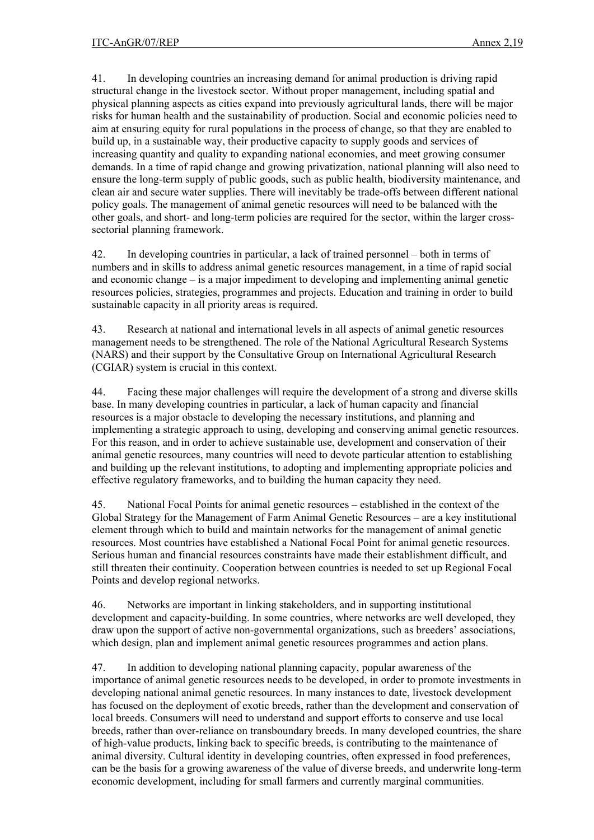41. In developing countries an increasing demand for animal production is driving rapid structural change in the livestock sector. Without proper management, including spatial and physical planning aspects as cities expand into previously agricultural lands, there will be major risks for human health and the sustainability of production. Social and economic policies need to aim at ensuring equity for rural populations in the process of change, so that they are enabled to build up, in a sustainable way, their productive capacity to supply goods and services of increasing quantity and quality to expanding national economies, and meet growing consumer demands. In a time of rapid change and growing privatization, national planning will also need to ensure the long-term supply of public goods, such as public health, biodiversity maintenance, and clean air and secure water supplies. There will inevitably be trade-offs between different national policy goals. The management of animal genetic resources will need to be balanced with the other goals, and short- and long-term policies are required for the sector, within the larger crosssectorial planning framework.

42. In developing countries in particular, a lack of trained personnel – both in terms of numbers and in skills to address animal genetic resources management, in a time of rapid social and economic change – is a major impediment to developing and implementing animal genetic resources policies, strategies, programmes and projects. Education and training in order to build sustainable capacity in all priority areas is required.

43. Research at national and international levels in all aspects of animal genetic resources management needs to be strengthened. The role of the National Agricultural Research Systems (NARS) and their support by the Consultative Group on International Agricultural Research (CGIAR) system is crucial in this context.

44. Facing these major challenges will require the development of a strong and diverse skills base. In many developing countries in particular, a lack of human capacity and financial resources is a major obstacle to developing the necessary institutions, and planning and implementing a strategic approach to using, developing and conserving animal genetic resources. For this reason, and in order to achieve sustainable use, development and conservation of their animal genetic resources, many countries will need to devote particular attention to establishing and building up the relevant institutions, to adopting and implementing appropriate policies and effective regulatory frameworks, and to building the human capacity they need.

45. National Focal Points for animal genetic resources – established in the context of the Global Strategy for the Management of Farm Animal Genetic Resources – are a key institutional element through which to build and maintain networks for the management of animal genetic resources. Most countries have established a National Focal Point for animal genetic resources. Serious human and financial resources constraints have made their establishment difficult, and still threaten their continuity. Cooperation between countries is needed to set up Regional Focal Points and develop regional networks.

46. Networks are important in linking stakeholders, and in supporting institutional development and capacity-building. In some countries, where networks are well developed, they draw upon the support of active non-governmental organizations, such as breeders' associations, which design, plan and implement animal genetic resources programmes and action plans.

47. In addition to developing national planning capacity, popular awareness of the importance of animal genetic resources needs to be developed, in order to promote investments in developing national animal genetic resources. In many instances to date, livestock development has focused on the deployment of exotic breeds, rather than the development and conservation of local breeds. Consumers will need to understand and support efforts to conserve and use local breeds, rather than over-reliance on transboundary breeds. In many developed countries, the share of high-value products, linking back to specific breeds, is contributing to the maintenance of animal diversity. Cultural identity in developing countries, often expressed in food preferences, can be the basis for a growing awareness of the value of diverse breeds, and underwrite long-term economic development, including for small farmers and currently marginal communities.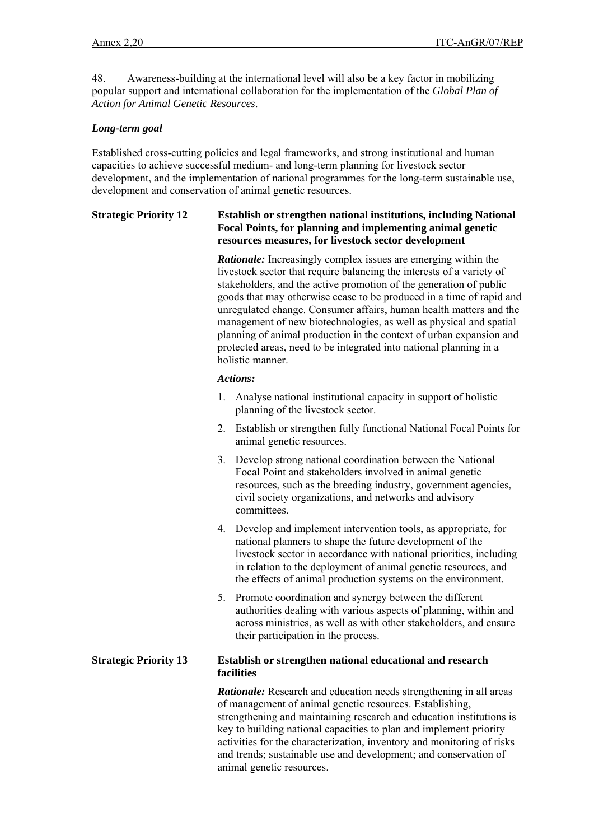48. Awareness-building at the international level will also be a key factor in mobilizing popular support and international collaboration for the implementation of the *Global Plan of Action for Animal Genetic Resources*.

# *Long-term goal*

Established cross-cutting policies and legal frameworks, and strong institutional and human capacities to achieve successful medium- and long-term planning for livestock sector development, and the implementation of national programmes for the long-term sustainable use, development and conservation of animal genetic resources.

### **Strategic Priority 12 Establish or strengthen national institutions, including National Focal Points, for planning and implementing animal genetic resources measures, for livestock sector development**

*Rationale:* Increasingly complex issues are emerging within the livestock sector that require balancing the interests of a variety of stakeholders, and the active promotion of the generation of public goods that may otherwise cease to be produced in a time of rapid and unregulated change. Consumer affairs, human health matters and the management of new biotechnologies, as well as physical and spatial planning of animal production in the context of urban expansion and protected areas, need to be integrated into national planning in a holistic manner.

#### *Actions:*

- 1. Analyse national institutional capacity in support of holistic planning of the livestock sector.
- 2. Establish or strengthen fully functional National Focal Points for animal genetic resources.
- 3. Develop strong national coordination between the National Focal Point and stakeholders involved in animal genetic resources, such as the breeding industry, government agencies, civil society organizations, and networks and advisory committees.
- 4. Develop and implement intervention tools, as appropriate, for national planners to shape the future development of the livestock sector in accordance with national priorities, including in relation to the deployment of animal genetic resources, and the effects of animal production systems on the environment.
- 5. Promote coordination and synergy between the different authorities dealing with various aspects of planning, within and across ministries, as well as with other stakeholders, and ensure their participation in the process.

#### **Strategic Priority 13 Establish or strengthen national educational and research facilities**

*Rationale:* Research and education needs strengthening in all areas of management of animal genetic resources. Establishing, strengthening and maintaining research and education institutions is key to building national capacities to plan and implement priority activities for the characterization, inventory and monitoring of risks and trends; sustainable use and development; and conservation of animal genetic resources.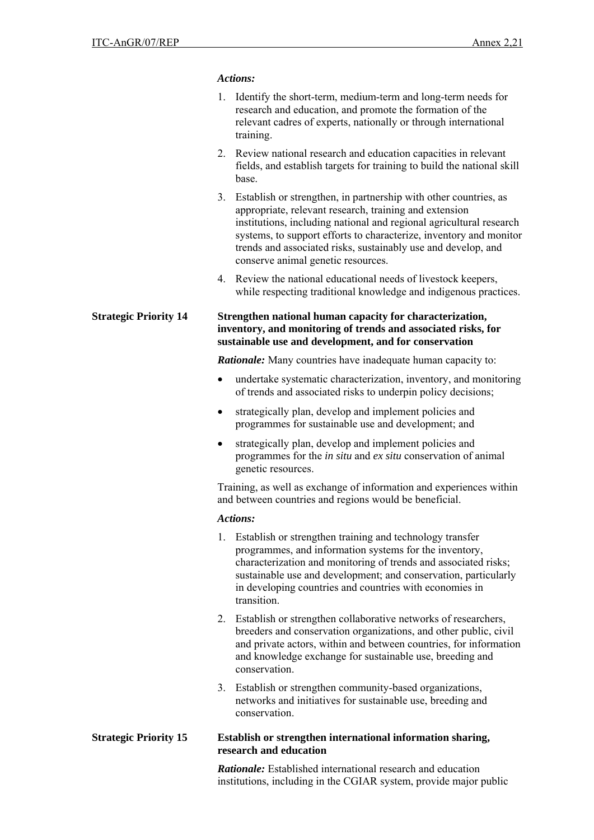### *Actions:*

| 1. Identify the short-term, medium-term and long-term needs for |
|-----------------------------------------------------------------|
| research and education, and promote the formation of the        |
| relevant cadres of experts, nationally or through international |
| training.                                                       |

- 2. Review national research and education capacities in relevant fields, and establish targets for training to build the national skill base.
- 3. Establish or strengthen, in partnership with other countries, as appropriate, relevant research, training and extension institutions, including national and regional agricultural research systems, to support efforts to characterize, inventory and monitor trends and associated risks, sustainably use and develop, and conserve animal genetic resources.
- 4. Review the national educational needs of livestock keepers, while respecting traditional knowledge and indigenous practices.

**Strategic Priority 14 Strengthen national human capacity for characterization, inventory, and monitoring of trends and associated risks, for sustainable use and development, and for conservation** 

*Rationale:* Many countries have inadequate human capacity to:

- undertake systematic characterization, inventory, and monitoring of trends and associated risks to underpin policy decisions;
- strategically plan, develop and implement policies and programmes for sustainable use and development; and
- strategically plan, develop and implement policies and programmes for the *in situ* and *ex situ* conservation of animal genetic resources.

Training, as well as exchange of information and experiences within and between countries and regions would be beneficial.

#### *Actions:*

- 1. Establish or strengthen training and technology transfer programmes, and information systems for the inventory, characterization and monitoring of trends and associated risks; sustainable use and development; and conservation, particularly in developing countries and countries with economies in transition.
- 2. Establish or strengthen collaborative networks of researchers, breeders and conservation organizations, and other public, civil and private actors, within and between countries, for information and knowledge exchange for sustainable use, breeding and conservation.
- 3. Establish or strengthen community-based organizations, networks and initiatives for sustainable use, breeding and conservation.

#### **Strategic Priority 15 Establish or strengthen international information sharing, research and education**

*Rationale:* Established international research and education institutions, including in the CGIAR system, provide major public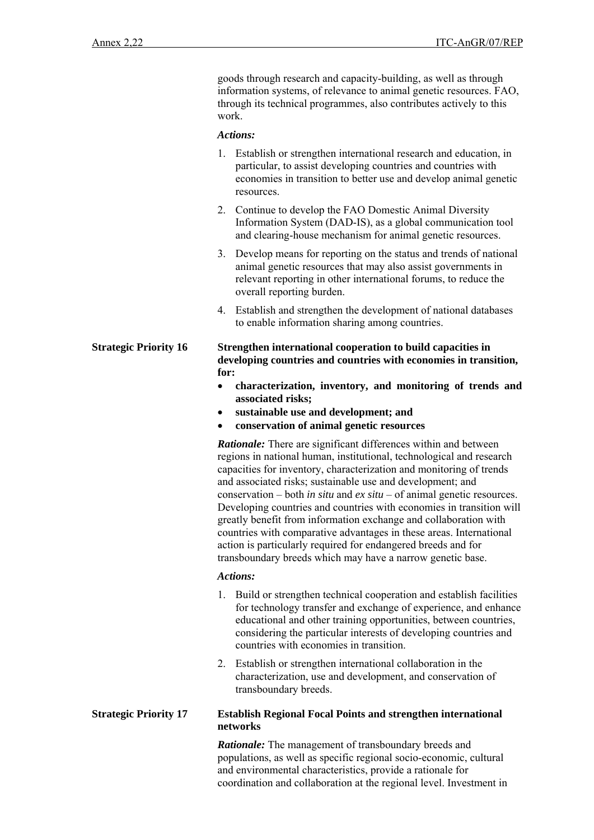goods through research and capacity-building, as well as through information systems, of relevance to animal genetic resources. FAO, through its technical programmes, also contributes actively to this work.

#### *Actions:*

- 1. Establish or strengthen international research and education, in particular, to assist developing countries and countries with economies in transition to better use and develop animal genetic resources.
- 2. Continue to develop the FAO Domestic Animal Diversity Information System (DAD-IS), as a global communication tool and clearing-house mechanism for animal genetic resources.
- 3. Develop means for reporting on the status and trends of national animal genetic resources that may also assist governments in relevant reporting in other international forums, to reduce the overall reporting burden.
- 4. Establish and strengthen the development of national databases to enable information sharing among countries.

### **Strategic Priority 16 Strengthen international cooperation to build capacities in developing countries and countries with economies in transition, for:**

- **characterization, inventory, and monitoring of trends and associated risks;**
- **sustainable use and development; and**
- **conservation of animal genetic resources**

*Rationale:* There are significant differences within and between regions in national human, institutional, technological and research capacities for inventory, characterization and monitoring of trends and associated risks; sustainable use and development; and conservation – both *in situ* and *ex situ* – of animal genetic resources. Developing countries and countries with economies in transition will greatly benefit from information exchange and collaboration with countries with comparative advantages in these areas. International action is particularly required for endangered breeds and for transboundary breeds which may have a narrow genetic base.

#### *Actions:*

- 1. Build or strengthen technical cooperation and establish facilities for technology transfer and exchange of experience, and enhance educational and other training opportunities, between countries, considering the particular interests of developing countries and countries with economies in transition.
- 2. Establish or strengthen international collaboration in the characterization, use and development, and conservation of transboundary breeds.

#### **Strategic Priority 17 Establish Regional Focal Points and strengthen international networks**

*Rationale:* The management of transboundary breeds and populations, as well as specific regional socio-economic, cultural and environmental characteristics, provide a rationale for coordination and collaboration at the regional level. Investment in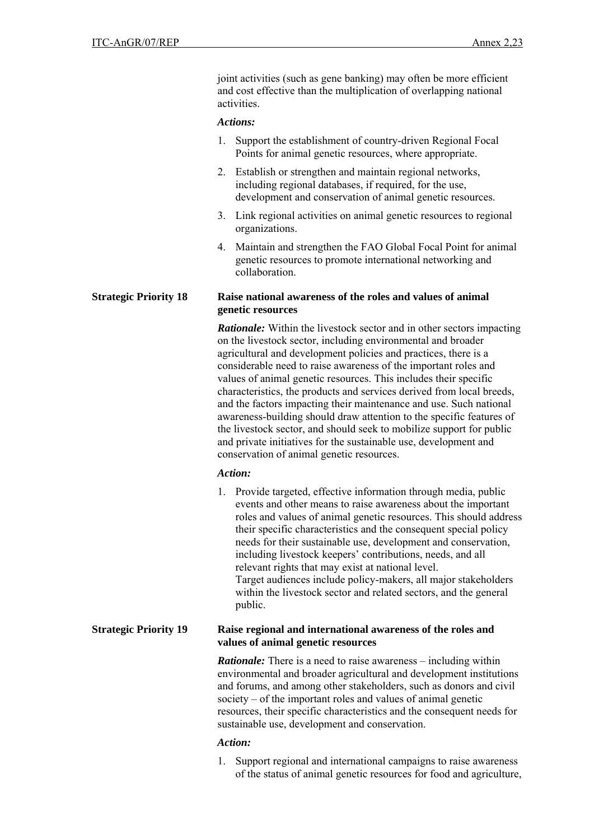joint activities (such as gene banking) may often be more efficient and cost effective than the multiplication of overlapping national activities.

#### *Actions:*

- 1. Support the establishment of country-driven Regional Focal Points for animal genetic resources, where appropriate.
- 2. Establish or strengthen and maintain regional networks, including regional databases, if required, for the use, development and conservation of animal genetic resources.
- 3. Link regional activities on animal genetic resources to regional organizations.
- 4. Maintain and strengthen the FAO Global Focal Point for animal genetic resources to promote international networking and collaboration.

#### **Strategic Priority 18 Raise national awareness of the roles and values of animal genetic resources**

*Rationale:* Within the livestock sector and in other sectors impacting on the livestock sector, including environmental and broader agricultural and development policies and practices, there is a considerable need to raise awareness of the important roles and values of animal genetic resources. This includes their specific characteristics, the products and services derived from local breeds, and the factors impacting their maintenance and use. Such national awareness-building should draw attention to the specific features of the livestock sector, and should seek to mobilize support for public and private initiatives for the sustainable use, development and conservation of animal genetic resources.

## *Action:*

1. Provide targeted, effective information through media, public events and other means to raise awareness about the important roles and values of animal genetic resources. This should address their specific characteristics and the consequent special policy needs for their sustainable use, development and conservation, including livestock keepers' contributions, needs, and all relevant rights that may exist at national level. Target audiences include policy-makers, all major stakeholders within the livestock sector and related sectors, and the general public.

## **Strategic Priority 19 Raise regional and international awareness of the roles and values of animal genetic resources**

*Rationale:* There is a need to raise awareness – including within environmental and broader agricultural and development institutions and forums, and among other stakeholders, such as donors and civil society – of the important roles and values of animal genetic resources, their specific characteristics and the consequent needs for sustainable use, development and conservation.

## *Action:*

1. Support regional and international campaigns to raise awareness of the status of animal genetic resources for food and agriculture,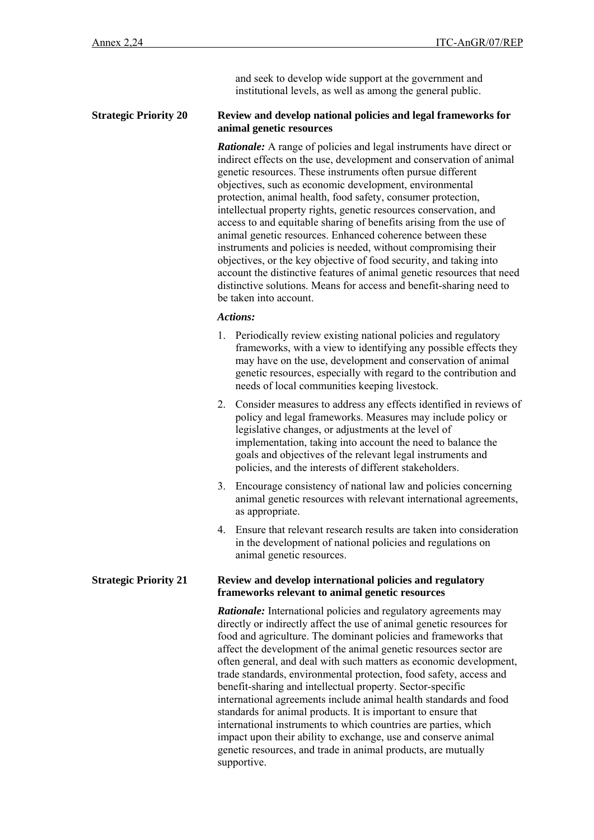and seek to develop wide support at the government and institutional levels, as well as among the general public.

#### **Strategic Priority 20 Review and develop national policies and legal frameworks for animal genetic resources**

*Rationale:* A range of policies and legal instruments have direct or indirect effects on the use, development and conservation of animal genetic resources. These instruments often pursue different objectives, such as economic development, environmental protection, animal health, food safety, consumer protection, intellectual property rights, genetic resources conservation, and access to and equitable sharing of benefits arising from the use of animal genetic resources. Enhanced coherence between these instruments and policies is needed, without compromising their objectives, or the key objective of food security, and taking into account the distinctive features of animal genetic resources that need distinctive solutions. Means for access and benefit-sharing need to be taken into account.

### *Actions:*

- 1. Periodically review existing national policies and regulatory frameworks, with a view to identifying any possible effects they may have on the use, development and conservation of animal genetic resources, especially with regard to the contribution and needs of local communities keeping livestock.
- 2. Consider measures to address any effects identified in reviews of policy and legal frameworks. Measures may include policy or legislative changes, or adjustments at the level of implementation, taking into account the need to balance the goals and objectives of the relevant legal instruments and policies, and the interests of different stakeholders.
- 3. Encourage consistency of national law and policies concerning animal genetic resources with relevant international agreements, as appropriate.
- 4. Ensure that relevant research results are taken into consideration in the development of national policies and regulations on animal genetic resources.

#### **Strategic Priority 21 Review and develop international policies and regulatory frameworks relevant to animal genetic resources**

*Rationale:* International policies and regulatory agreements may directly or indirectly affect the use of animal genetic resources for food and agriculture. The dominant policies and frameworks that affect the development of the animal genetic resources sector are often general, and deal with such matters as economic development, trade standards, environmental protection, food safety, access and benefit-sharing and intellectual property. Sector-specific international agreements include animal health standards and food standards for animal products. It is important to ensure that international instruments to which countries are parties, which impact upon their ability to exchange, use and conserve animal genetic resources, and trade in animal products, are mutually supportive.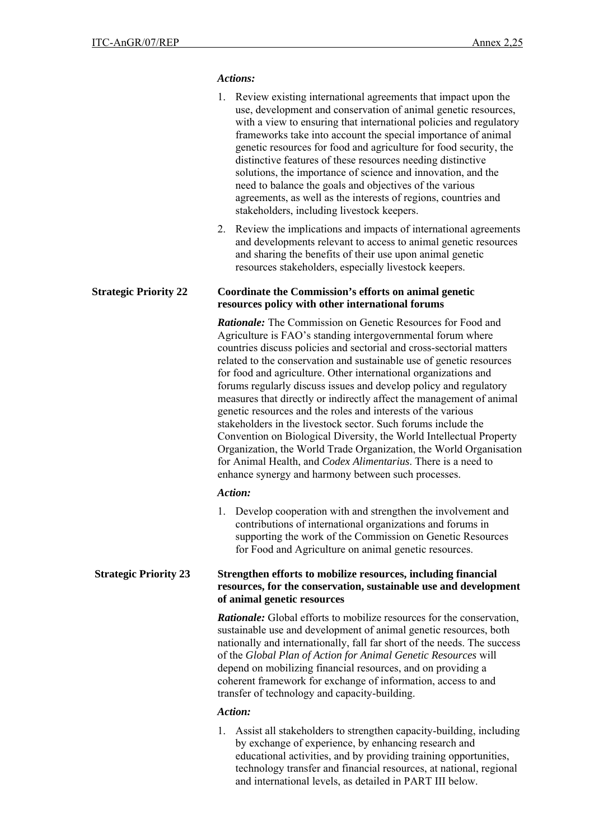### *Actions:*

|                              | 1. Review existing international agreements that impact upon the<br>use, development and conservation of animal genetic resources,<br>with a view to ensuring that international policies and regulatory<br>frameworks take into account the special importance of animal<br>genetic resources for food and agriculture for food security, the<br>distinctive features of these resources needing distinctive<br>solutions, the importance of science and innovation, and the<br>need to balance the goals and objectives of the various<br>agreements, as well as the interests of regions, countries and<br>stakeholders, including livestock keepers.                                                                                                                                                                                                                                                        |  |  |
|------------------------------|-----------------------------------------------------------------------------------------------------------------------------------------------------------------------------------------------------------------------------------------------------------------------------------------------------------------------------------------------------------------------------------------------------------------------------------------------------------------------------------------------------------------------------------------------------------------------------------------------------------------------------------------------------------------------------------------------------------------------------------------------------------------------------------------------------------------------------------------------------------------------------------------------------------------|--|--|
|                              | Review the implications and impacts of international agreements<br>2.<br>and developments relevant to access to animal genetic resources<br>and sharing the benefits of their use upon animal genetic<br>resources stakeholders, especially livestock keepers.                                                                                                                                                                                                                                                                                                                                                                                                                                                                                                                                                                                                                                                  |  |  |
| <b>Strategic Priority 22</b> | <b>Coordinate the Commission's efforts on animal genetic</b><br>resources policy with other international forums                                                                                                                                                                                                                                                                                                                                                                                                                                                                                                                                                                                                                                                                                                                                                                                                |  |  |
|                              | <b>Rationale:</b> The Commission on Genetic Resources for Food and<br>Agriculture is FAO's standing intergovernmental forum where<br>countries discuss policies and sectorial and cross-sectorial matters<br>related to the conservation and sustainable use of genetic resources<br>for food and agriculture. Other international organizations and<br>forums regularly discuss issues and develop policy and regulatory<br>measures that directly or indirectly affect the management of animal<br>genetic resources and the roles and interests of the various<br>stakeholders in the livestock sector. Such forums include the<br>Convention on Biological Diversity, the World Intellectual Property<br>Organization, the World Trade Organization, the World Organisation<br>for Animal Health, and <i>Codex Alimentarius</i> . There is a need to<br>enhance synergy and harmony between such processes. |  |  |
|                              | Action:                                                                                                                                                                                                                                                                                                                                                                                                                                                                                                                                                                                                                                                                                                                                                                                                                                                                                                         |  |  |
|                              | 1. Develop cooperation with and strengthen the involvement and<br>contributions of international organizations and forums in<br>supporting the work of the Commission on Genetic Resources<br>for Food and Agriculture on animal genetic resources.                                                                                                                                                                                                                                                                                                                                                                                                                                                                                                                                                                                                                                                             |  |  |
| <b>Strategic Priority 23</b> | Strengthen efforts to mobilize resources, including financial<br>resources, for the conservation, sustainable use and development<br>of animal genetic resources                                                                                                                                                                                                                                                                                                                                                                                                                                                                                                                                                                                                                                                                                                                                                |  |  |
|                              | <b>Rationale:</b> Global efforts to mobilize resources for the conservation,<br>sustainable use and development of animal genetic resources, both<br>nationally and internationally, fall far short of the needs. The success<br>of the Global Plan of Action for Animal Genetic Resources will<br>depend on mobilizing financial resources, and on providing a<br>coherent framework for exchange of information, access to and<br>transfer of technology and capacity-building.                                                                                                                                                                                                                                                                                                                                                                                                                               |  |  |
|                              |                                                                                                                                                                                                                                                                                                                                                                                                                                                                                                                                                                                                                                                                                                                                                                                                                                                                                                                 |  |  |

# *Action:*

1. Assist all stakeholders to strengthen capacity-building, including by exchange of experience, by enhancing research and educational activities, and by providing training opportunities, technology transfer and financial resources, at national, regional and international levels, as detailed in PART III below.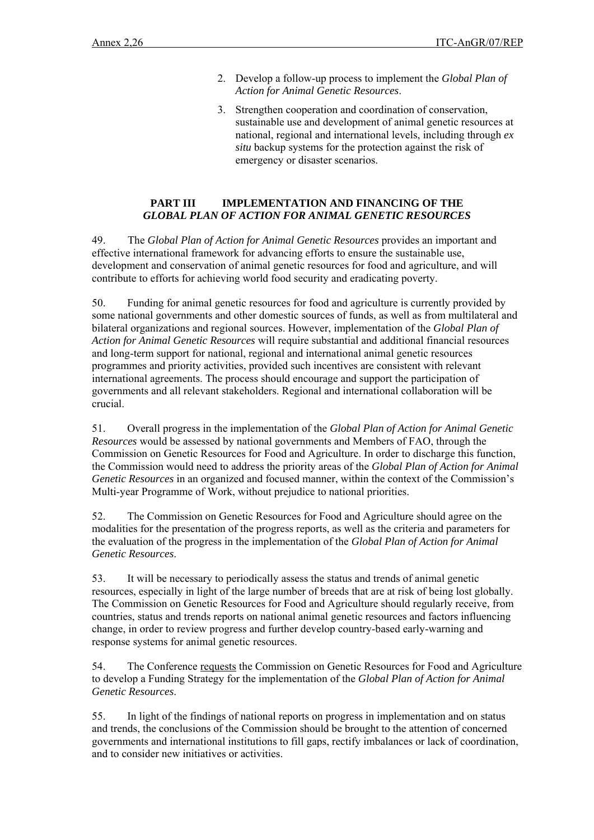- 2. Develop a follow-up process to implement the *Global Plan of Action for Animal Genetic Resources*.
- 3. Strengthen cooperation and coordination of conservation, sustainable use and development of animal genetic resources at national, regional and international levels, including through *ex situ* backup systems for the protection against the risk of emergency or disaster scenarios.

# **PART III IMPLEMENTATION AND FINANCING OF THE** *GLOBAL PLAN OF ACTION FOR ANIMAL GENETIC RESOURCES*

49. The *Global Plan of Action for Animal Genetic Resources* provides an important and effective international framework for advancing efforts to ensure the sustainable use, development and conservation of animal genetic resources for food and agriculture, and will contribute to efforts for achieving world food security and eradicating poverty.

50. Funding for animal genetic resources for food and agriculture is currently provided by some national governments and other domestic sources of funds, as well as from multilateral and bilateral organizations and regional sources. However, implementation of the *Global Plan of Action for Animal Genetic Resources* will require substantial and additional financial resources and long-term support for national, regional and international animal genetic resources programmes and priority activities, provided such incentives are consistent with relevant international agreements. The process should encourage and support the participation of governments and all relevant stakeholders. Regional and international collaboration will be crucial.

51. Overall progress in the implementation of the *Global Plan of Action for Animal Genetic Resources* would be assessed by national governments and Members of FAO, through the Commission on Genetic Resources for Food and Agriculture. In order to discharge this function, the Commission would need to address the priority areas of the *Global Plan of Action for Animal Genetic Resources* in an organized and focused manner, within the context of the Commission's Multi-year Programme of Work, without prejudice to national priorities.

52. The Commission on Genetic Resources for Food and Agriculture should agree on the modalities for the presentation of the progress reports, as well as the criteria and parameters for the evaluation of the progress in the implementation of the *Global Plan of Action for Animal Genetic Resources*.

53. It will be necessary to periodically assess the status and trends of animal genetic resources, especially in light of the large number of breeds that are at risk of being lost globally. The Commission on Genetic Resources for Food and Agriculture should regularly receive, from countries, status and trends reports on national animal genetic resources and factors influencing change, in order to review progress and further develop country-based early-warning and response systems for animal genetic resources.

54. The Conference requests the Commission on Genetic Resources for Food and Agriculture to develop a Funding Strategy for the implementation of the *Global Plan of Action for Animal Genetic Resources*.

55. In light of the findings of national reports on progress in implementation and on status and trends, the conclusions of the Commission should be brought to the attention of concerned governments and international institutions to fill gaps, rectify imbalances or lack of coordination, and to consider new initiatives or activities.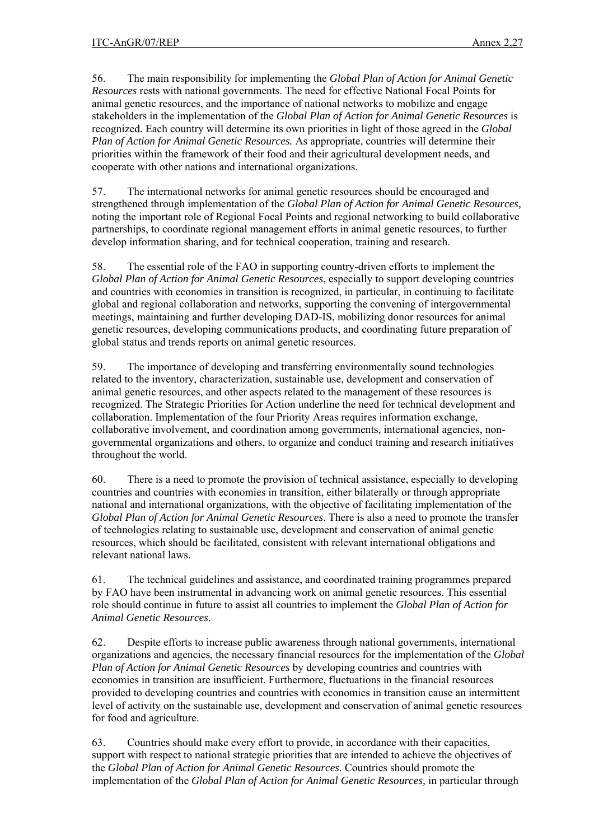56. The main responsibility for implementing the *Global Plan of Action for Animal Genetic Resources* rests with national governments. The need for effective National Focal Points for animal genetic resources, and the importance of national networks to mobilize and engage stakeholders in the implementation of the *Global Plan of Action for Animal Genetic Resources* is recognized*.* Each country will determine its own priorities in light of those agreed in the *Global Plan of Action for Animal Genetic Resources.* As appropriate, countries will determine their priorities within the framework of their food and their agricultural development needs, and cooperate with other nations and international organizations.

57. The international networks for animal genetic resources should be encouraged and strengthened through implementation of the *Global Plan of Action for Animal Genetic Resources,* noting the important role of Regional Focal Points and regional networking to build collaborative partnerships, to coordinate regional management efforts in animal genetic resources, to further develop information sharing, and for technical cooperation, training and research.

58. The essential role of the FAO in supporting country-driven efforts to implement the *Global Plan of Action for Animal Genetic Resources*, especially to support developing countries and countries with economies in transition is recognized, in particular, in continuing to facilitate global and regional collaboration and networks, supporting the convening of intergovernmental meetings, maintaining and further developing DAD-IS, mobilizing donor resources for animal genetic resources, developing communications products, and coordinating future preparation of global status and trends reports on animal genetic resources.

59. The importance of developing and transferring environmentally sound technologies related to the inventory, characterization, sustainable use, development and conservation of animal genetic resources, and other aspects related to the management of these resources is recognized. The Strategic Priorities for Action underline the need for technical development and collaboration. Implementation of the four Priority Areas requires information exchange, collaborative involvement, and coordination among governments, international agencies, nongovernmental organizations and others, to organize and conduct training and research initiatives throughout the world.

60. There is a need to promote the provision of technical assistance, especially to developing countries and countries with economies in transition, either bilaterally or through appropriate national and international organizations, with the objective of facilitating implementation of the *Global Plan of Action for Animal Genetic Resources*. There is also a need to promote the transfer of technologies relating to sustainable use, development and conservation of animal genetic resources, which should be facilitated, consistent with relevant international obligations and relevant national laws.

61. The technical guidelines and assistance, and coordinated training programmes prepared by FAO have been instrumental in advancing work on animal genetic resources. This essential role should continue in future to assist all countries to implement the *Global Plan of Action for Animal Genetic Resources*.

62. Despite efforts to increase public awareness through national governments, international organizations and agencies, the necessary financial resources for the implementation of the *Global Plan of Action for Animal Genetic Resources* by developing countries and countries with economies in transition are insufficient. Furthermore, fluctuations in the financial resources provided to developing countries and countries with economies in transition cause an intermittent level of activity on the sustainable use, development and conservation of animal genetic resources for food and agriculture.

63. Countries should make every effort to provide, in accordance with their capacities, support with respect to national strategic priorities that are intended to achieve the objectives of the *Global Plan of Action for Animal Genetic Resources.* Countries should promote the implementation of the *Global Plan of Action for Animal Genetic Resources,* in particular through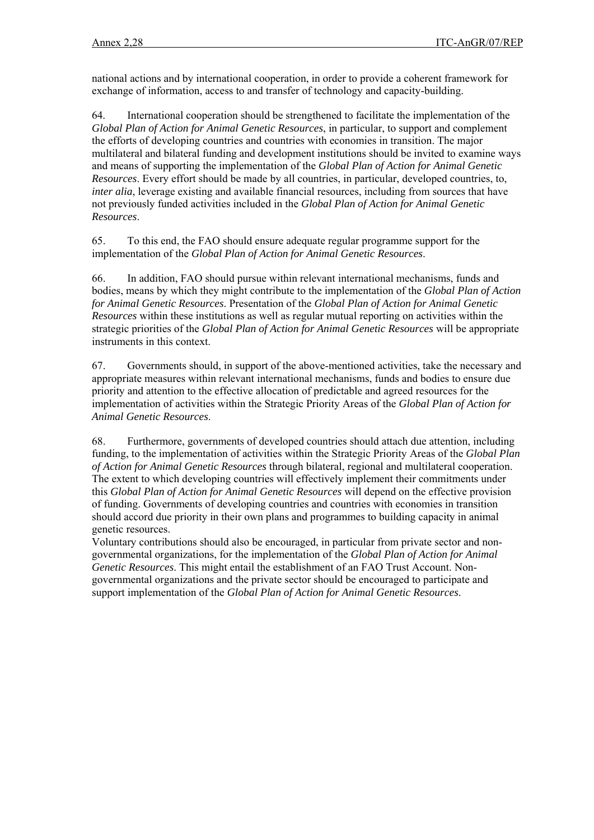national actions and by international cooperation, in order to provide a coherent framework for exchange of information, access to and transfer of technology and capacity-building.

64. International cooperation should be strengthened to facilitate the implementation of the *Global Plan of Action for Animal Genetic Resources*, in particular, to support and complement the efforts of developing countries and countries with economies in transition. The major multilateral and bilateral funding and development institutions should be invited to examine ways and means of supporting the implementation of the *Global Plan of Action for Animal Genetic Resources*. Every effort should be made by all countries, in particular, developed countries, to, *inter alia*, leverage existing and available financial resources, including from sources that have not previously funded activities included in the *Global Plan of Action for Animal Genetic Resources*.

65. To this end, the FAO should ensure adequate regular programme support for the implementation of the *Global Plan of Action for Animal Genetic Resources*.

66. In addition, FAO should pursue within relevant international mechanisms, funds and bodies, means by which they might contribute to the implementation of the *Global Plan of Action for Animal Genetic Resources*. Presentation of the *Global Plan of Action for Animal Genetic Resources* within these institutions as well as regular mutual reporting on activities within the strategic priorities of the *Global Plan of Action for Animal Genetic Resources* will be appropriate instruments in this context.

67. Governments should, in support of the above-mentioned activities, take the necessary and appropriate measures within relevant international mechanisms, funds and bodies to ensure due priority and attention to the effective allocation of predictable and agreed resources for the implementation of activities within the Strategic Priority Areas of the *Global Plan of Action for Animal Genetic Resources*.

68. Furthermore, governments of developed countries should attach due attention, including funding, to the implementation of activities within the Strategic Priority Areas of the *Global Plan of Action for Animal Genetic Resources* through bilateral, regional and multilateral cooperation. The extent to which developing countries will effectively implement their commitments under this *Global Plan of Action for Animal Genetic Resources* will depend on the effective provision of funding. Governments of developing countries and countries with economies in transition should accord due priority in their own plans and programmes to building capacity in animal genetic resources.

Voluntary contributions should also be encouraged, in particular from private sector and nongovernmental organizations, for the implementation of the *Global Plan of Action for Animal Genetic Resources*. This might entail the establishment of an FAO Trust Account. Nongovernmental organizations and the private sector should be encouraged to participate and support implementation of the *Global Plan of Action for Animal Genetic Resources*.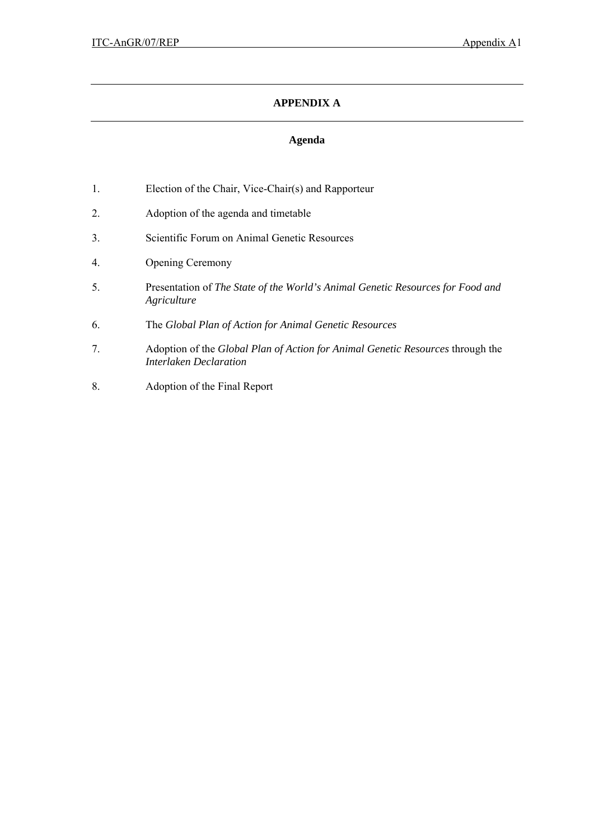# **APPENDIX A**

# **Agenda**

- 1. Election of the Chair, Vice-Chair(s) and Rapporteur
- 2. Adoption of the agenda and timetable
- 3. Scientific Forum on Animal Genetic Resources
- 4. Opening Ceremony
- 5. Presentation of *The State of the World's Animal Genetic Resources for Food and Agriculture*
- 6. The *Global Plan of Action for Animal Genetic Resources*
- 7. Adoption of the *Global Plan of Action for Animal Genetic Resources* through the *Interlaken Declaration*
- 8. Adoption of the Final Report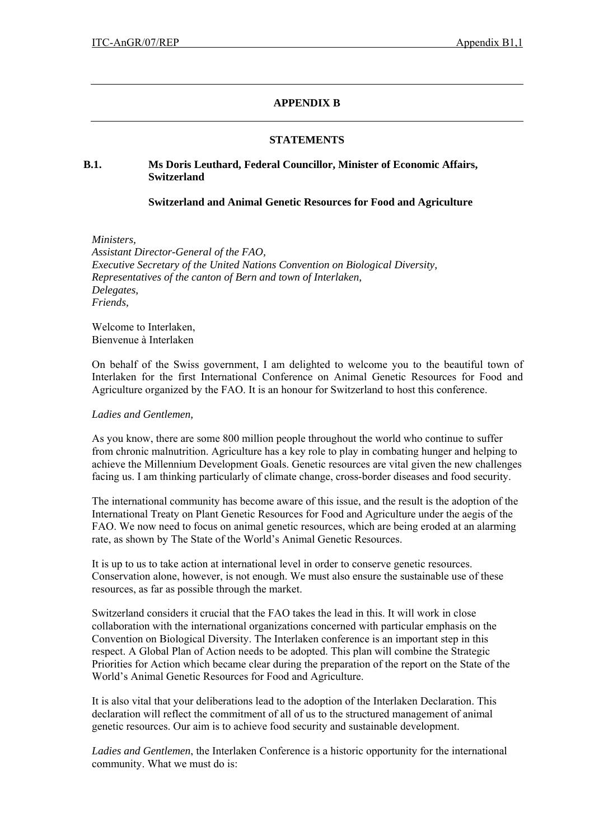# **APPENDIX B**

### **STATEMENTS**

# **B.1. Ms Doris Leuthard, Federal Councillor, Minister of Economic Affairs, Switzerland**

### **Switzerland and Animal Genetic Resources for Food and Agriculture**

*Ministers, Assistant Director-General of the FAO, Executive Secretary of the United Nations Convention on Biological Diversity, Representatives of the canton of Bern and town of Interlaken, Delegates, Friends,* 

Welcome to Interlaken, Bienvenue à Interlaken

On behalf of the Swiss government, I am delighted to welcome you to the beautiful town of Interlaken for the first International Conference on Animal Genetic Resources for Food and Agriculture organized by the FAO. It is an honour for Switzerland to host this conference.

#### *Ladies and Gentlemen,*

As you know, there are some 800 million people throughout the world who continue to suffer from chronic malnutrition. Agriculture has a key role to play in combating hunger and helping to achieve the Millennium Development Goals. Genetic resources are vital given the new challenges facing us. I am thinking particularly of climate change, cross-border diseases and food security.

The international community has become aware of this issue, and the result is the adoption of the International Treaty on Plant Genetic Resources for Food and Agriculture under the aegis of the FAO. We now need to focus on animal genetic resources, which are being eroded at an alarming rate, as shown by The State of the World's Animal Genetic Resources.

It is up to us to take action at international level in order to conserve genetic resources. Conservation alone, however, is not enough. We must also ensure the sustainable use of these resources, as far as possible through the market.

Switzerland considers it crucial that the FAO takes the lead in this. It will work in close collaboration with the international organizations concerned with particular emphasis on the Convention on Biological Diversity. The Interlaken conference is an important step in this respect. A Global Plan of Action needs to be adopted. This plan will combine the Strategic Priorities for Action which became clear during the preparation of the report on the State of the World's Animal Genetic Resources for Food and Agriculture.

It is also vital that your deliberations lead to the adoption of the Interlaken Declaration. This declaration will reflect the commitment of all of us to the structured management of animal genetic resources. Our aim is to achieve food security and sustainable development.

*Ladies and Gentlemen*, the Interlaken Conference is a historic opportunity for the international community. What we must do is: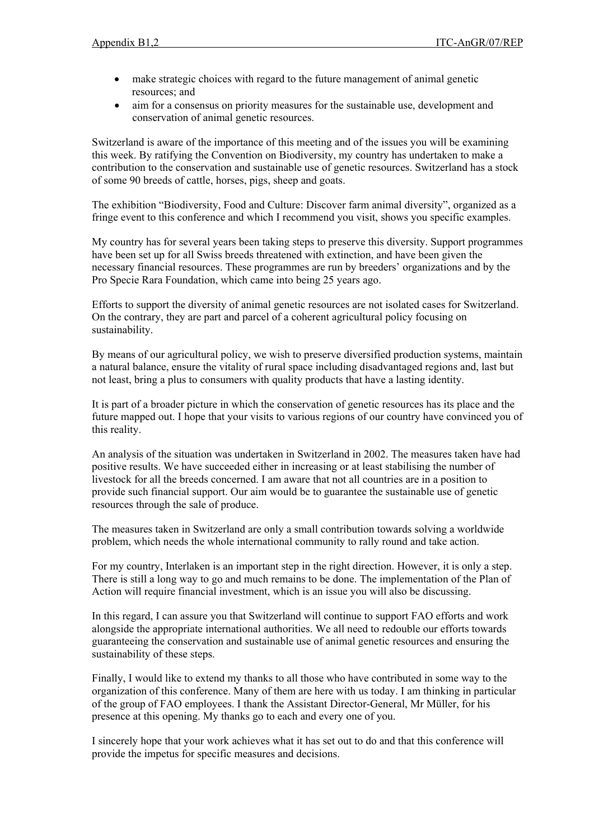- make strategic choices with regard to the future management of animal genetic resources; and
- aim for a consensus on priority measures for the sustainable use, development and conservation of animal genetic resources.

Switzerland is aware of the importance of this meeting and of the issues you will be examining this week. By ratifying the Convention on Biodiversity, my country has undertaken to make a contribution to the conservation and sustainable use of genetic resources. Switzerland has a stock of some 90 breeds of cattle, horses, pigs, sheep and goats.

The exhibition "Biodiversity, Food and Culture: Discover farm animal diversity", organized as a fringe event to this conference and which I recommend you visit, shows you specific examples.

My country has for several years been taking steps to preserve this diversity. Support programmes have been set up for all Swiss breeds threatened with extinction, and have been given the necessary financial resources. These programmes are run by breeders' organizations and by the Pro Specie Rara Foundation, which came into being 25 years ago.

Efforts to support the diversity of animal genetic resources are not isolated cases for Switzerland. On the contrary, they are part and parcel of a coherent agricultural policy focusing on sustainability.

By means of our agricultural policy, we wish to preserve diversified production systems, maintain a natural balance, ensure the vitality of rural space including disadvantaged regions and, last but not least, bring a plus to consumers with quality products that have a lasting identity.

It is part of a broader picture in which the conservation of genetic resources has its place and the future mapped out. I hope that your visits to various regions of our country have convinced you of this reality.

An analysis of the situation was undertaken in Switzerland in 2002. The measures taken have had positive results. We have succeeded either in increasing or at least stabilising the number of livestock for all the breeds concerned. I am aware that not all countries are in a position to provide such financial support. Our aim would be to guarantee the sustainable use of genetic resources through the sale of produce.

The measures taken in Switzerland are only a small contribution towards solving a worldwide problem, which needs the whole international community to rally round and take action.

For my country, Interlaken is an important step in the right direction. However, it is only a step. There is still a long way to go and much remains to be done. The implementation of the Plan of Action will require financial investment, which is an issue you will also be discussing.

In this regard, I can assure you that Switzerland will continue to support FAO efforts and work alongside the appropriate international authorities. We all need to redouble our efforts towards guaranteeing the conservation and sustainable use of animal genetic resources and ensuring the sustainability of these steps.

Finally, I would like to extend my thanks to all those who have contributed in some way to the organization of this conference. Many of them are here with us today. I am thinking in particular of the group of FAO employees. I thank the Assistant Director-General, Mr Müller, for his presence at this opening. My thanks go to each and every one of you.

I sincerely hope that your work achieves what it has set out to do and that this conference will provide the impetus for specific measures and decisions.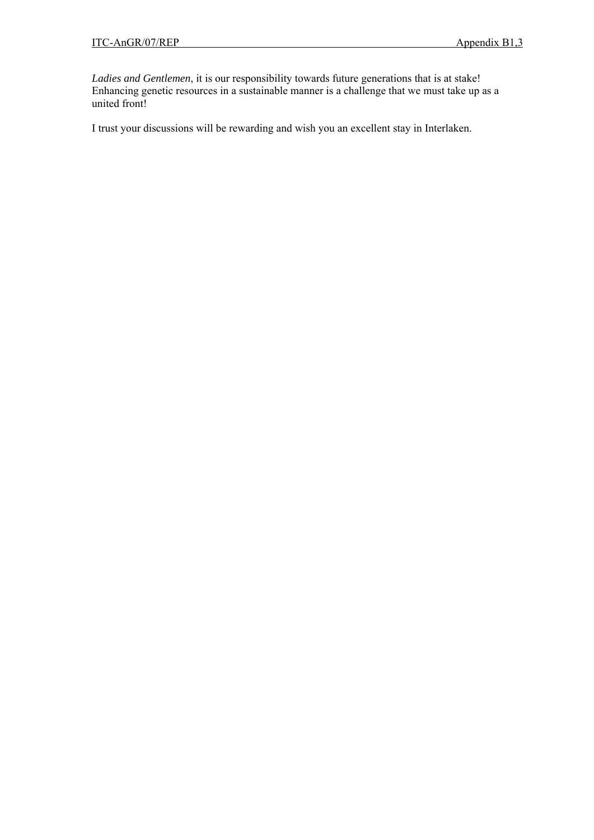*Ladies and Gentlemen*, it is our responsibility towards future generations that is at stake! Enhancing genetic resources in a sustainable manner is a challenge that we must take up as a united front!

I trust your discussions will be rewarding and wish you an excellent stay in Interlaken.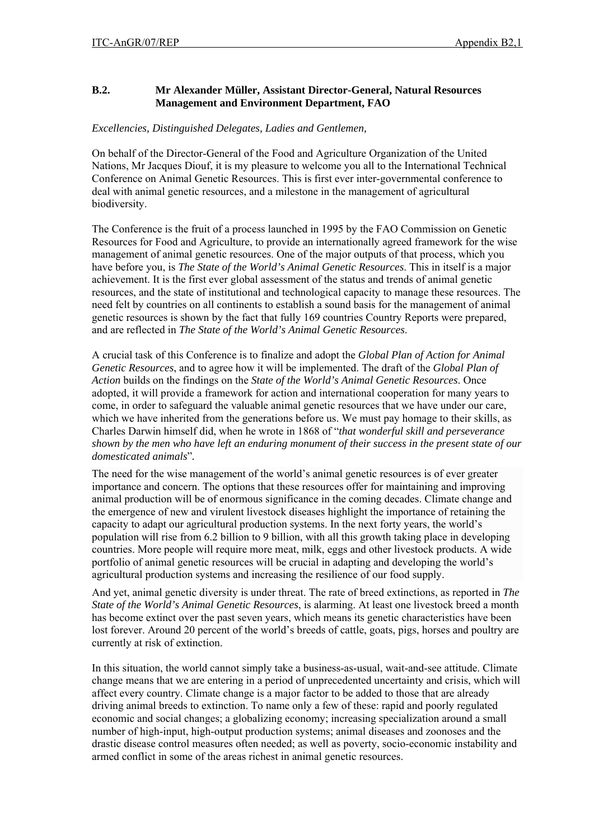# **B.2. Mr Alexander Müller, Assistant Director-General, Natural Resources Management and Environment Department, FAO**

# *Excellencies, Distinguished Delegates, Ladies and Gentlemen,*

On behalf of the Director-General of the Food and Agriculture Organization of the United Nations, Mr Jacques Diouf, it is my pleasure to welcome you all to the International Technical Conference on Animal Genetic Resources. This is first ever inter-governmental conference to deal with animal genetic resources, and a milestone in the management of agricultural biodiversity.

The Conference is the fruit of a process launched in 1995 by the FAO Commission on Genetic Resources for Food and Agriculture, to provide an internationally agreed framework for the wise management of animal genetic resources. One of the major outputs of that process, which you have before you, is *The State of the World's Animal Genetic Resources*. This in itself is a major achievement. It is the first ever global assessment of the status and trends of animal genetic resources, and the state of institutional and technological capacity to manage these resources. The need felt by countries on all continents to establish a sound basis for the management of animal genetic resources is shown by the fact that fully 169 countries Country Reports were prepared, and are reflected in *The State of the World's Animal Genetic Resources*.

A crucial task of this Conference is to finalize and adopt the *Global Plan of Action for Animal Genetic Resources*, and to agree how it will be implemented. The draft of the *Global Plan of Action* builds on the findings on the *State of the World's Animal Genetic Resources*. Once adopted, it will provide a framework for action and international cooperation for many years to come, in order to safeguard the valuable animal genetic resources that we have under our care, which we have inherited from the generations before us. We must pay homage to their skills, as Charles Darwin himself did, when he wrote in 1868 of "*that wonderful skill and perseverance shown by the men who have left an enduring monument of their success in the present state of our domesticated animals*"*.*

The need for the wise management of the world's animal genetic resources is of ever greater importance and concern. The options that these resources offer for maintaining and improving animal production will be of enormous significance in the coming decades. Climate change and the emergence of new and virulent livestock diseases highlight the importance of retaining the capacity to adapt our agricultural production systems. In the next forty years, the world's population will rise from 6.2 billion to 9 billion, with all this growth taking place in developing countries. More people will require more meat, milk, eggs and other livestock products. A wide portfolio of animal genetic resources will be crucial in adapting and developing the world's agricultural production systems and increasing the resilience of our food supply.

And yet, animal genetic diversity is under threat. The rate of breed extinctions, as reported in *The State of the World's Animal Genetic Resources*, is alarming. At least one livestock breed a month has become extinct over the past seven years, which means its genetic characteristics have been lost forever. Around 20 percent of the world's breeds of cattle, goats, pigs, horses and poultry are currently at risk of extinction.

In this situation, the world cannot simply take a business-as-usual, wait-and-see attitude. Climate change means that we are entering in a period of unprecedented uncertainty and crisis, which will affect every country. Climate change is a major factor to be added to those that are already driving animal breeds to extinction. To name only a few of these: rapid and poorly regulated economic and social changes; a globalizing economy; increasing specialization around a small number of high-input, high-output production systems; animal diseases and zoonoses and the drastic disease control measures often needed; as well as poverty, socio-economic instability and armed conflict in some of the areas richest in animal genetic resources.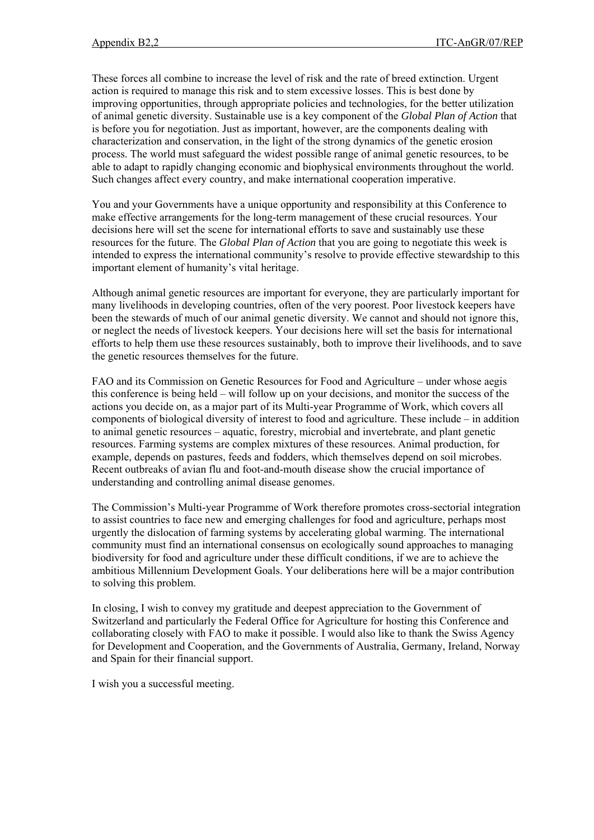These forces all combine to increase the level of risk and the rate of breed extinction. Urgent action is required to manage this risk and to stem excessive losses. This is best done by improving opportunities, through appropriate policies and technologies, for the better utilization of animal genetic diversity. Sustainable use is a key component of the *Global Plan of Action* that is before you for negotiation. Just as important, however, are the components dealing with characterization and conservation, in the light of the strong dynamics of the genetic erosion process. The world must safeguard the widest possible range of animal genetic resources, to be able to adapt to rapidly changing economic and biophysical environments throughout the world. Such changes affect every country, and make international cooperation imperative.

You and your Governments have a unique opportunity and responsibility at this Conference to make effective arrangements for the long-term management of these crucial resources. Your decisions here will set the scene for international efforts to save and sustainably use these resources for the future. The *Global Plan of Action* that you are going to negotiate this week is intended to express the international community's resolve to provide effective stewardship to this important element of humanity's vital heritage.

Although animal genetic resources are important for everyone, they are particularly important for many livelihoods in developing countries, often of the very poorest. Poor livestock keepers have been the stewards of much of our animal genetic diversity. We cannot and should not ignore this, or neglect the needs of livestock keepers. Your decisions here will set the basis for international efforts to help them use these resources sustainably, both to improve their livelihoods, and to save the genetic resources themselves for the future.

FAO and its Commission on Genetic Resources for Food and Agriculture – under whose aegis this conference is being held – will follow up on your decisions, and monitor the success of the actions you decide on, as a major part of its Multi-year Programme of Work, which covers all components of biological diversity of interest to food and agriculture. These include – in addition to animal genetic resources – aquatic, forestry, microbial and invertebrate, and plant genetic resources. Farming systems are complex mixtures of these resources. Animal production, for example, depends on pastures, feeds and fodders, which themselves depend on soil microbes. Recent outbreaks of avian flu and foot-and-mouth disease show the crucial importance of understanding and controlling animal disease genomes.

The Commission's Multi-year Programme of Work therefore promotes cross-sectorial integration to assist countries to face new and emerging challenges for food and agriculture, perhaps most urgently the dislocation of farming systems by accelerating global warming. The international community must find an international consensus on ecologically sound approaches to managing biodiversity for food and agriculture under these difficult conditions, if we are to achieve the ambitious Millennium Development Goals. Your deliberations here will be a major contribution to solving this problem.

In closing, I wish to convey my gratitude and deepest appreciation to the Government of Switzerland and particularly the Federal Office for Agriculture for hosting this Conference and collaborating closely with FAO to make it possible. I would also like to thank the Swiss Agency for Development and Cooperation, and the Governments of Australia, Germany, Ireland, Norway and Spain for their financial support.

I wish you a successful meeting.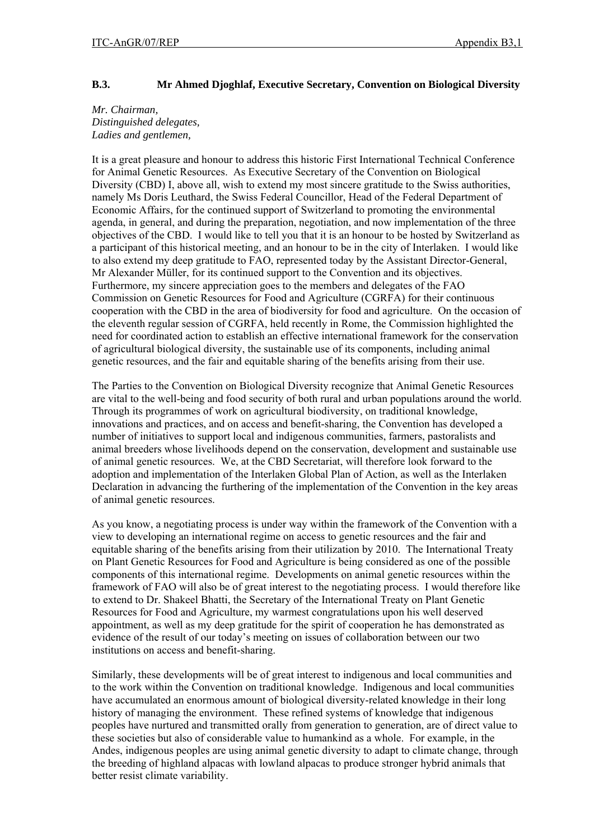# **B.3. Mr Ahmed Djoghlaf, Executive Secretary, Convention on Biological Diversity**

## *Mr. Chairman, Distinguished delegates, Ladies and gentlemen,*

It is a great pleasure and honour to address this historic First International Technical Conference for Animal Genetic Resources. As Executive Secretary of the Convention on Biological Diversity (CBD) I, above all, wish to extend my most sincere gratitude to the Swiss authorities, namely Ms Doris Leuthard, the Swiss Federal Councillor, Head of the Federal Department of Economic Affairs, for the continued support of Switzerland to promoting the environmental agenda, in general, and during the preparation, negotiation, and now implementation of the three objectives of the CBD. I would like to tell you that it is an honour to be hosted by Switzerland as a participant of this historical meeting, and an honour to be in the city of Interlaken. I would like to also extend my deep gratitude to FAO, represented today by the Assistant Director-General, Mr Alexander Müller, for its continued support to the Convention and its objectives. Furthermore, my sincere appreciation goes to the members and delegates of the FAO Commission on Genetic Resources for Food and Agriculture (CGRFA) for their continuous cooperation with the CBD in the area of biodiversity for food and agriculture. On the occasion of the eleventh regular session of CGRFA, held recently in Rome, the Commission highlighted the need for coordinated action to establish an effective international framework for the conservation of agricultural biological diversity, the sustainable use of its components, including animal genetic resources, and the fair and equitable sharing of the benefits arising from their use.

The Parties to the Convention on Biological Diversity recognize that Animal Genetic Resources are vital to the well-being and food security of both rural and urban populations around the world. Through its programmes of work on agricultural biodiversity, on traditional knowledge, innovations and practices, and on access and benefit-sharing, the Convention has developed a number of initiatives to support local and indigenous communities, farmers, pastoralists and animal breeders whose livelihoods depend on the conservation, development and sustainable use of animal genetic resources. We, at the CBD Secretariat, will therefore look forward to the adoption and implementation of the Interlaken Global Plan of Action, as well as the Interlaken Declaration in advancing the furthering of the implementation of the Convention in the key areas of animal genetic resources.

As you know, a negotiating process is under way within the framework of the Convention with a view to developing an international regime on access to genetic resources and the fair and equitable sharing of the benefits arising from their utilization by 2010. The International Treaty on Plant Genetic Resources for Food and Agriculture is being considered as one of the possible components of this international regime. Developments on animal genetic resources within the framework of FAO will also be of great interest to the negotiating process. I would therefore like to extend to Dr. Shakeel Bhatti, the Secretary of the International Treaty on Plant Genetic Resources for Food and Agriculture, my warmest congratulations upon his well deserved appointment, as well as my deep gratitude for the spirit of cooperation he has demonstrated as evidence of the result of our today's meeting on issues of collaboration between our two institutions on access and benefit-sharing.

Similarly, these developments will be of great interest to indigenous and local communities and to the work within the Convention on traditional knowledge. Indigenous and local communities have accumulated an enormous amount of biological diversity-related knowledge in their long history of managing the environment. These refined systems of knowledge that indigenous peoples have nurtured and transmitted orally from generation to generation, are of direct value to these societies but also of considerable value to humankind as a whole. For example, in the Andes, indigenous peoples are using animal genetic diversity to adapt to climate change, through the breeding of highland alpacas with lowland alpacas to produce stronger hybrid animals that better resist climate variability.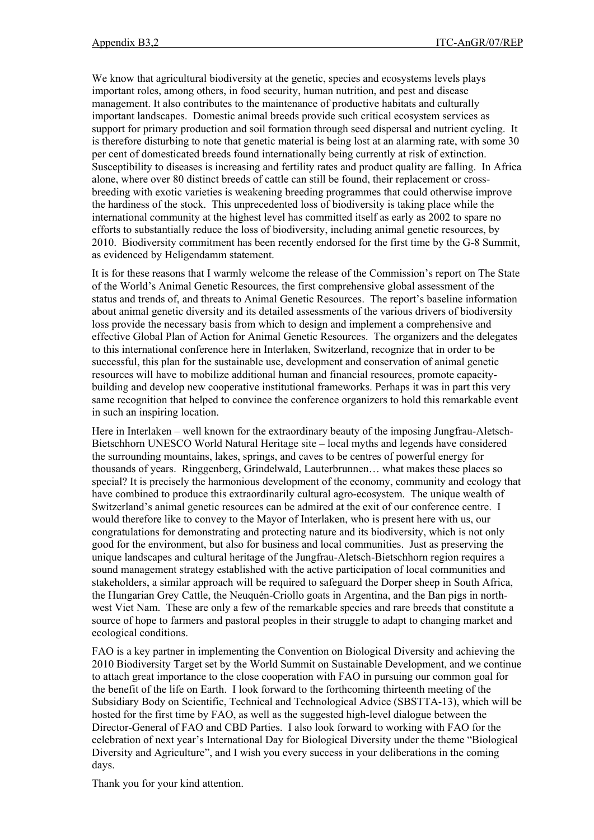We know that agricultural biodiversity at the genetic, species and ecosystems levels plays important roles, among others, in food security, human nutrition, and pest and disease management. It also contributes to the maintenance of productive habitats and culturally important landscapes. Domestic animal breeds provide such critical ecosystem services as support for primary production and soil formation through seed dispersal and nutrient cycling. It is therefore disturbing to note that genetic material is being lost at an alarming rate, with some 30 per cent of domesticated breeds found internationally being currently at risk of extinction. Susceptibility to diseases is increasing and fertility rates and product quality are falling. In Africa alone, where over 80 distinct breeds of cattle can still be found, their replacement or crossbreeding with exotic varieties is weakening breeding programmes that could otherwise improve the hardiness of the stock. This unprecedented loss of biodiversity is taking place while the international community at the highest level has committed itself as early as 2002 to spare no efforts to substantially reduce the loss of biodiversity, including animal genetic resources, by 2010. Biodiversity commitment has been recently endorsed for the first time by the G-8 Summit, as evidenced by Heligendamm statement.

It is for these reasons that I warmly welcome the release of the Commission's report on The State of the World's Animal Genetic Resources, the first comprehensive global assessment of the status and trends of, and threats to Animal Genetic Resources. The report's baseline information about animal genetic diversity and its detailed assessments of the various drivers of biodiversity loss provide the necessary basis from which to design and implement a comprehensive and effective Global Plan of Action for Animal Genetic Resources. The organizers and the delegates to this international conference here in Interlaken, Switzerland, recognize that in order to be successful, this plan for the sustainable use, development and conservation of animal genetic resources will have to mobilize additional human and financial resources, promote capacitybuilding and develop new cooperative institutional frameworks. Perhaps it was in part this very same recognition that helped to convince the conference organizers to hold this remarkable event in such an inspiring location.

Here in Interlaken – well known for the extraordinary beauty of the imposing Jungfrau-Aletsch-Bietschhorn UNESCO World Natural Heritage site – local myths and legends have considered the surrounding mountains, lakes, springs, and caves to be centres of powerful energy for thousands of years. Ringgenberg, Grindelwald, Lauterbrunnen… what makes these places so special? It is precisely the harmonious development of the economy, community and ecology that have combined to produce this extraordinarily cultural agro-ecosystem. The unique wealth of Switzerland's animal genetic resources can be admired at the exit of our conference centre. I would therefore like to convey to the Mayor of Interlaken, who is present here with us, our congratulations for demonstrating and protecting nature and its biodiversity, which is not only good for the environment, but also for business and local communities. Just as preserving the unique landscapes and cultural heritage of the Jungfrau-Aletsch-Bietschhorn region requires a sound management strategy established with the active participation of local communities and stakeholders, a similar approach will be required to safeguard the Dorper sheep in South Africa, the Hungarian Grey Cattle, the Neuquén-Criollo goats in Argentina, and the Ban pigs in northwest Viet Nam. These are only a few of the remarkable species and rare breeds that constitute a source of hope to farmers and pastoral peoples in their struggle to adapt to changing market and ecological conditions.

FAO is a key partner in implementing the Convention on Biological Diversity and achieving the 2010 Biodiversity Target set by the World Summit on Sustainable Development, and we continue to attach great importance to the close cooperation with FAO in pursuing our common goal for the benefit of the life on Earth. I look forward to the forthcoming thirteenth meeting of the Subsidiary Body on Scientific, Technical and Technological Advice (SBSTTA-13), which will be hosted for the first time by FAO, as well as the suggested high-level dialogue between the Director-General of FAO and CBD Parties. I also look forward to working with FAO for the celebration of next year's International Day for Biological Diversity under the theme "Biological Diversity and Agriculture", and I wish you every success in your deliberations in the coming days.

Thank you for your kind attention.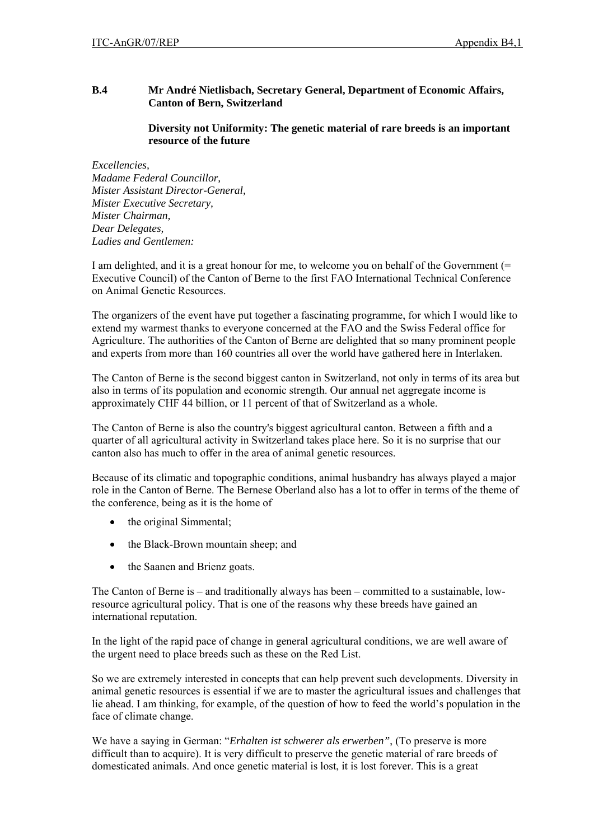# **B.4 Mr André Nietlisbach, Secretary General, Department of Economic Affairs, Canton of Bern, Switzerland**

# **Diversity not Uniformity: The genetic material of rare breeds is an important resource of the future**

*Excellencies, Madame Federal Councillor, Mister Assistant Director-General, Mister Executive Secretary, Mister Chairman, Dear Delegates, Ladies and Gentlemen:* 

I am delighted, and it is a great honour for me, to welcome you on behalf of the Government (= Executive Council) of the Canton of Berne to the first FAO International Technical Conference on Animal Genetic Resources.

The organizers of the event have put together a fascinating programme, for which I would like to extend my warmest thanks to everyone concerned at the FAO and the Swiss Federal office for Agriculture. The authorities of the Canton of Berne are delighted that so many prominent people and experts from more than 160 countries all over the world have gathered here in Interlaken.

The Canton of Berne is the second biggest canton in Switzerland, not only in terms of its area but also in terms of its population and economic strength. Our annual net aggregate income is approximately CHF 44 billion, or 11 percent of that of Switzerland as a whole.

The Canton of Berne is also the country's biggest agricultural canton. Between a fifth and a quarter of all agricultural activity in Switzerland takes place here. So it is no surprise that our canton also has much to offer in the area of animal genetic resources.

Because of its climatic and topographic conditions, animal husbandry has always played a major role in the Canton of Berne. The Bernese Oberland also has a lot to offer in terms of the theme of the conference, being as it is the home of

- the original Simmental;
- the Black-Brown mountain sheep; and
- the Saanen and Brienz goats.

The Canton of Berne is – and traditionally always has been – committed to a sustainable, lowresource agricultural policy. That is one of the reasons why these breeds have gained an international reputation.

In the light of the rapid pace of change in general agricultural conditions, we are well aware of the urgent need to place breeds such as these on the Red List.

So we are extremely interested in concepts that can help prevent such developments. Diversity in animal genetic resources is essential if we are to master the agricultural issues and challenges that lie ahead. I am thinking, for example, of the question of how to feed the world's population in the face of climate change.

We have a saying in German: "*Erhalten ist schwerer als erwerben"*, (To preserve is more difficult than to acquire). It is very difficult to preserve the genetic material of rare breeds of domesticated animals. And once genetic material is lost, it is lost forever. This is a great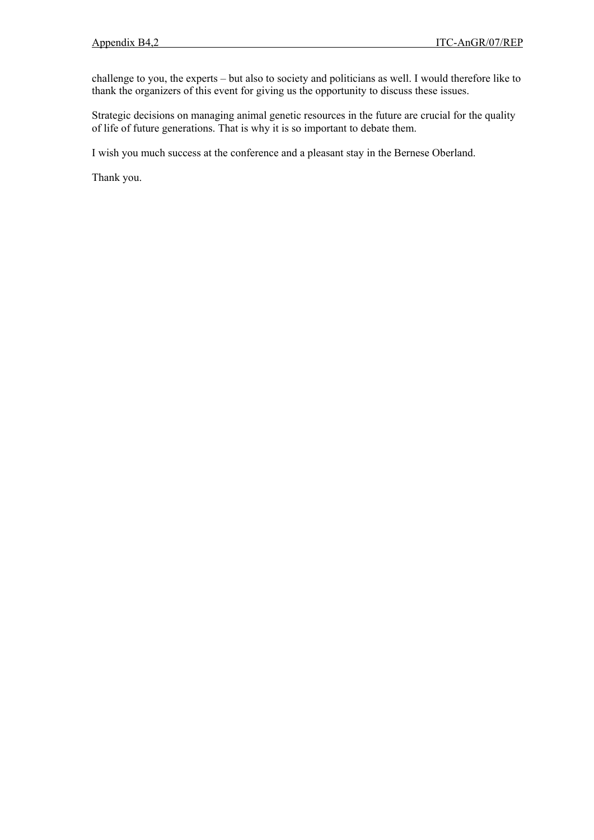challenge to you, the experts – but also to society and politicians as well. I would therefore like to thank the organizers of this event for giving us the opportunity to discuss these issues.

Strategic decisions on managing animal genetic resources in the future are crucial for the quality of life of future generations. That is why it is so important to debate them.

I wish you much success at the conference and a pleasant stay in the Bernese Oberland.

Thank you.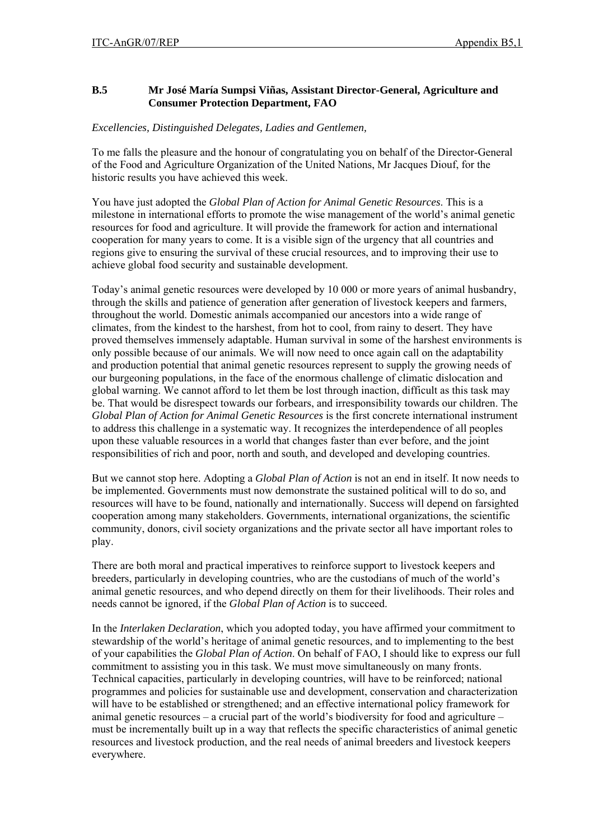# **B.5 Mr José María Sumpsi Viñas, Assistant Director-General, Agriculture and Consumer Protection Department, FAO**

# *Excellencies, Distinguished Delegates, Ladies and Gentlemen,*

To me falls the pleasure and the honour of congratulating you on behalf of the Director-General of the Food and Agriculture Organization of the United Nations, Mr Jacques Diouf, for the historic results you have achieved this week.

You have just adopted the *Global Plan of Action for Animal Genetic Resources*. This is a milestone in international efforts to promote the wise management of the world's animal genetic resources for food and agriculture. It will provide the framework for action and international cooperation for many years to come. It is a visible sign of the urgency that all countries and regions give to ensuring the survival of these crucial resources, and to improving their use to achieve global food security and sustainable development.

Today's animal genetic resources were developed by 10 000 or more years of animal husbandry, through the skills and patience of generation after generation of livestock keepers and farmers, throughout the world. Domestic animals accompanied our ancestors into a wide range of climates, from the kindest to the harshest, from hot to cool, from rainy to desert. They have proved themselves immensely adaptable. Human survival in some of the harshest environments is only possible because of our animals. We will now need to once again call on the adaptability and production potential that animal genetic resources represent to supply the growing needs of our burgeoning populations, in the face of the enormous challenge of climatic dislocation and global warning. We cannot afford to let them be lost through inaction, difficult as this task may be. That would be disrespect towards our forbears, and irresponsibility towards our children. The *Global Plan of Action for Animal Genetic Resources* is the first concrete international instrument to address this challenge in a systematic way. It recognizes the interdependence of all peoples upon these valuable resources in a world that changes faster than ever before, and the joint responsibilities of rich and poor, north and south, and developed and developing countries.

But we cannot stop here. Adopting a *Global Plan of Action* is not an end in itself. It now needs to be implemented. Governments must now demonstrate the sustained political will to do so, and resources will have to be found, nationally and internationally. Success will depend on farsighted cooperation among many stakeholders. Governments, international organizations, the scientific community, donors, civil society organizations and the private sector all have important roles to play.

There are both moral and practical imperatives to reinforce support to livestock keepers and breeders, particularly in developing countries, who are the custodians of much of the world's animal genetic resources, and who depend directly on them for their livelihoods. Their roles and needs cannot be ignored, if the *Global Plan of Action* is to succeed.

In the *Interlaken Declaration*, which you adopted today, you have affirmed your commitment to stewardship of the world's heritage of animal genetic resources, and to implementing to the best of your capabilities the *Global Plan of Action*. On behalf of FAO, I should like to express our full commitment to assisting you in this task. We must move simultaneously on many fronts. Technical capacities, particularly in developing countries, will have to be reinforced; national programmes and policies for sustainable use and development, conservation and characterization will have to be established or strengthened; and an effective international policy framework for animal genetic resources – a crucial part of the world's biodiversity for food and agriculture – must be incrementally built up in a way that reflects the specific characteristics of animal genetic resources and livestock production, and the real needs of animal breeders and livestock keepers everywhere.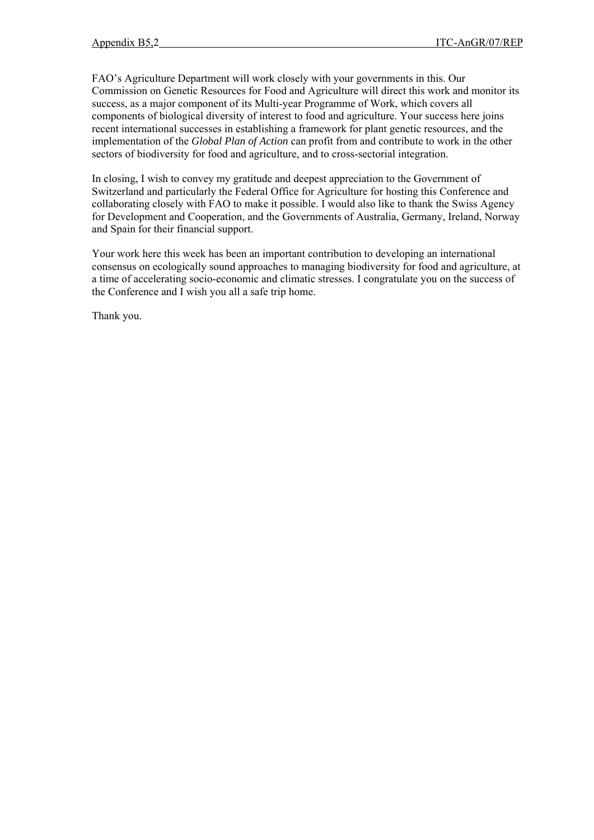FAO's Agriculture Department will work closely with your governments in this. Our Commission on Genetic Resources for Food and Agriculture will direct this work and monitor its success, as a major component of its Multi-year Programme of Work, which covers all components of biological diversity of interest to food and agriculture. Your success here joins recent international successes in establishing a framework for plant genetic resources, and the implementation of the *Global Plan of Action* can profit from and contribute to work in the other sectors of biodiversity for food and agriculture, and to cross-sectorial integration.

In closing, I wish to convey my gratitude and deepest appreciation to the Government of Switzerland and particularly the Federal Office for Agriculture for hosting this Conference and collaborating closely with FAO to make it possible. I would also like to thank the Swiss Agency for Development and Cooperation, and the Governments of Australia, Germany, Ireland, Norway and Spain for their financial support.

Your work here this week has been an important contribution to developing an international consensus on ecologically sound approaches to managing biodiversity for food and agriculture, at a time of accelerating socio-economic and climatic stresses. I congratulate you on the success of the Conference and I wish you all a safe trip home.

Thank you.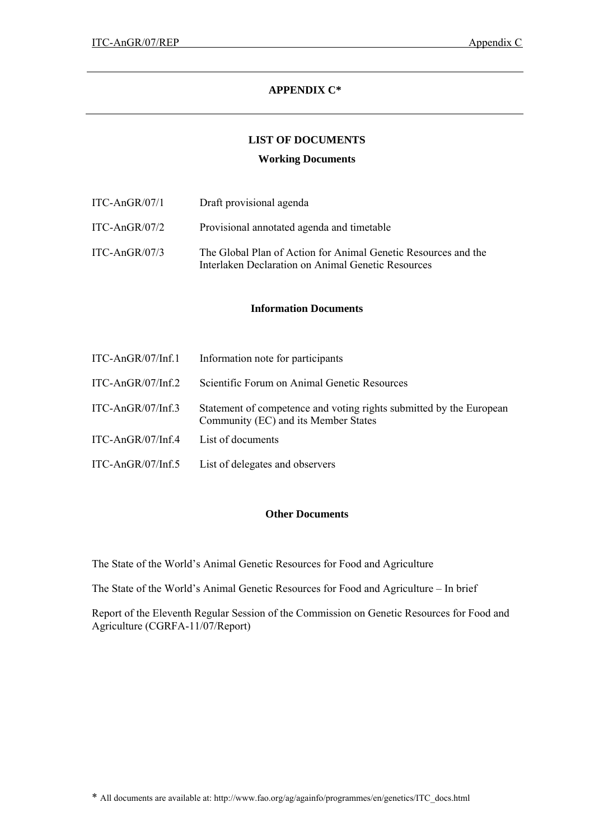# **APPENDIX C\***

# **LIST OF DOCUMENTS**

### **Working Documents**

| ITC-AnGR/07/1 | Draft provisional agenda                                                                                             |
|---------------|----------------------------------------------------------------------------------------------------------------------|
| ITC-AnGR/07/2 | Provisional annotated agenda and timetable                                                                           |
| ITC-AnGR/07/3 | The Global Plan of Action for Animal Genetic Resources and the<br>Interlaken Declaration on Animal Genetic Resources |

### **Information Documents**

| ITC-AnGR/07/Inf.1 | Information note for participants                                                                           |
|-------------------|-------------------------------------------------------------------------------------------------------------|
| ITC-AnGR/07/Inf.2 | Scientific Forum on Animal Genetic Resources                                                                |
| ITC-AnGR/07/Inf.3 | Statement of competence and voting rights submitted by the European<br>Community (EC) and its Member States |
| ITC-AnGR/07/Inf.4 | List of documents                                                                                           |
| ITC-AnGR/07/Inf.5 | List of delegates and observers                                                                             |

### **Other Documents**

The State of the World's Animal Genetic Resources for Food and Agriculture

The State of the World's Animal Genetic Resources for Food and Agriculture – In brief

Report of the Eleventh Regular Session of the Commission on Genetic Resources for Food and Agriculture (CGRFA-11/07/Report)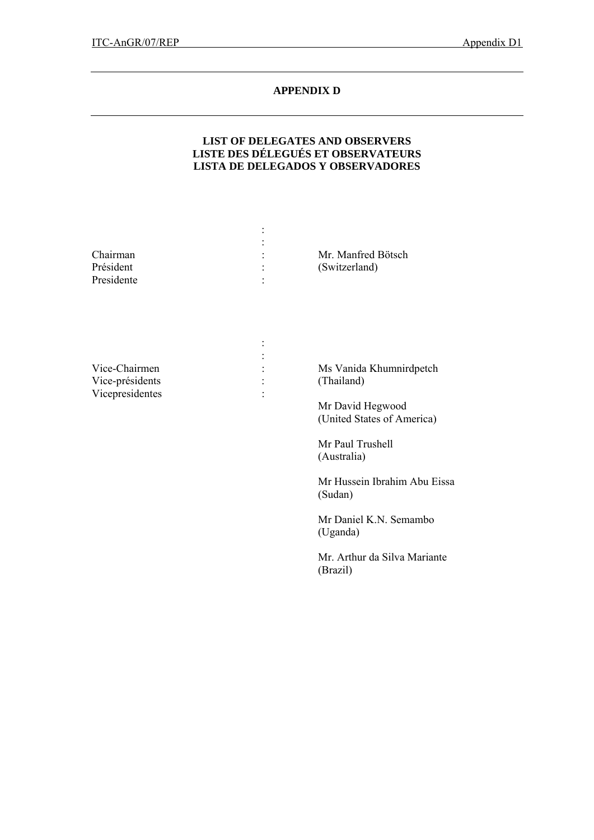# **APPENDIX D**

# **LIST OF DELEGATES AND OBSERVERS LISTE DES DÉLEGUÉS ET OBSERVATEURS LISTA DE DELEGADOS Y OBSERVADORES**

|            | ٠ |                    |
|------------|---|--------------------|
|            |   |                    |
| Chairman   |   | Mr. Manfred Bötsch |
| Président  |   | (Switzerland)      |
| Presidente |   |                    |
|            |   |                    |

| Vice-Chairmen   |   | Ms Vanida Khumnirdpetch |
|-----------------|---|-------------------------|
| Vice-présidents |   | (Thailand)              |
| Vicepresidentes | ٠ |                         |

 Mr David Hegwood (United States of America)

 Mr Paul Trushell (Australia)

 Mr Hussein Ibrahim Abu Eissa (Sudan)

 Mr Daniel K.N. Semambo (Uganda)

 Mr. Arthur da Silva Mariante (Brazil)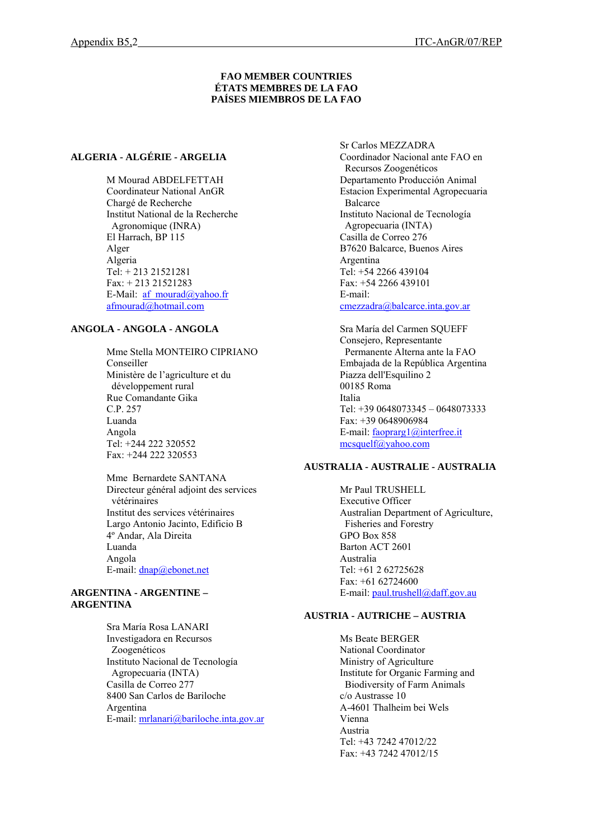#### **FAO MEMBER COUNTRIES ÉTATS MEMBRES DE LA FAO PAÍSES MIEMBROS DE LA FAO**

#### **ALGERIA - ALGÉRIE - ARGELIA**

M Mourad ABDELFETTAH Coordinateur National AnGR Chargé de Recherche Institut National de la Recherche Agronomique (INRA) El Harrach, BP 115 Alger Algeria Tel: + 213 21521281 Fax: + 213 21521283 E-Mail: af mourad@yahoo.fr [afmourad@hotmail.com](mailto:afmourad@hotmail.com)

# **ANGOLA - ANGOLA - ANGOLA**

Mme Stella MONTEIRO CIPRIANO Conseiller Ministère de l'agriculture et du développement rural Rue Comandante Gika C.P. 257 Luanda Angola Tel: +244 222 320552 Fax: +244 222 320553

Mme Bernardete SANTANA Directeur général adjoint des services vétérinaires Institut des services vétérinaires Largo Antonio Jacinto, Edificio B 4º Andar, Ala Direita Luanda Angola E-mail: [dnap@ebonet.net](mailto:dnap@ebonet.net) 

### **ARGENTINA - ARGENTINE – ARGENTINA**

Sra María Rosa LANARI Investigadora en Recursos Zoogenéticos Instituto Nacional de Tecnología Agropecuaria (INTA) Casilla de Correo 277 8400 San Carlos de Bariloche Argentina E-mail: [mrlanari@bariloche.inta.gov.ar](mailto:rlanari@bariloche.inta.gov.ar) Sr Carlos MEZZADRA Coordinador Nacional ante FAO en Recursos Zoogenéticos Departamento Producción Animal Estacion Experimental Agropecuaria Balcarce Instituto Nacional de Tecnología Agropecuaria (INTA) Casilla de Correo 276 B7620 Balcarce, Buenos Aires Argentina Tel: +54 2266 439104 Fax: +54 2266 439101 E-mail:

[cmezzadra@balcarce.inta.gov.ar](mailto:cmezzadra@balcarce.inta.gov.ar)

Sra María del Carmen SQUEFF Consejero, Representante Permanente Alterna ante la FAO Embajada de la República Argentina Piazza dell'Esquilino 2 00185 Roma Italia Tel: +39 0648073345 – 0648073333 Fax: +39 0648906984 E-mail: [faoprarg1@interfree.it](mailto:faoprarg1@interfree.it) [mcsquelf@yahoo.com](mailto:mcsquelf@yahoo.com)

# **AUSTRALIA - AUSTRALIE - AUSTRALIA**

Mr Paul TRUSHELL Executive Officer Australian Department of Agriculture, Fisheries and Forestry GPO Box 858 Barton ACT 2601 Australia Tel: +61 2 62725628 Fax: +61 62724600 E-mail: [paul.trushell@daff.gov.au](mailto:paul.trushell@daff.gov.au) 

#### **AUSTRIA - AUTRICHE – AUSTRIA**

Ms Beate BERGER National Coordinator Ministry of Agriculture Institute for Organic Farming and Biodiversity of Farm Animals c/o Austrasse 10 A-4601 Thalheim bei Wels Vienna Austria Tel: +43 7242 47012/22 Fax: +43 7242 47012/15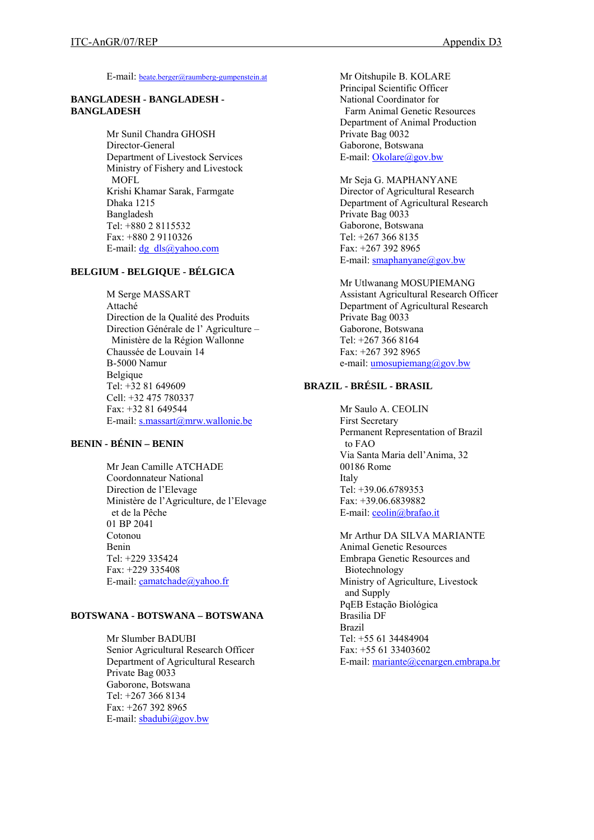E-mail: [beate.berger@raumberg-gumpenstein.at](mailto:beate.berger@raumberg-gumpenstein.at)

#### **BANGLADESH - BANGLADESH - BANGLADESH**

Mr Sunil Chandra GHOSH Director-General Department of Livestock Services Ministry of Fishery and Livestock MOFL Krishi Khamar Sarak, Farmgate Dhaka 1215 Bangladesh Tel: +880 2 8115532 Fax: +880 2 9110326 E-mail:  $\frac{dg}{ds}$   $\frac{dls}{\omega}$  vahoo.com

## **BELGIUM - BELGIQUE - BÉLGICA**

M Serge MASSART Attaché Direction de la Qualité des Produits Direction Générale de l' Agriculture – Ministère de la Région Wallonne Chaussée de Louvain 14 B-5000 Namur Belgique Tel: +32 81 649609 Cell: +32 475 780337 Fax: +32 81 649544 E-mail: [s.massart@mrw.wallonie.be](mailto:s.massart@mrw.wallonie.be)

# **BENIN - BÉNIN – BENIN**

Mr Jean Camille ATCHADE Coordonnateur National Direction de l'Elevage Ministère de l'Agriculture, de l'Elevage et de la Pêche 01 BP 2041 Cotonou Benin Tel: +229 335424 Fax: +229 335408 E-mail: c[amatchade@yahoo.fr](mailto:amatchade@yahoo.fr)

#### **BOTSWANA - BOTSWANA – BOTSWANA**

Mr Slumber BADUBI Senior Agricultural Research Officer Department of Agricultural Research Private Bag 0033 Gaborone, Botswana Tel: +267 366 8134 Fax: +267 392 8965 E-mail:  $sbadubi@gov.bw$ 

Mr Oitshupile B. KOLARE Principal Scientific Officer National Coordinator for Farm Animal Genetic Resources Department of Animal Production Private Bag 0032 Gaborone, Botswana E-mail: [Okolare@gov.bw](mailto:Okolare@gov.bw)

Mr Seja G. MAPHANYANE Director of Agricultural Research Department of Agricultural Research Private Bag 0033 Gaborone, Botswana Tel: +267 366 8135 Fax: +267 392 8965 E-mail:  $smaphan\{a\}$ gov.bw

Mr Utlwanang MOSUPIEMANG Assistant Agricultural Research Officer Department of Agricultural Research Private Bag 0033 Gaborone, Botswana Tel: +267 366 8164 Fax: +267 392 8965 e-mail: [umosupiemang@gov.bw](mailto:umosupiemang@gov.bw)

# **BRAZIL - BRÉSIL - BRASIL**

Mr Saulo A. CEOLIN First Secretary Permanent Representation of Brazil to FAO Via Santa Maria dell'Anima, 32 00186 Rome Italy Tel: +39.06.6789353 Fax: +39.06.6839882 E-mail: [ceolin@brafao.it](mailto:ceolin@brafao.it)

Mr Arthur DA SILVA MARIANTE Animal Genetic Resources Embrapa Genetic Resources and Biotechnology Ministry of Agriculture, Livestock and Supply PqEB Estação Biológica Brasilia DF Brazil Tel: +55 61 34484904 Fax: +55 61 33403602 E-mail: [mariante@cenargen.embrapa.br](mailto:mariante@cenargen.embrapa.br)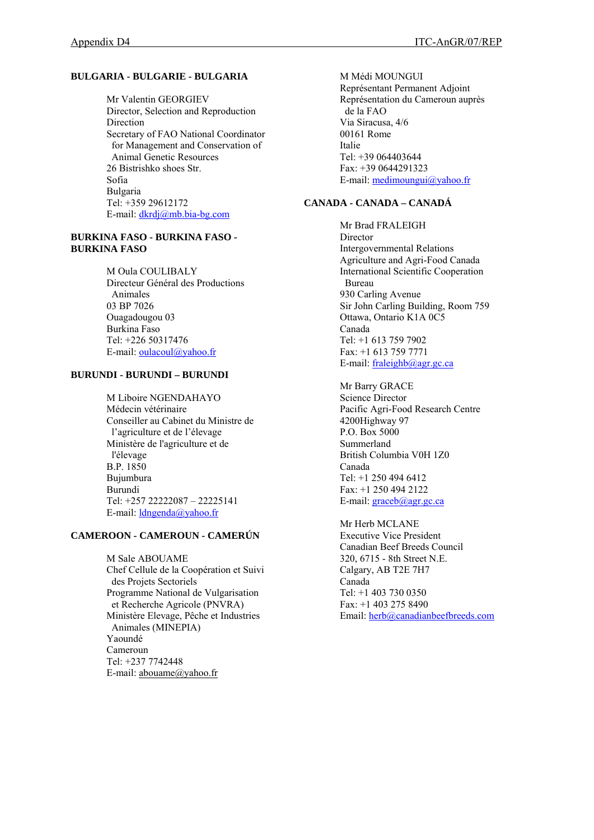### **BULGARIA - BULGARIE - BULGARIA**

Mr Valentin GEORGIEV Director, Selection and Reproduction Direction Secretary of FAO National Coordinator for Management and Conservation of Animal Genetic Resources 26 Bistrishko shoes Str. Sofia Bulgaria Tel: +359 29612172 E-mail: [dkrdj@mb.bia-bg.com](mailto:dkrdj@mb.bia-bg.com)

#### **BURKINA FASO - BURKINA FASO - BURKINA FASO**

M Oula COULIBALY Directeur Général des Productions Animales 03 BP 7026 Ouagadougou 03 Burkina Faso Tel: +226 50317476 E-mail: <u>oulacoul@yahoo.fr</u>

## **BURUNDI - BURUNDI – BURUNDI**

M Liboire NGENDAHAYO Médecin vétérinaire Conseiller au Cabinet du Ministre de l'agriculture et de l'élevage Ministère de l'agriculture et de l'élevage B.P. 1850 Bujumbura Burundi Tel: +257 22222087 – 22225141 E-mail: [ldngenda@yahoo.fr](mailto:ldngenda@yahoo.fr) 

## **CAMEROON - CAMEROUN - CAMERÚN**

M Sale ABOUAME Chef Cellule de la Coopération et Suivi des Projets Sectoriels Programme National de Vulgarisation et Recherche Agricole (PNVRA) Ministère Elevage, Pêche et Industries Animales (MINEPIA) Yaoundé Cameroun Tel: +237 7742448 E-mail: [abouame@yahoo.fr](mailto:abouame@yahoo.fr)

M Médi MOUNGUI Représentant Permanent Adjoint Représentation du Cameroun auprès de la FAO Via Siracusa, 4/6 00161 Rome Italie Tel: +39 064403644 Fax: +39 0644291323 E-mail: [medimoungui@yahoo.fr](mailto:medimoungui@yahoo.fr)

# **CANADA - CANADA – CANADÁ**

Mr Brad FRALEIGH **Director** Intergovernmental Relations Agriculture and Agri-Food Canada International Scientific Cooperation Bureau 930 Carling Avenue Sir John Carling Building, Room 759 Ottawa, Ontario K1A 0C5 Canada Tel: +1 613 759 7902 Fax: +1 613 759 7771 E-mail: [fraleighb@agr.gc.ca](mailto:fraleighb@agr.gc.ca) 

Mr Barry GRACE Science Director Pacific Agri-Food Research Centre 4200Highway 97 P.O. Box 5000 Summerland British Columbia V0H 1Z0 Canada Tel: +1 250 494 6412 Fax: +1 250 494 2122 E-mail: [graceb@agr.gc.ca](mailto:graceb@agr.gc.ca)

Mr Herb MCLANE Executive Vice President Canadian Beef Breeds Council 320, 6715 - 8th Street N.E. Calgary, AB T2E 7H7 Canada Tel: +1 403 730 0350 Fax: +1 403 275 8490 Email: [herb@canadianbeefbreeds.com](mailto:herb@canadianbeefbreeds.com)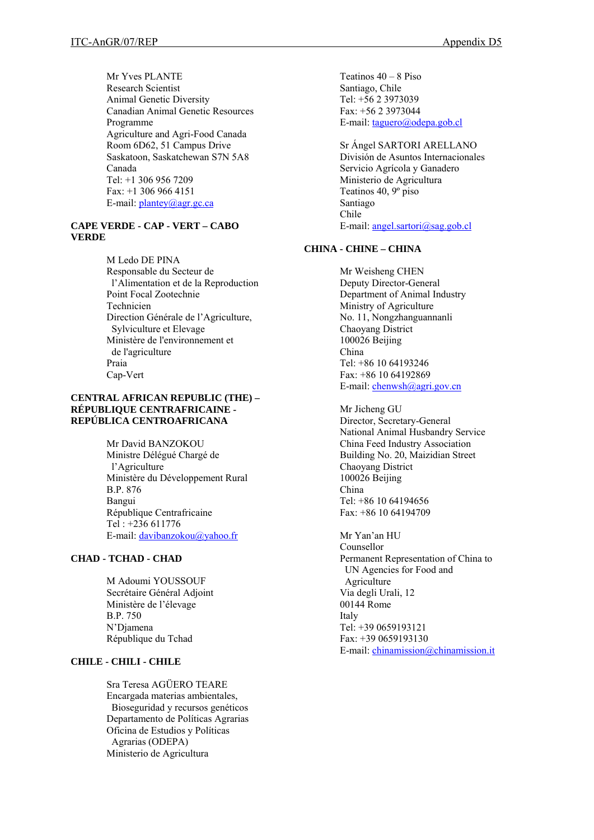Mr Yves PLANTE Research Scientist Animal Genetic Diversity Canadian Animal Genetic Resources Programme Agriculture and Agri-Food Canada Room 6D62, 51 Campus Drive Saskatoon, Saskatchewan S7N 5A8 Canada Tel: +1 306 956 7209 Fax: +1 306 966 4151 E-mail: [plantey@agr.gc.ca](mailto:plantey@agr.gc.ca)

# **CAPE VERDE - CAP - VERT – CABO VERDE**

M Ledo DE PINA Responsable du Secteur de l'Alimentation et de la Reproduction Point Focal Zootechnie Technicien Direction Générale de l'Agriculture, Sylviculture et Elevage Ministère de l'environnement et de l'agriculture Praia Cap-Vert

#### **CENTRAL AFRICAN REPUBLIC (THE) – RÉPUBLIQUE CENTRAFRICAINE - REPÚBLICA CENTROAFRICANA**

Mr David BANZOKOU Ministre Délégué Chargé de l'Agriculture Ministère du Développement Rural B.P. 876 Bangui République Centrafricaine Tel : +236 611776 E-mail: [davibanzokou@yahoo.fr](mailto:davibanzokou@yahoo.fr)

### **CHAD - TCHAD - CHAD**

M Adoumi YOUSSOUF Secrétaire Général Adjoint Ministère de l'élevage B.P. 750 N'Djamena République du Tchad

# **CHILE - CHILI - CHILE**

Sra Teresa AGÜERO TEARE Encargada materias ambientales, Bioseguridad y recursos genéticos Departamento de Políticas Agrarias Oficina de Estudios y Políticas Agrarias (ODEPA) Ministerio de Agricultura

Teatinos 40 – 8 Piso Santiago, Chile Tel: +56 2 3973039 Fax: +56 2 3973044 E-mail: [taguero@odepa.gob.cl](mailto:taguero@odepa.gob.cl) 

Sr Ángel SARTORI ARELLANO División de Asuntos Internacionales Servicio Agrícola y Ganadero Ministerio de Agricultura Teatinos 40, 9º piso Santiago Chile E-mail: [angel.sartori@sag.gob.cl](mailto:angel.sartori@sag.gob.cl)

# **CHINA - CHINE – CHINA**

Mr Weisheng CHEN Deputy Director-General Department of Animal Industry Ministry of Agriculture No. 11, Nongzhanguannanli Chaoyang District 100026 Beijing China Tel:  $+86$  10 64193246 Fax: +86 10 64192869 E-mail: [chenwsh@agri.gov.cn](mailto:chenwsh@agri.gov.cn)

Mr Jicheng GU Director, Secretary-General National Animal Husbandry Service China Feed Industry Association Building No. 20, Maizidian Street Chaoyang District 100026 Beijing China Tel: +86 10 64194656 Fax: +86 10 64194709

Mr Yan'an HU Counsellor Permanent Representation of China to UN Agencies for Food and Agriculture Via degli Urali, 12 00144 Rome Italy Tel: +39 0659193121 Fax: +39 0659193130 E-mail: [chinamission@chinamission.it](mailto:chinamission@chinamission.it)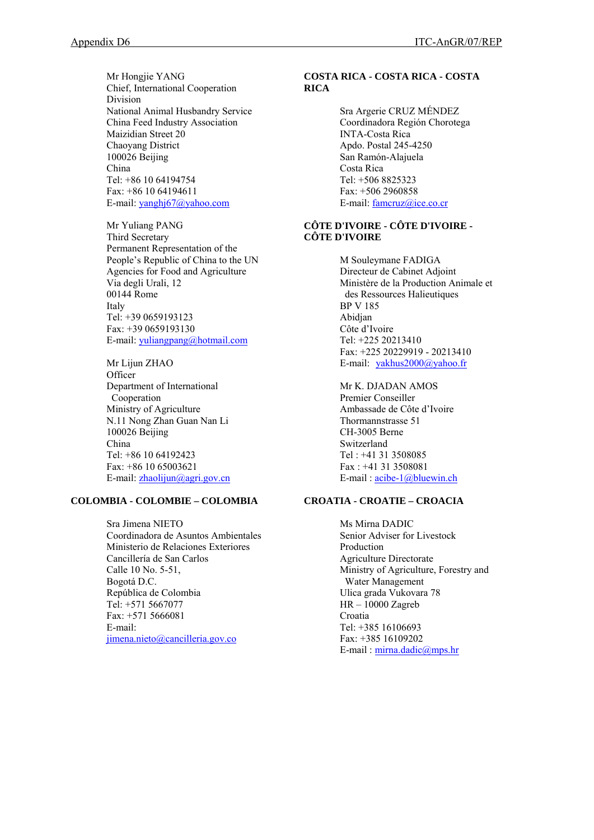Mr Hongjie YANG Chief, International Cooperation Division National Animal Husbandry Service China Feed Industry Association Maizidian Street 20 Chaoyang District 100026 Beijing China Tel: +86 10 64194754 Fax: +86 10 64194611 E-mail: [yanghj67@yahoo.com](mailto:yanghj67@yahoo.com) 

Mr Yuliang PANG Third Secretary Permanent Representation of the People's Republic of China to the UN Agencies for Food and Agriculture Via degli Urali, 12 00144 Rome Italy Tel: +39 0659193123 Fax: +39 0659193130 E-mail: [yuliangpang@hotmail.com](mailto:yuliangpang@hotmail.com)

Mr Lijun ZHAO **Officer** Department of International Cooperation Ministry of Agriculture N.11 Nong Zhan Guan Nan Li 100026 Beijing China Tel: +86 10 64192423 Fax: +86 10 65003621 E-mail: [zhaolijun@agri.gov.cn](mailto:zhaolijun@agri.gov.cn) 

# **COLOMBIA - COLOMBIE – COLOMBIA**

Sra Jimena NIETO Coordinadora de Asuntos Ambientales Ministerio de Relaciones Exteriores Cancillería de San Carlos Calle 10 No. 5-51, Bogotá D.C. República de Colombia Tel: +571 5667077 Fax: +571 5666081 E-mail: [jimena.nieto@cancilleria.gov.co](mailto:jimena.nieto@cancilleria.gov.co)

### **COSTA RICA - COSTA RICA - COSTA RICA**

Sra Argerie CRUZ MÉNDEZ Coordinadora Región Chorotega INTA-Costa Rica Apdo. Postal 245-4250 San Ramón-Alajuela Costa Rica Tel: +506 8825323 Fax: +506 2960858 E-mail: [famcruz@ice.co.cr](mailto:famcruz@ice.co.cr)

# **CÔTE D'IVOIRE - CÔTE D'IVOIRE - CÔTE D'IVOIRE**

M Souleymane FADIGA Directeur de Cabinet Adjoint Ministère de la Production Animale et des Ressources Halieutiques BP V 185 Abidjan Côte d'Ivoire Tel: +225 20213410 Fax: +225 20229919 - 20213410 E-mail: [yakhus2000@yahoo.fr](mailto:yakhus2000@yahoo.fr)

Mr K. DJADAN AMOS Premier Conseiller Ambassade de Côte d'Ivoire Thormannstrasse 51 CH-3005 Berne Switzerland Tel : +41 31 3508085 Fax : +41 31 3508081 E-mail : [acibe-1@bluewin.ch](mailto:acibe-1@bluewin.ch)

# **CROATIA - CROATIE – CROACIA**

Ms Mirna DADIC Senior Adviser for Livestock Production Agriculture Directorate Ministry of Agriculture, Forestry and Water Management Ulica grada Vukovara 78 HR – 10000 Zagreb Croatia Tel: +385 16106693 Fax: +385 16109202 E-mail : [mirna.dadic@mps.hr](mailto:mirna.dadic@mps.hr)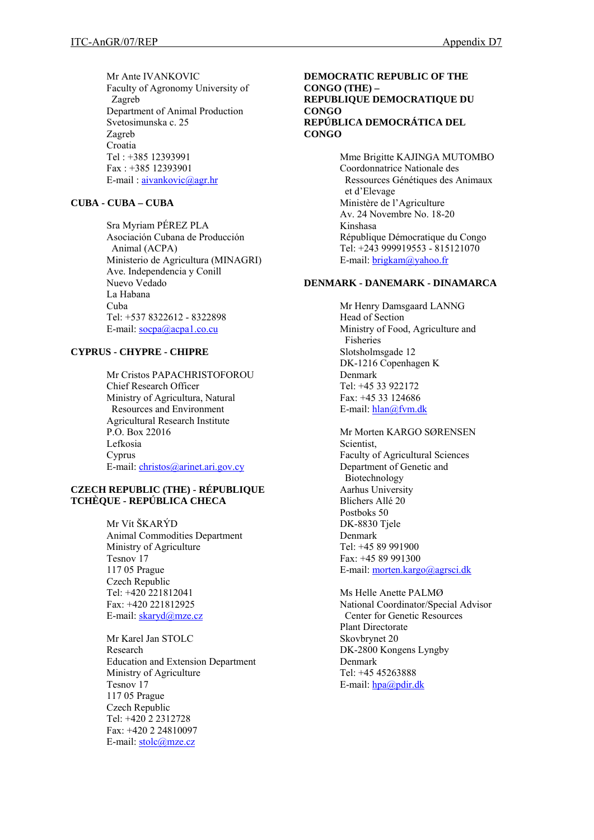Mr Ante IVANKOVIC Faculty of Agronomy University of Zagreb Department of Animal Production Svetosimunska c. 25 Zagreb Croatia Tel : +385 12393991 Fax : +385 12393901 E-mail : [aivankovic@agr.hr](mailto:aivankovic@agr.hr)

## **CUBA - CUBA – CUBA**

Sra Myriam PÉREZ PLA Asociación Cubana de Producción Animal (ACPA) Ministerio de Agricultura (MINAGRI) Ave. Independencia y Conill Nuevo Vedado La Habana Cuba Tel: +537 8322612 - 8322898 E-mail: [socpa@acpa1.co.cu](mailto:socpa@acpa1.co.cu) 

#### **CYPRUS - CHYPRE - CHIPRE**

Mr Cristos PAPACHRISTOFOROU Chief Research Officer Ministry of Agricultura, Natural Resources and Environment Agricultural Research Institute P.O. Box 22016 Lefkosia Cyprus E-mail: [christos@arinet.ari.gov.cy](mailto:christos@arinet.ari.gov.cy)

### **CZECH REPUBLIC (THE) - RÉPUBLIQUE TCHÈQUE - REPÚBLICA CHECA**

Mr Vít ŠKARÝD Animal Commodities Department Ministry of Agriculture Tesnov 17 117 05 Prague Czech Republic Tel: +420 221812041 Fax: +420 221812925 E-mail: [skaryd@mze.cz](mailto:skaryd@mze.cz)

Mr Karel Jan STOLC Research Education and Extension Department Ministry of Agriculture Tesnov 17 117 05 Prague Czech Republic Tel: +420 2 2312728 Fax: +420 2 24810097 E-mail: [stolc@mze.cz](mailto:stolc@mze.cz)

#### **DEMOCRATIC REPUBLIC OF THE CONGO (THE) – REPUBLIQUE DEMOCRATIQUE DU CONGO REPÚBLICA DEMOCRÁTICA DEL CONGO**

Mme Brigitte KAJINGA MUTOMBO Coordonnatrice Nationale des Ressources Génétiques des Animaux et d'Elevage Ministère de l'Agriculture Av. 24 Novembre No. 18-20 Kinshasa République Démocratique du Congo Tel: +243 999919553 - 815121070 E-mail: [brigkam@yahoo.fr](mailto:brigkam@yahoo.fr)

#### **DENMARK - DANEMARK - DINAMARCA**

Mr Henry Damsgaard LANNG Head of Section Ministry of Food, Agriculture and Fisheries Slotsholmsgade 12 DK-1216 Copenhagen K Denmark Tel: +45 33 922172 Fax: +45 33 124686 E-mail: [hlan@fvm.dk](mailto:hlan@fvm.dk)

Mr Morten KARGO SØRENSEN Scientist, Faculty of Agricultural Sciences Department of Genetic and Biotechnology Aarhus University Blichers Allé 20 Postboks 50 DK-8830 Tjele Denmark Tel: +45 89 991900 Fax: +45 89 991300 E-mail: [morten.kargo@agrsci.dk](mailto:morten.kargo@agrsci.dk)

Ms Helle Anette PALMØ National Coordinator/Special Advisor Center for Genetic Resources Plant Directorate Skovbrynet 20 DK-2800 Kongens Lyngby Denmark Tel: +45 45263888 E-mail: [hpa@pdir.dk](mailto:hpa@pdir.dk)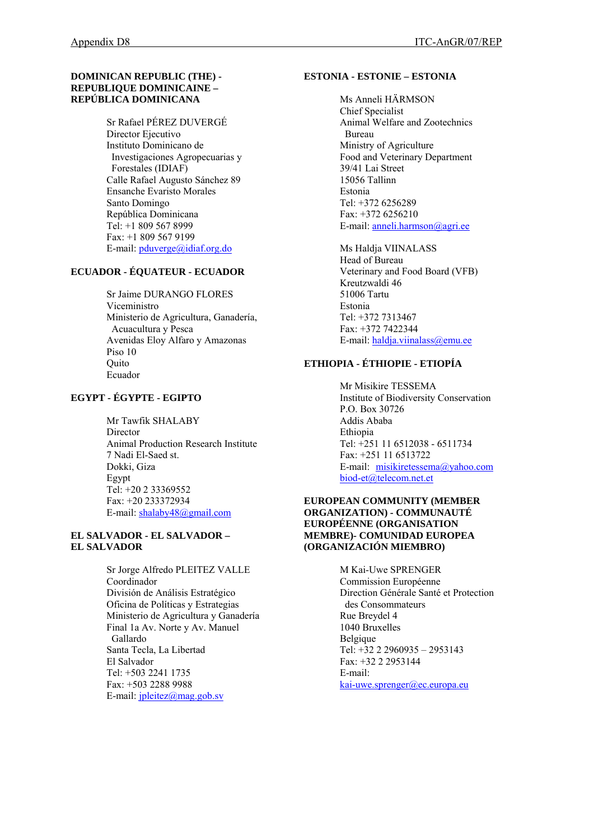### **DOMINICAN REPUBLIC (THE) - REPUBLIQUE DOMINICAINE – REPÚBLICA DOMINICANA**

Sr Rafael PÉREZ DUVERGÉ Director Ejecutivo Instituto Dominicano de Investigaciones Agropecuarias y Forestales (IDIAF) Calle Rafael Augusto Sánchez 89 Ensanche Evaristo Morales Santo Domingo República Dominicana Tel: +1 809 567 8999 Fax: +1 809 567 9199 E-mail: [pduverge@idiaf.org.do](mailto:idiaf@idiaf.org.do) 

## **ECUADOR - ÉQUATEUR - ECUADOR**

Sr Jaime DURANGO FLORES Viceministro Ministerio de Agricultura, Ganadería, Acuacultura y Pesca Avenidas Eloy Alfaro y Amazonas Piso 10 **Ouito** Ecuador

# **EGYPT - ÉGYPTE - EGIPTO**

Mr Tawfik SHALABY Director Animal Production Research Institute 7 Nadi El-Saed st. Dokki, Giza Egypt Tel: +20 2 33369552 Fax: +20 233372934 E-mail: [shalaby48@gmail.com](mailto:shalaby48@gmail.com)

#### **EL SALVADOR - EL SALVADOR – EL SALVADOR**

Sr Jorge Alfredo PLEITEZ VALLE Coordinador División de Análisis Estratégico Oficina de Políticas y Estrategias Ministerio de Agricultura y Ganadería Final 1a Av. Norte y Av. Manuel Gallardo Santa Tecla, La Libertad El Salvador Tel: +503 2241 1735 Fax: +503 2288 9988 E-mail: [jpleitez@mag.gob.sv](mailto:jpleitez@mag.gob.sv)

### **ESTONIA - ESTONIE – ESTONIA**

Ms Anneli HÄRMSON Chief Specialist Animal Welfare and Zootechnics Bureau Ministry of Agriculture Food and Veterinary Department 39/41 Lai Street 15056 Tallinn Estonia Tel: +372 6256289 Fax: +372 6256210 E-mail: [anneli.harmson@agri.ee](mailto:anneli.harmson@agri.ee) 

Ms Haldja VIINALASS Head of Bureau Veterinary and Food Board (VFB) Kreutzwaldi 46 51006 Tartu Estonia Tel: +372 7313467 Fax: +372 7422344 E-mail: [haldja.viinalass@emu.ee](mailto:haldja.viinalass@emu.ee)

# **ETHIOPIA - ÉTHIOPIE - ETIOPÍA**

Mr Misikire TESSEMA Institute of Biodiversity Conservation P.O. Box 30726 Addis Ababa Ethiopia Tel: +251 11 6512038 - 6511734 Fax: +251 11 6513722 E-mail: [misikiretessema@yahoo.com](mailto:misikiretessema@yahoo.com) [biod-et@telecom.net.et](mailto:biod-et@telecom.net.et)

#### **EUROPEAN COMMUNITY (MEMBER ORGANIZATION) - COMMUNAUTÉ EUROPÉENNE (ORGANISATION MEMBRE)- COMUNIDAD EUROPEA (ORGANIZACIÓN MIEMBRO)**

M Kai-Uwe SPRENGER Commission Européenne Direction Générale Santé et Protection des Consommateurs Rue Breydel 4 1040 Bruxelles Belgique Tel: +32 2 2960935 – 2953143 Fax: +32 2 2953144 E-mail: [kai-uwe.sprenger@ec.europa.eu](mailto:kai-uwe.sprenger@ec.europa.eu)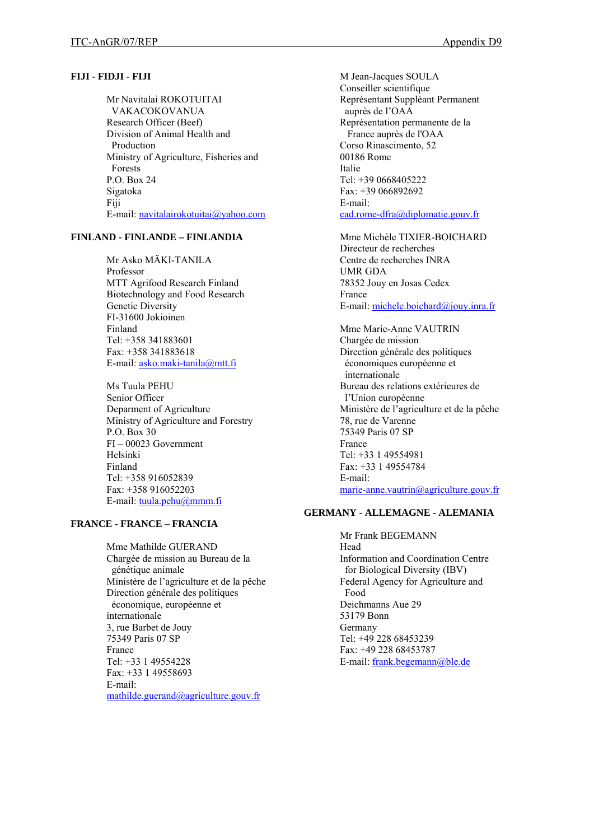#### **FIJI - FIDJI - FIJI**

Mr Navitalai ROKOTUITAI VAKACOKOVANUA Research Officer (Beef) Division of Animal Health and Production Ministry of Agriculture, Fisheries and Forests P.O. Box 24 Sigatoka Fiji E-mail: [navitalairokotuitai@yahoo.com](mailto:navitalairokotuitai@yahoo.com)

## **FINLAND - FINLANDE – FINLANDIA**

Mr Asko MÄKI-TANILA Professor MTT Agrifood Research Finland Biotechnology and Food Research Genetic Diversity FI-31600 Jokioinen Finland Tel: +358 341883601 Fax: +358 341883618 E-mail: [asko.maki-tanila@mtt.fi](mailto:asko.maki-tanila@mtt.fi) 

Ms Tuula PEHU Senior Officer Deparment of Agriculture Ministry of Agriculture and Forestry P.O. Box 30 FI – 00023 Government Helsinki Finland Tel: +358 916052839 Fax: +358 916052203 E-mail: [tuula.pehu@mmm.fi](mailto:tuula.pehu@mmm.fi)

## **FRANCE - FRANCE – FRANCIA**

Mme Mathilde GUERAND Chargée de mission au Bureau de la génétique animale Ministère de l'agriculture et de la pêche Direction générale des politiques économique, européenne et internationale 3, rue Barbet de Jouy 75349 Paris 07 SP France Tel: +33 1 49554228 Fax: +33 1 49558693 E-mail: [mathilde.guerand@agriculture.gouv.fr](mailto:mathilde.guerand@agriculture.gouv.fr) 

M Jean-Jacques SOULA Conseiller scientifique Représentant Suppléant Permanent auprès de l'OAA Représentation permanente de la France auprès de l'OAA Corso Rinascimento, 52 00186 Rome Italie Tel: +39 0668405222 Fax: +39 066892692 E-mail: [cad.rome-dfra@diplomatie.gouv.fr](mailto:cad.rome-dfra@diplomatie.gouv.fr)

Mme Michèle TIXIER-BOICHARD Directeur de recherches Centre de recherches INRA UMR GDA 78352 Jouy en Josas Cedex France E-mail: [michele.boichard@jouy.inra.fr](mailto:michele.boichard@jouy.inra.fr)

Mme Marie-Anne VAUTRIN Chargée de mission Direction générale des politiques économiques européenne et internationale Bureau des relations extérieures de l'Union européenne Ministère de l'agriculture et de la pêche 78, rue de Varenne 75349 Paris 07 SP France Tel: +33 1 49554981 Fax: +33 1 49554784 E-mail: [marie-anne.vautrin@agriculture.gouv.fr](mailto:marie-anne.vautrin@agriculture.gouv.fr) 

#### **GERMANY - ALLEMAGNE - ALEMANIA**

Mr Frank BEGEMANN Head Information and Coordination Centre for Biological Diversity (IBV) Federal Agency for Agriculture and Food Deichmanns Aue 29 53179 Bonn Germany Tel: +49 228 68453239 Fax: +49 228 68453787 E-mail: [frank.begemann@ble.de](mailto:frank.begemann@ble.de)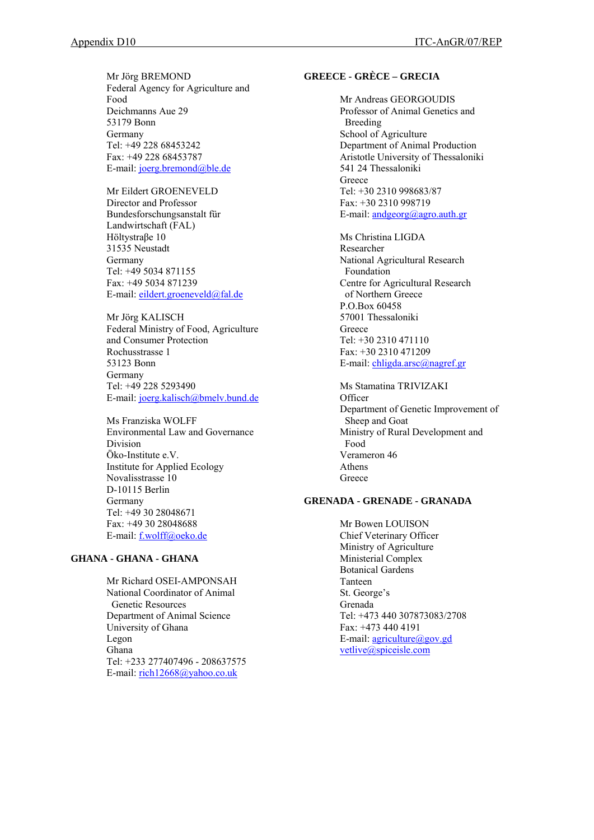Mr Jörg BREMOND Federal Agency for Agriculture and Food Deichmanns Aue 29 53179 Bonn Germany Tel: +49 228 68453242 Fax: +49 228 68453787 E-mail: [joerg.bremond@ble.de](mailto:joerg.bremond@ble.de)

Mr Eildert GROENEVELD Director and Professor Bundesforschungsanstalt für Landwirtschaft (FAL) Höltystraβe 10 31535 Neustadt Germany Tel: +49 5034 871155 Fax: +49 5034 871239 E-mail: [eildert.groeneveld@fal.de](mailto:eildert.groeneveld@fal.de)

Mr Jörg KALISCH Federal Ministry of Food, Agriculture and Consumer Protection Rochusstrasse 1 53123 Bonn Germany Tel: +49 228 5293490 E-mail: [joerg.kalisch@bmelv.bund.de](mailto:joerg.kalisch@bmelv.bund.de)

Ms Franziska WOLFF Environmental Law and Governance Division Öko-Institute e.V. Institute for Applied Ecology Novalisstrasse 10 D-10115 Berlin Germany Tel: +49 30 28048671 Fax: +49 30 28048688 E-mail: [f.wolff@oeko.de](mailto:f.wolff@oeko.de) 

# **GHANA - GHANA - GHANA**

Mr Richard OSEI-AMPONSAH National Coordinator of Animal Genetic Resources Department of Animal Science University of Ghana Legon Ghana Tel: +233 277407496 - 208637575 E-mail: [rich12668@yahoo.co.uk](mailto:rich12668@yahoo.co.uk)

### **GREECE - GRÈCE – GRECIA**

Mr Andreas GEORGOUDIS Professor of Animal Genetics and Breeding School of Agriculture Department of Animal Production Aristotle University of Thessaloniki 541 24 Thessaloniki **Greece** Tel: +30 2310 998683/87 Fax: +30 2310 998719 E-mail:  $andgeorg(a)agro.auth.gr$ 

Ms Christina LIGDA Researcher National Agricultural Research Foundation Centre for Agricultural Research of Northern Greece P.O.Box 60458 57001 Thessaloniki Greece Tel: +30 2310 471110 Fax: +30 2310 471209 E-mail: [chligda.arsc@nagref.gr](mailto:chligda.arsc@nagref.gr)

Ms Stamatina TRIVIZAKI **Officer** Department of Genetic Improvement of Sheep and Goat Ministry of Rural Development and Food Verameron 46 Athens Greece

### **GRENADA - GRENADE - GRANADA**

Mr Bowen LOUISON Chief Veterinary Officer Ministry of Agriculture Ministerial Complex Botanical Gardens Tanteen St. George's Grenada Tel: +473 440 307873083/2708 Fax: +473 440 4191 E-mail:  $a$ griculture@gov.gd [vetlive@spiceisle.com](mailto:vetlive@spiceisle.com)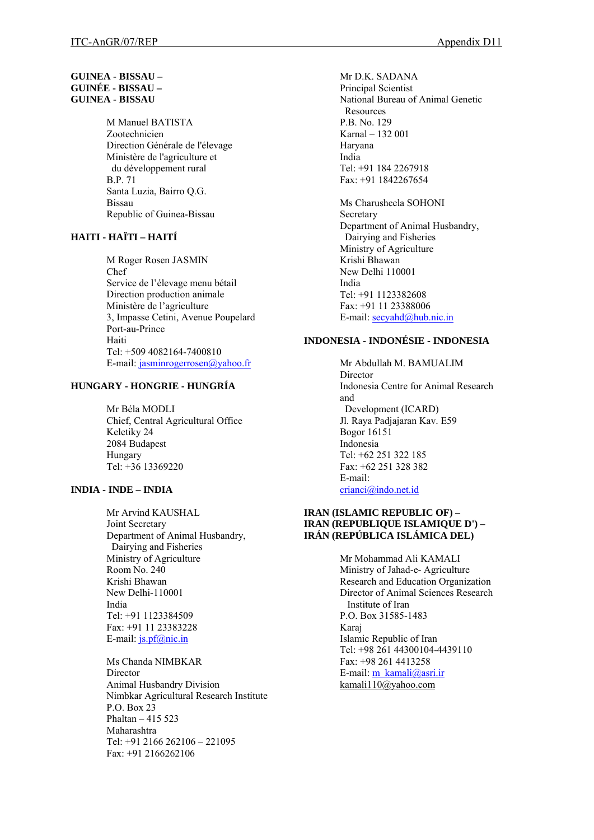### **GUINEA - BISSAU – GUINÉE - BISSAU – GUINEA - BISSAU**

M Manuel BATISTA Zootechnicien Direction Générale de l'élevage Ministère de l'agriculture et du développement rural B.P. 71 Santa Luzia, Bairro Q.G. Bissau Republic of Guinea-Bissau

# **HAITI - HAÏTI – HAITÍ**

M Roger Rosen JASMIN Chef Service de l'élevage menu bétail Direction production animale Ministère de l'agriculture 3, Impasse Cetini, Avenue Poupelard Port-au-Prince Haiti Tel: +509 4082164-7400810 E-mail: [jasminrogerrosen@yahoo.fr](mailto:jasminrogerrosen@yahoo.fr)

### **HUNGARY - HONGRIE - HUNGRÍA**

Mr Béla MODLI Chief, Central Agricultural Office Keletiky 24 2084 Budapest Hungary Tel: +36 13369220

## **INDIA - INDE – INDIA**

Mr Arvind KAUSHAL Joint Secretary Department of Animal Husbandry, Dairying and Fisheries Ministry of Agriculture Room No. 240 Krishi Bhawan New Delhi-110001 India Tel: +91 1123384509 Fax: +91 11 23383228 E-mail: [js.pf@nic.in](mailto:js.pf@nic.in)

Ms Chanda NIMBKAR Director Animal Husbandry Division Nimbkar Agricultural Research Institute P.O. Box 23 Phaltan – 415 523 Maharashtra Tel: +91 2166 262106 – 221095 Fax: +91 2166262106

Mr D.K. SADANA Principal Scientist National Bureau of Animal Genetic Resources P.B. No. 129 Karnal – 132 001 Haryana India Tel: +91 184 2267918 Fax: +91 1842267654

Ms Charusheela SOHONI Secretary Department of Animal Husbandry, Dairying and Fisheries Ministry of Agriculture Krishi Bhawan New Delhi 110001 India Tel: +91 1123382608 Fax: +91 11 23388006 E-mail: [secyahd@hub.nic.in](mailto:secyahd@hub.nic.in)

## **INDONESIA - INDONÉSIE - INDONESIA**

Mr Abdullah M. BAMUALIM Director Indonesia Centre for Animal Research and Development (ICARD) Jl. Raya Padjajaran Kav. E59 Bogor 16151 Indonesia Tel: +62 251 322 185 Fax: +62 251 328 382 E-mail: [crianci@indo.net.id](mailto:crianci@indo.net.id)

#### **IRAN (ISLAMIC REPUBLIC OF) – IRAN (REPUBLIQUE ISLAMIQUE D') – IRÁN (REPÚBLICA ISLÁMICA DEL)**

Mr Mohammad Ali KAMALI Ministry of Jahad-e- Agriculture Research and Education Organization Director of Animal Sciences Research Institute of Iran P.O. Box 31585-1483 Karaj Islamic Republic of Iran Tel: +98 261 44300104-4439110 Fax: +98 261 4413258 E-mail: [m\\_kamali@asri.ir](mailto:m_kamali@asri.ir) kamali $110\overline{a}$ yahoo.com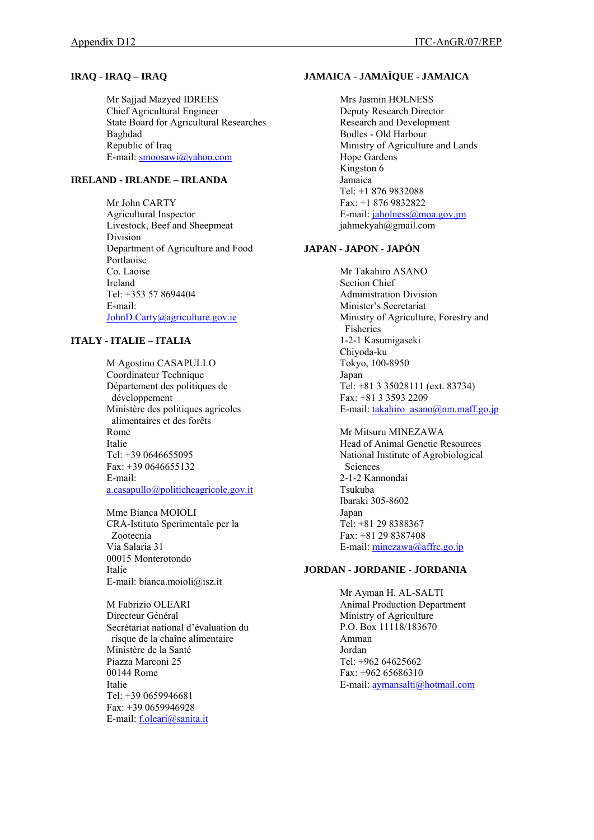### **IRAQ - IRAQ – IRAQ**

Mr Sajjad Mazyed IDREES Chief Agricultural Engineer State Board for Agricultural Researches Baghdad Republic of Iraq E-mail: [smoosawi@yahoo.com](mailto:smoosawi@yahoo.com)

# **IRELAND - IRLANDE – IRLANDA**

Mr John CARTY Agricultural Inspector Livestock, Beef and Sheepmeat Division Department of Agriculture and Food Portlaoise Co. Laoise Ireland Tel: +353 57 8694404 E-mail: [JohnD.Carty@agriculture.gov.ie](mailto:JohnD.Carty@agriculture.gov.ie)

# **ITALY - ITALIE – ITALIA**

M Agostino CASAPULLO Coordinateur Technique Département des politiques de développement Ministère des politiques agricoles alimentaires et des forêts Rome Italie Tel: +39 0646655095 Fax: +39 0646655132 E-mail: [a.casapullo@politicheagricole.gov.it](mailto:a.casapullo@politicheagricole.gov.it)

Mme Bianca MOIOLI CRA-Istituto Sperimentale per la Zootecnia Via Salaria 31 00015 Monterotondo Italie E-mail: bianca.moioli@isz.it

M Fabrizio OLEARI Directeur Général Secrétariat national d'évaluation du risque de la chaîne alimentaire Ministère de la Santé Piazza Marconi 25 00144 Rome Italie Tel: +39 0659946681 Fax: +39 0659946928 E-mail: [f.oleari@sanita.it](mailto:f.oleari@sanita.it) 

### **JAMAICA - JAMAÏQUE - JAMAICA**

Mrs Jasmin HOLNESS Deputy Research Director Research and Development Bodles - Old Harbour Ministry of Agriculture and Lands Hope Gardens Kingston 6 Jamaica Tel: +1 876 9832088 Fax: +1 876 9832822 E-mail: [jaholness@moa.gov.jm](mailto:jaholness@moa.gov.jm) jahmekyah@gmail.com

## **JAPAN - JAPON - JAPÓN**

Mr Takahiro ASANO Section Chief Administration Division Minister's Secretariat Ministry of Agriculture, Forestry and Fisheries 1-2-1 Kasumigaseki Chiyoda-ku Tokyo, 100-8950 Japan Tel: +81 3 35028111 (ext. 83734) Fax: +81 3 3593 2209 E-mail: [takahiro\\_asano@nm.maff.go.jp](mailto:takahiro_asano@nm.maff.go.jp)

### Mr Mitsuru MINEZAWA

Head of Animal Genetic Resources National Institute of Agrobiological Sciences 2-1-2 Kannondai Tsukuba Ibaraki 305-8602 Japan Tel: +81 29 8388367 Fax: +81 29 8387408 E-mail: [minezawa@affrc.go.jp](mailto:minezawa@affrc.go.jp)

### **JORDAN - JORDANIE - JORDANIA**

Mr Ayman H. AL-SALTI Animal Production Department Ministry of Agriculture P.O. Box 11118/183670 Amman Jordan Tel: +962 64625662 Fax: +962 65686310 E-mail: [aymansalti@hotmail.com](mailto:aymansalti@hotmail.com)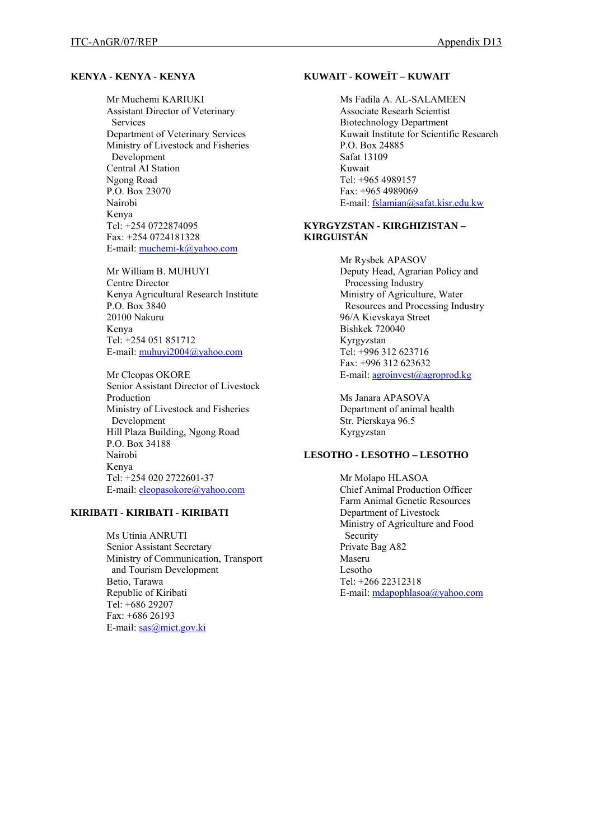#### **KENYA - KENYA - KENYA**

Mr Muchemi KARIUKI Assistant Director of Veterinary Services Department of Veterinary Services Ministry of Livestock and Fisheries Development Central AI Station Ngong Road P.O. Box 23070 Nairobi Kenya Tel: +254 0722874095 Fax: +254 0724181328 E-mail: [muchemi-k@yahoo.com](mailto:muchemi-k@yahoo.com)

Mr William B. MUHUYI Centre Director Kenya Agricultural Research Institute P.O. Box 3840 20100 Nakuru Kenya Tel: +254 051 851712 E-mail: [muhuyi2004@yahoo.com](mailto:muhuyi2004@yahoo.com)

Mr Cleopas OKORE Senior Assistant Director of Livestock Production Ministry of Livestock and Fisheries Development Hill Plaza Building, Ngong Road P.O. Box 34188 Nairobi Kenya Tel: +254 020 2722601-37 E-mail: [cleopasokore@yahoo.com](mailto:cleopasokore@yahoo.com) 

#### **KIRIBATI - KIRIBATI - KIRIBATI**

Ms Utinia ANRUTI Senior Assistant Secretary Ministry of Communication, Transport and Tourism Development Betio, Tarawa Republic of Kiribati Tel: +686 29207 Fax: +686 26193 E-mail: [sas@mict.gov.ki](mailto:sas@mict.gov.ki) 

#### **KUWAIT - KOWEÏT – KUWAIT**

Ms Fadila A. AL-SALAMEEN Associate Researh Scientist Biotechnology Department Kuwait Institute for Scientific Research P.O. Box 24885 Safat 13109 Kuwait Tel: +965 4989157 Fax: +965 4989069 E-mail: [fslamian@safat.kisr.edu.kw](mailto:fslamian@safat.kisr.edu.kw)

## **KYRGYZSTAN - KIRGHIZISTAN – KIRGUISTÁN**

Mr Rysbek APASOV Deputy Head, Agrarian Policy and Processing Industry Ministry of Agriculture, Water Resources and Processing Industry 96/A Kievskaya Street Bishkek 720040 Kyrgyzstan Tel: +996 312 623716 Fax: +996 312 623632 E-mail: [agroinvest@agroprod.kg](mailto:agroinvest@agroprod.kg)

Ms Janara APASOVA Department of animal health Str. Pierskaya 96.5 Kyrgyzstan

### **LESOTHO - LESOTHO – LESOTHO**

Mr Molapo HLASOA Chief Animal Production Officer Farm Animal Genetic Resources Department of Livestock Ministry of Agriculture and Food Security Private Bag A82 Maseru Lesotho Tel: +266 22312318 E-mail: [mdapophlasoa@yahoo.com](mailto:mdapophlasoa@yahoo.com)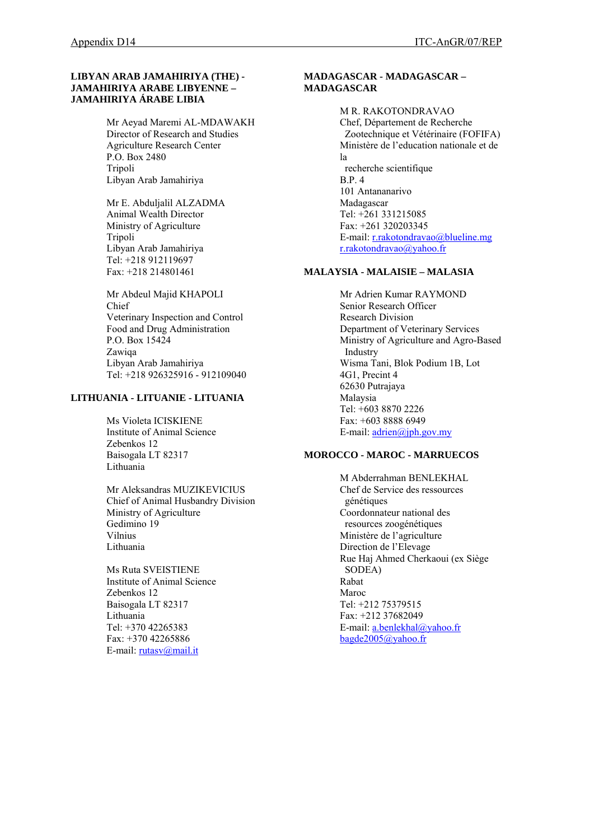## **LIBYAN ARAB JAMAHIRIYA (THE) - JAMAHIRIYA ARABE LIBYENNE – JAMAHIRIYA ÁRABE LIBIA**

Mr Aeyad Maremi AL-MDAWAKH Director of Research and Studies Agriculture Research Center P.O. Box 2480 Tripoli Libyan Arab Jamahiriya

Mr E. Abduljalil ALZADMA Animal Wealth Director Ministry of Agriculture Tripoli Libyan Arab Jamahiriya Tel: +218 912119697 Fax: +218 214801461

Mr Abdeul Majid KHAPOLI Chief Veterinary Inspection and Control Food and Drug Administration P.O. Box 15424 Zawiqa Libyan Arab Jamahiriya Tel: +218 926325916 - 912109040

## **LITHUANIA - LITUANIE - LITUANIA**

Ms Violeta ICISKIENE Institute of Animal Science Zebenkos 12 Baisogala LT 82317 Lithuania

Mr Aleksandras MUZIKEVICIUS Chief of Animal Husbandry Division Ministry of Agriculture Gedimino 19 Vilnius Lithuania

Ms Ruta SVEISTIENE Institute of Animal Science Zebenkos 12 Baisogala LT 82317 Lithuania Tel: +370 42265383 Fax: +370 42265886 E-mail: [rutasv@mail.it](mailto:rutasv@mail.it)

#### **MADAGASCAR - MADAGASCAR – MADAGASCAR**

M R. RAKOTONDRAVAO Chef, Département de Recherche Zootechnique et Vétérinaire (FOFIFA) Ministère de l'education nationale et de la recherche scientifique B.P. 4 101 Antananarivo Madagascar Tel: +261 331215085 Fax: +261 320203345 E-mail: [r.rakotondravao@blueline.mg](mailto:r.rakotondravao@blueline.mg) [r.rakotondravao@yahoo.fr](mailto:r.rakotondravao@yahoo.fr)

### **MALAYSIA - MALAISIE – MALASIA**

Mr Adrien Kumar RAYMOND Senior Research Officer Research Division Department of Veterinary Services Ministry of Agriculture and Agro-Based Industry Wisma Tani, Blok Podium 1B, Lot 4G1, Precint 4 62630 Putrajaya Malaysia Tel: +603 8870 2226 Fax: +603 8888 6949 E-mail: [adrien@jph.gov.my](mailto:adrien@jph.gov.my)

## **MOROCCO - MAROC - MARRUECOS**

M Abderrahman BENLEKHAL Chef de Service des ressources génétiques Coordonnateur national des resources zoogénétiques Ministère de l'agriculture Direction de l'Elevage Rue Haj Ahmed Cherkaoui (ex Siège SODEA) Rabat Maroc Tel: +212 75379515 Fax: +212 37682049 E-mail: [a.benlekhal@yahoo.fr](mailto:a.benlekhal@yahoo.fr) [bagde2005@yahoo.fr](mailto:bagde2005@yahoo.fr)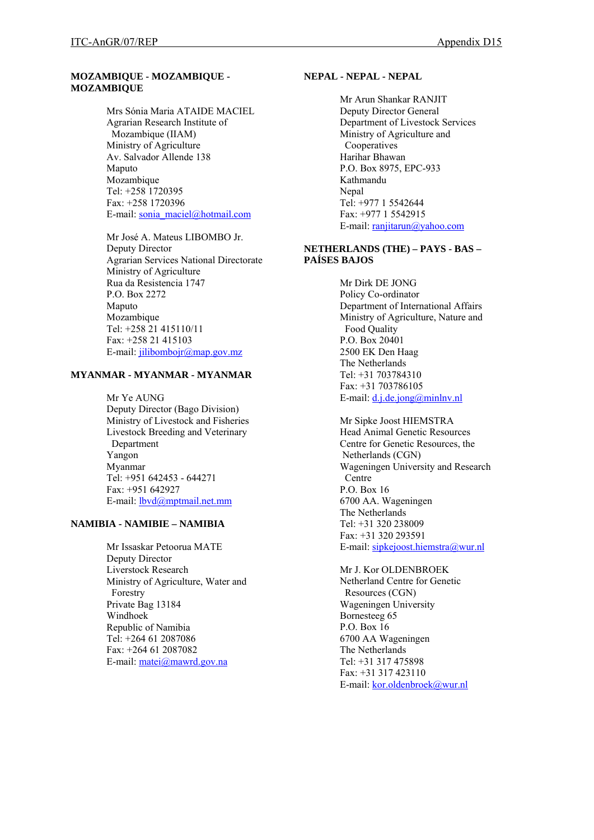# **MOZAMBIQUE - MOZAMBIQUE - MOZAMBIQUE**

Mrs Sónia Maria ATAIDE MACIEL Agrarian Research Institute of Mozambique (IIAM) Ministry of Agriculture Av. Salvador Allende 138 Maputo Mozambique Tel: +258 1720395 Fax: +258 1720396 E-mail: [sonia\\_maciel@hotmail.com](mailto:sonia_maciel@hotmail.com) 

Mr José A. Mateus LIBOMBO Jr. Deputy Director Agrarian Services National Directorate Ministry of Agriculture Rua da Resistencia 1747 P.O. Box 2272 Maputo Mozambique Tel: +258 21 415110/11 Fax: +258 21 415103 E-mail: [jilibombojr@map.gov.mz](mailto:jilibombojr@map.gov.mz)

### **MYANMAR - MYANMAR - MYANMAR**

Mr Ye AUNG Deputy Director (Bago Division) Ministry of Livestock and Fisheries Livestock Breeding and Veterinary Department Yangon Myanmar Tel: +951 642453 - 644271 Fax: +951 642927 E-mail: [lbvd@mptmail.net.mm](mailto:lbvd@mptmail.net.mm)

### **NAMIBIA - NAMIBIE – NAMIBIA**

Mr Issaskar Petoorua MATE Deputy Director Liverstock Research Ministry of Agriculture, Water and Forestry Private Bag 13184 Windhoek Republic of Namibia Tel: +264 61 2087086 Fax: +264 61 2087082 E-mail: [matei@mawrd.gov.na](mailto:matei@mawrd.gov.na)

#### **NEPAL - NEPAL - NEPAL**

Mr Arun Shankar RANJIT Deputy Director General Department of Livestock Services Ministry of Agriculture and Cooperatives Harihar Bhawan P.O. Box 8975, EPC-933 Kathmandu Nepal Tel: +977 1 5542644 Fax: +977 1 5542915 E-mail: [ranjitarun@yahoo.com](mailto:ranjitarun@yahoo.com) 

# **NETHERLANDS (THE) – PAYS - BAS – PAÍSES BAJOS**

Mr Dirk DE JONG Policy Co-ordinator Department of International Affairs Ministry of Agriculture, Nature and Food Quality P.O. Box 20401 2500 EK Den Haag The Netherlands Tel: +31 703784310 Fax: +31 703786105 E-mail: [d.j.de.jong@minlnv.nl](mailto:d.j.de.jong@minlnv.nl) 

Mr Sipke Joost HIEMSTRA Head Animal Genetic Resources Centre for Genetic Resources, the Netherlands (CGN) Wageningen University and Research Centre P.O. Box 16 6700 AA. Wageningen The Netherlands Tel: +31 320 238009 Fax: +31 320 293591 E-mail: [sipkejoost.hiemstra@wur.nl](mailto:sipkejoost.hiemstra@wur.nl)

Mr J. Kor OLDENBROEK Netherland Centre for Genetic Resources (CGN) Wageningen University Bornesteeg 65 P.O. Box 16 6700 AA Wageningen The Netherlands Tel: +31 317 475898 Fax: +31 317 423110 E-mail: [kor.oldenbroek@wur.nl](mailto:kor.oldenbroek@wur.nl)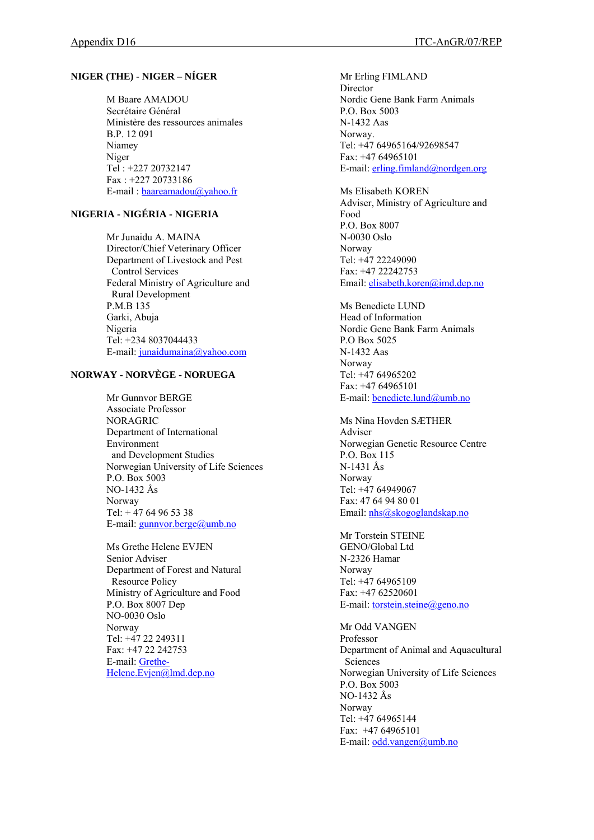# **NIGER (THE) - NIGER – NÍGER**

M Baare AMADOU Secrétaire Général Ministère des ressources animales B.P. 12 091 Niamey Niger Tel : +227 20732147 Fax : +227 20733186 E-mail : [baareamadou@yahoo.fr](mailto:baareamadou@yahoo.fr)

# **NIGERIA - NIGÉRIA - NIGERIA**

Mr Junaidu A. MAINA Director/Chief Veterinary Officer Department of Livestock and Pest Control Services Federal Ministry of Agriculture and Rural Development P.M.B 135 Garki, Abuja Nigeria Tel: +234 8037044433 E-mail: [junaidumaina@yahoo.com](mailto:junaidumaina@yahoo.com)

# **NORWAY - NORVÈGE - NORUEGA**

Mr Gunnvor BERGE Associate Professor NORAGRIC Department of International Environment and Development Studies Norwegian University of Life Sciences P.O. Box 5003 NO-1432 Ås Norway Tel:  $+4764965338$ E-mail: [gunnvor.berge@umb.no](mailto:gunnvor.berge@umb.no)

Ms Grethe Helene EVJEN Senior Adviser Department of Forest and Natural Resource Policy Ministry of Agriculture and Food P.O. Box 8007 Dep NO-0030 Oslo Norway Tel: +47 22 249311 Fax: +47 22 242753 E-mail: [Grethe-](mailto:Grethe-Helene.Evjen@lmd.dep.no)[Helene.Evjen@lmd.dep.no](mailto:Grethe-Helene.Evjen@lmd.dep.no)

Mr Erling FIMLAND **Director** Nordic Gene Bank Farm Animals P.O. Box 5003 N-1432 Aas Norway. Tel: +47 64965164/92698547 Fax: +47 64965101 E-mail: [erling.fimland@nordgen.org](mailto:erling.fimland@nordgen.org) 

Ms Elisabeth KOREN Adviser, Ministry of Agriculture and Food P.O. Box 8007 N-0030 Oslo Norway Tel: +47 22249090 Fax: +47 22242753 Email: [elisabeth.koren@imd.dep.no](mailto:elisabeth.koren@imd.dep.no) 

Ms Benedicte LUND Head of Information Nordic Gene Bank Farm Animals P.O Box 5025 N-1432 Aas Norway Tel: +47 64965202 Fax: +47 64965101 E-mail: [benedicte.lund@umb.no](mailto:benedicte.lund@umb.no)

Ms Nina Hovden SÆTHER Adviser Norwegian Genetic Resource Centre P.O. Box 115 N-1431 Ås Norway Tel: +47 64949067 Fax: 47 64 94 80 01 Email: [nhs@skogoglandskap.no](mailto:nhs@skogoglandskap.no)

Mr Torstein STEINE GENO/Global Ltd N-2326 Hamar Norway Tel: +47 64965109 Fax: +47 62520601 E-mail: [torstein.steine@geno.no](mailto:torstein.steine@geno.no)

Mr Odd VANGEN Professor Department of Animal and Aquacultural Sciences Norwegian University of Life Sciences P.O. Box 5003 NO-1432 Ås Norway Tel: +47 64965144 Fax: +47 64965101 E-mail: [odd.vangen@umb.no](mailto:odd.vangen@umb.no)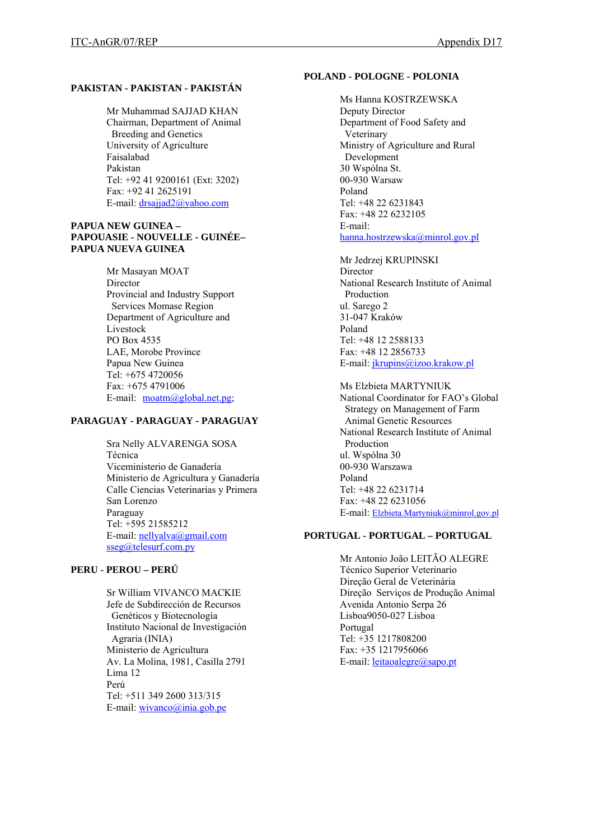# **PAKISTAN - PAKISTAN - PAKISTÁN**

Mr Muhammad SAJJAD KHAN Chairman, Department of Animal Breeding and Genetics University of Agriculture Faisalabad Pakistan Tel: +92 41 9200161 (Ext: 3202) Fax: +92 41 2625191 E-mail: [drsajjad2@yahoo.com](mailto:drsajjad2@yahoo.com)

### **PAPUA NEW GUINEA – PAPOUASIE - NOUVELLE - GUINÉE– PAPUA NUEVA GUINEA**

Mr Masayan MOAT Director Provincial and Industry Support Services Momase Region Department of Agriculture and Livestock PO Box 4535 LAE, Morobe Province Papua New Guinea Tel: +675 4720056 Fax: +675 4791006 E-mail: [moatm@global.net.pg](mailto:moatm@global.net.pg);

# **PARAGUAY - PARAGUAY - PARAGUAY**

Sra Nelly ALVARENGA SOSA Técnica Viceministerio de Ganadería Ministerio de Agricultura y Ganadería Calle Ciencias Veterinarias y Primera San Lorenzo Paraguay Tel: +595 21585212 E-mail: [nellyalva@gmail.com](mailto:nellyalva@gmail.com) [sseg@telesurf.com.py](mailto:sseg@telesurf.com.py)

# **PERU - PEROU – PERÚ**

Sr William VIVANCO MACKIE Jefe de Subdirección de Recursos Genéticos y Biotecnología Instituto Nacional de Investigación Agraria (INIA) Ministerio de Agricultura Av. La Molina, 1981, Casilla 2791 Lima 12 Perú Tel: +511 349 2600 313/315 E-mail: [wivanco@inia.gob.pe](mailto:wivanco@inia.gob.pe)

### **POLAND - POLOGNE - POLONIA**

Ms Hanna KOSTRZEWSKA Deputy Director Department of Food Safety and Veterinary Ministry of Agriculture and Rural Development 30 Wspólna St. 00-930 Warsaw Poland Tel: +48 22 6231843 Fax: +48 22 6232105 E-mail: [hanna.hostrzewska@minrol.gov.pl](mailto:hanna.hostrzewska@minrol.gov.pl)

Mr Jedrzej KRUPINSKI Director National Research Institute of Animal Production ul. Sarego 2 31-047 Kraków Poland Tel: +48 12 2588133 Fax: +48 12 2856733 E-mail: [jkrupins@izoo.krakow.pl](mailto:jkrupins@izoo.krakow.pl)

Ms Elzbieta MARTYNIUK National Coordinator for FAO's Global Strategy on Management of Farm Animal Genetic Resources National Research Institute of Animal Production ul. Wspólna 30 00-930 Warszawa Poland Tel: +48 22 6231714 Fax: +48 22 6231056 E-mail: [Elzbieta.Martyniuk@minrol.gov.pl](mailto:Elzbieta.Martyniuk@minrol.gov.pl)

### **PORTUGAL - PORTUGAL – PORTUGAL**

Mr Antonio João LEITÃO ALEGRE Técnico Superior Veterinario Direção Geral de Veterinária Direção Serviços de Produção Animal Avenida Antonio Serpa 26 Lisboa9050-027 Lisboa Portugal Tel: +35 1217808200 Fax: +35 1217956066 E-mail: *leitaoalegre@sapo.pt*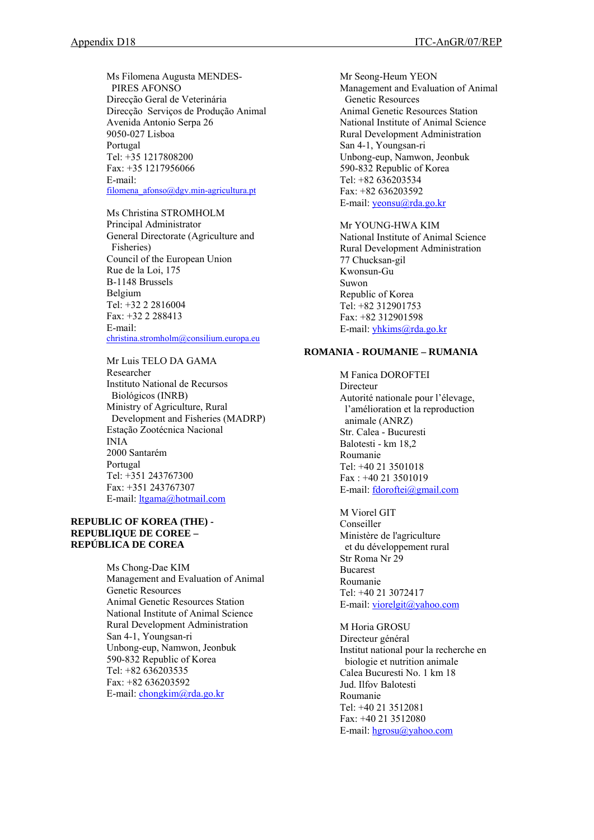Ms Filomena Augusta MENDES- PIRES AFONSO Direcção Geral de Veterinária Direcção Serviços de Produção Animal Avenida Antonio Serpa 26 9050-027 Lisboa Portugal Tel: +35 1217808200 Fax: +35 1217956066 E-mail: [filomena\\_afonso@dgv.min-agricultura.pt](mailto:filomena_afonso@dgv.min-agricultura.pt)

Ms Christina STROMHOLM Principal Administrator General Directorate (Agriculture and Fisheries) Council of the European Union Rue de la Loi, 175 B-1148 Brussels Belgium Tel: +32 2 2816004 Fax: +32 2 288413 E-mail: [christina.stromholm@consilium.europa.eu](mailto:christina.stromholm@consilium.europa.eu) 

Mr Luis TELO DA GAMA Researcher Instituto National de Recursos Biológicos (INRB) Ministry of Agriculture, Rural Development and Fisheries (MADRP) Estação Zootécnica Nacional INIA 2000 Santarém Portugal Tel: +351 243767300 Fax: +351 243767307 E-mail: [ltgama@hotmail.com](mailto:ltgama@hotmail.com)

### **REPUBLIC OF KOREA (THE) - REPUBLIQUE DE COREE – REPÚBLICA DE COREA**

Ms Chong-Dae KIM Management and Evaluation of Animal Genetic Resources Animal Genetic Resources Station National Institute of Animal Science Rural Development Administration San 4-1, Youngsan-ri Unbong-eup, Namwon, Jeonbuk 590-832 Republic of Korea Tel: +82 636203535 Fax: +82 636203592 E-mail: [chongkim@rda.go.kr](mailto:chongkim@rda.go.kr) 

Mr Seong-Heum YEON Management and Evaluation of Animal Genetic Resources Animal Genetic Resources Station National Institute of Animal Science Rural Development Administration San 4-1, Youngsan-ri Unbong-eup, Namwon, Jeonbuk 590-832 Republic of Korea Tel: +82 636203534 Fax: +82 636203592 E-mail: [yeonsu@rda.go.kr](mailto:yeonsu@rda.go.kr) 

Mr YOUNG-HWA KIM National Institute of Animal Science Rural Development Administration 77 Chucksan-gil Kwonsun-Gu Suwon Republic of Korea Tel: +82 312901753 Fax: +82 312901598 E-mail: [yhkims@rda.go.kr](mailto:yhkims@rda.go.kr)

#### **ROMANIA - ROUMANIE – RUMANIA**

M Fanica DOROFTEI Directeur Autorité nationale pour l'élevage, l'amélioration et la reproduction animale (ANRZ) Str. Calea - Bucuresti Balotesti - km 18,2 Roumanie Tel: +40 21 3501018 Fax : +40 21 3501019 E-mail: [fdoroftei@gmail.com](mailto:fdoroftei@gmail.com) 

M Viorel GIT Conseiller Ministère de l'agriculture et du développement rural Str Roma Nr 29 Bucarest Roumanie Tel: +40 21 3072417 E-mail: [viorelgit@yahoo.com](mailto:viorelgit@yahoo.com)

M Horia GROSU Directeur général Institut national pour la recherche en biologie et nutrition animale Calea Bucuresti No. 1 km 18 Jud. Ilfov Balotesti Roumanie Tel: +40 21 3512081 Fax: +40 21 3512080 E-mail: [hgrosu@yahoo.com](mailto:hgrosu@yahoo.com)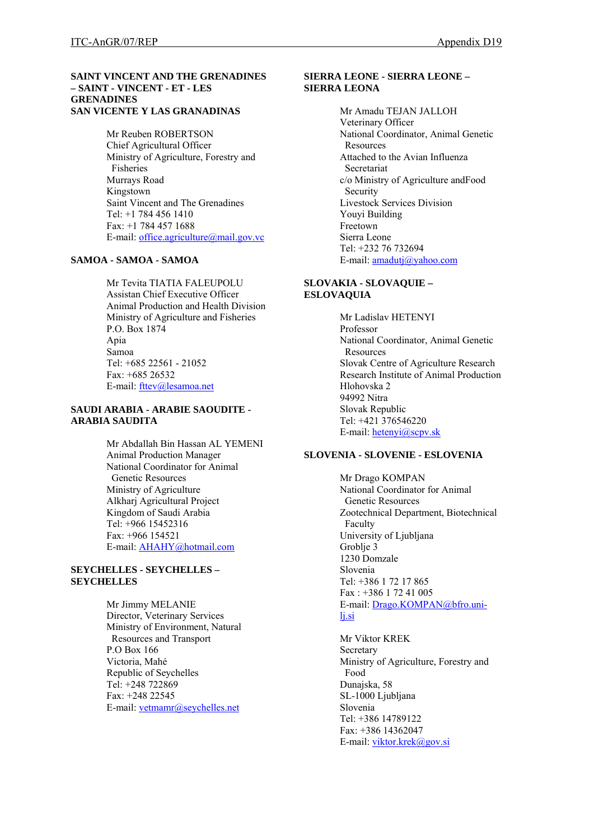#### **SAINT VINCENT AND THE GRENADINES – SAINT - VINCENT - ET - LES GRENADINES SAN VICENTE Y LAS GRANADINAS**

Mr Reuben ROBERTSON Chief Agricultural Officer Ministry of Agriculture, Forestry and Fisheries Murrays Road Kingstown Saint Vincent and The Grenadines Tel: +1 784 456 1410 Fax: +1 784 457 1688 E-mail: [office.agriculture@mail.gov.vc](mailto:office.agriculture@mail.gov.vc)

# **SAMOA - SAMOA - SAMOA**

Mr Tevita TIATIA FALEUPOLU Assistan Chief Executive Officer Animal Production and Health Division Ministry of Agriculture and Fisheries P.O. Box 1874 Apia Samoa Tel: +685 22561 - 21052 Fax: +685 26532 E-mail: [fttev@lesamoa.net](mailto:fttev@lesamoa.net)

### **SAUDI ARABIA - ARABIE SAOUDITE - ARABIA SAUDITA**

Mr Abdallah Bin Hassan AL YEMENI Animal Production Manager National Coordinator for Animal Genetic Resources Ministry of Agriculture Alkharj Agricultural Project Kingdom of Saudi Arabia Tel: +966 15452316  $Fax + 966$  154521 E-mail: [AHAHY@hotmail.com](mailto:AHAHY@hotmail.com)

### **SEYCHELLES - SEYCHELLES – SEYCHELLES**

Mr Jimmy MELANIE Director, Veterinary Services Ministry of Environment, Natural Resources and Transport P.O Box 166 Victoria, Mahé Republic of Seychelles Tel: +248 722869 Fax: +248 22545 E-mail: [vetmamr@seychelles.net](mailto:vetmamr@seychelles.net) 

### **SIERRA LEONE - SIERRA LEONE – SIERRA LEONA**

Mr Amadu TEJAN JALLOH Veterinary Officer National Coordinator, Animal Genetic **Resources** Attached to the Avian Influenza Secretariat c/o Ministry of Agriculture andFood Security Livestock Services Division Youyi Building Freetown Sierra Leone Tel: +232 76 732694 E-mail: [amadutj@yahoo.com](mailto:amadutj@yahoo.com) 

### **SLOVAKIA - SLOVAQUIE – ESLOVAQUIA**

Mr Ladislav HETENYI Professor National Coordinator, Animal Genetic Resources Slovak Centre of Agriculture Research Research Institute of Animal Production Hlohovska 2 94992 Nitra Slovak Republic Tel: +421 376546220 E-mail: [hetenyi@scpv.sk](mailto:hetenyi@scpv.sk)

# **SLOVENIA - SLOVENIE - ESLOVENIA**

Mr Drago KOMPAN National Coordinator for Animal Genetic Resources Zootechnical Department, Biotechnical Faculty University of Ljubljana Groblie 3 1230 Domzale Slovenia Tel: +386 1 72 17 865 Fax : +386 1 72 41 005 E-mail: [Drago.KOMPAN@bfro.uni](mailto:Drago.KOMPAN@bfro.uni-lj.si)[lj.si](mailto:Drago.KOMPAN@bfro.uni-lj.si)

Mr Viktor KREK Secretary Ministry of Agriculture, Forestry and Food Dunajska, 58 SL-1000 Ljubljana Slovenia Tel: +386 14789122 Fax: +386 14362047 E-mail: [viktor.krek@gov.si](mailto:viktor.krek@gov.si)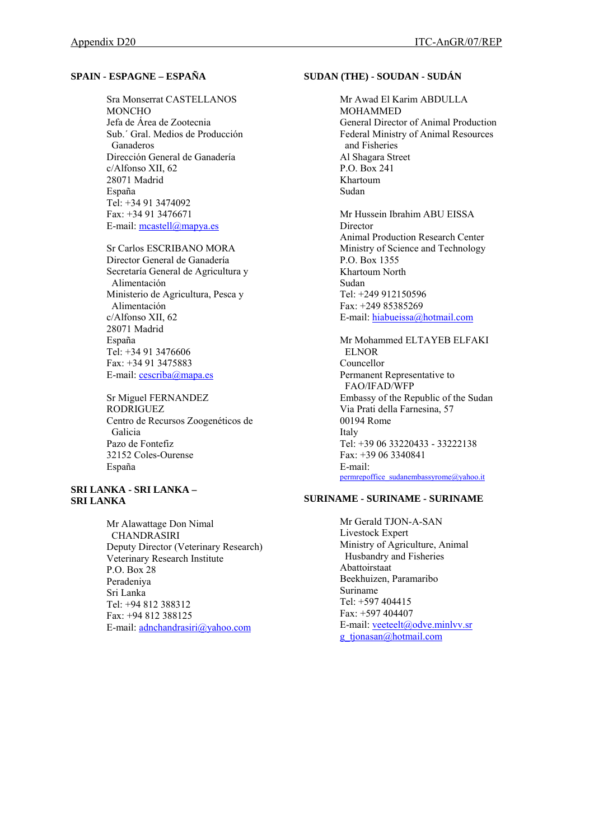# **SPAIN - ESPAGNE – ESPAÑA**

Sra Monserrat CASTELLANOS **MONCHO** Jefa de Área de Zootecnia Sub.´ Gral. Medios de Producción Ganaderos Dirección General de Ganadería c/Alfonso XII, 62 28071 Madrid España Tel: +34 91 3474092 Fax: +34 91 3476671 E-mail: [mcastell@mapya.es](mailto:mcastell@mapya.es)

Sr Carlos ESCRIBANO MORA Director General de Ganadería Secretaría General de Agricultura y Alimentación Ministerio de Agricultura, Pesca y Alimentación c/Alfonso XII, 62 28071 Madrid España Tel: +34 91 3476606 Fax: +34 91 3475883 E-mail: [cescriba@mapa.es](mailto:cescriba@mapa.es)

Sr Miguel FERNANDEZ RODRIGUEZ Centro de Recursos Zoogenéticos de Galicia Pazo de Fontefiz 32152 Coles-Ourense España

# **SRI LANKA - SRI LANKA – SRI LANKA**

Mr Alawattage Don Nimal **CHANDRASIRI** Deputy Director (Veterinary Research) Veterinary Research Institute P.O. Box 28 Peradeniya Sri Lanka Tel: +94 812 388312 Fax: +94 812 388125 E-mail: [adnchandrasiri@yahoo.com](mailto:adnchandrasiri@yahoo.com) 

## **SUDAN (THE) - SOUDAN - SUDÁN**

Mr Awad El Karim ABDULLA MOHAMMED General Director of Animal Production Federal Ministry of Animal Resources and Fisheries Al Shagara Street P.O. Box 241 Khartoum Sudan

Mr Hussein Ibrahim ABU EISSA Director Animal Production Research Center Ministry of Science and Technology P.O. Box 1355 Khartoum North Sudan Tel: +249 912150596 Fax: +249 85385269 E-mail: [hiabueissa@hotmail.com](mailto:hiabueissa@hotmail.com)

Mr Mohammed ELTAYEB ELFAKI ELNOR Councellor Permanent Representative to FAO/IFAD/WFP Embassy of the Republic of the Sudan Via Prati della Farnesina, 57 00194 Rome Italy Tel: +39 06 33220433 - 33222138 Fax: +39 06 3340841 E-mail: [permrepoffice\\_sudanembassyrome@yahoo.it](mailto:permrepoffice_sudanembassyrome@yahoo.it)

# **SURINAME - SURINAME - SURINAME**

Mr Gerald TJON-A-SAN Livestock Expert Ministry of Agriculture, Animal Husbandry and Fisheries Abattoirstaat Beekhuizen, Paramaribo Suriname Tel: +597 404415 Fax: +597 404407 E-mail: [veeteelt@odve.minlvv.sr](mailto:veeteelt@odve.minlvv.sr) [g\\_tjonasan@hotmail.com](mailto:g_tjonasan@hotmail.com)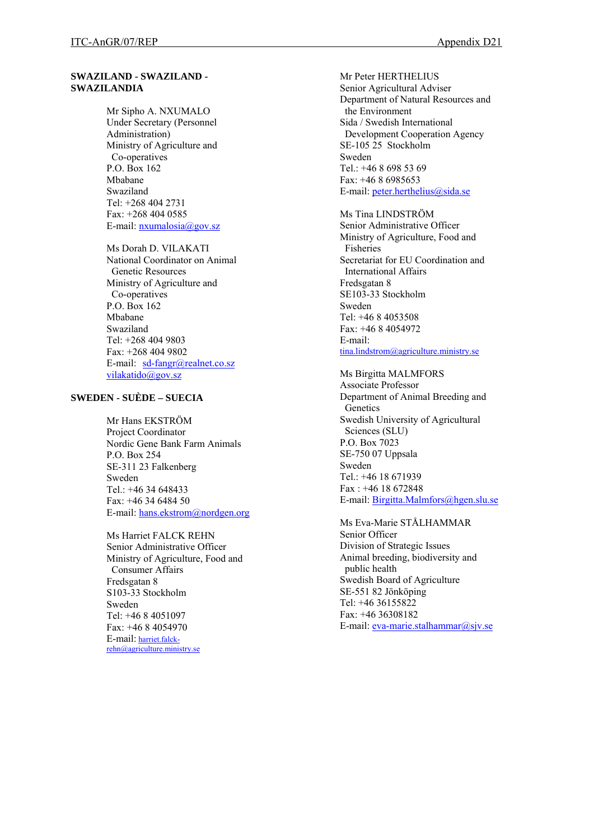### **SWAZILAND - SWAZILAND - SWAZILANDIA**

Mr Sipho A. NXUMALO Under Secretary (Personnel Administration) Ministry of Agriculture and Co-operatives P.O. Box 162 Mbabane Swaziland Tel: +268 404 2731 Fax: +268 404 0585 E-mail: [nxumalosia@gov.sz](mailto:nxumalosia@gov.sz) 

Ms Dorah D. VILAKATI National Coordinator on Animal Genetic Resources Ministry of Agriculture and Co-operatives P.O. Box 162 Mbabane Swaziland Tel: +268 404 9803 Fax: +268 404 9802 E-mail: [sd-fangr@realnet.co.sz](mailto:sd-fangr@realnet.co.sz) [vilakatido@gov.sz](mailto:vilakatido@gov.sz)

# **SWEDEN - SUÈDE – SUECIA**

Mr Hans EKSTRÖM Project Coordinator Nordic Gene Bank Farm Animals P.O. Box 254 SE-311 23 Falkenberg Sweden Tel.: +46 34 648433 Fax: +46 34 6484 50 E-mail: [hans.ekstrom@nordgen.org](mailto:hans.ekstrom@nordgen.org)

Ms Harriet FALCK REHN Senior Administrative Officer Ministry of Agriculture, Food and Consumer Affairs Fredsgatan 8 S103-33 Stockholm Sweden Tel: +46 8 4051097 Fax: +46 8 4054970 E-mail: [harriet.falck](mailto:harriet.falck-rehn@agriculture.ministry.se)[rehn@agriculture.ministry.se](mailto:harriet.falck-rehn@agriculture.ministry.se)

Mr Peter HERTHELIUS Senior Agricultural Adviser Department of Natural Resources and the Environment Sida / Swedish International Development Cooperation Agency SE-105 25 Stockholm Sweden Tel.: +46 8 698 53 69 Fax: +46 8 6985653 E-mail: [peter.herthelius@sida.se](mailto:peter.herthelius@sida.se)

Ms Tina LINDSTRÖM Senior Administrative Officer Ministry of Agriculture, Food and Fisheries Secretariat for EU Coordination and International Affairs Fredsgatan 8 SE103-33 Stockholm Sweden Tel: +46 8 4053508 Fax: +46 8 4054972 E-mail: [tina.lindstrom@agriculture.ministry.se](mailto:tina.lindstrom@agriculture.ministry.se)

Ms Birgitta MALMFORS Associate Professor Department of Animal Breeding and **Genetics** Swedish University of Agricultural Sciences (SLU) P.O. Box 7023 SE-750 07 Uppsala Sweden Tel.: +46 18 671939 Fax : +46 18 672848 E-mail: [Birgitta.Malmfors@hgen.slu.se](mailto:Birgitta.Malmfors@hgen.slu.se)

Ms Eva-Marie STÅLHAMMAR Senior Officer Division of Strategic Issues Animal breeding, biodiversity and public health Swedish Board of Agriculture SE-551 82 Jönköping Tel: +46 36155822 Fax: +46 36308182 E-mail:  $eva$ -marie.stalhammar@sjv.se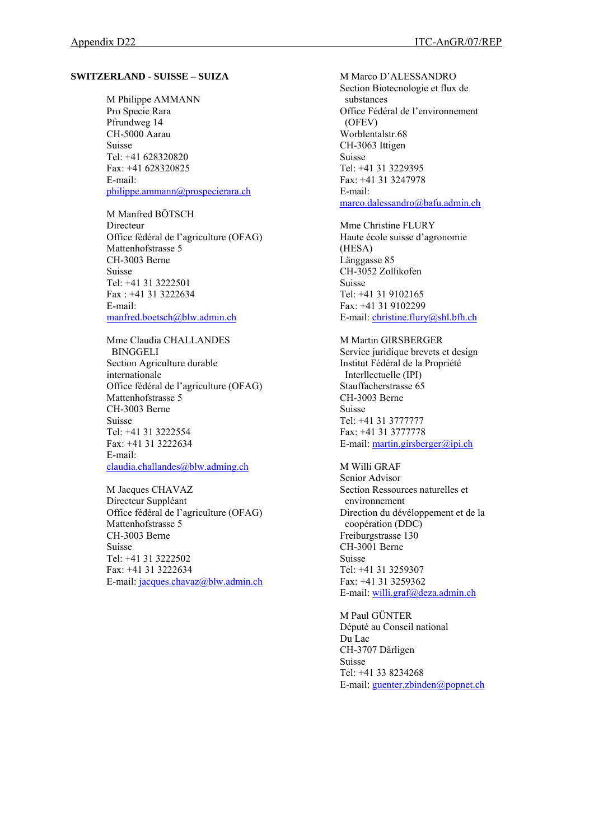#### **SWITZERLAND - SUISSE – SUIZA**

M Philippe AMMANN Pro Specie Rara Pfrundweg 14 CH-5000 Aarau Suisse Tel: +41 628320820 Fax: +41 628320825 E-mail: [philippe.ammann@prospecierara.ch](mailto:philippe.ammann@prospecierara.ch)

M Manfred BÖTSCH Directeur Office fédéral de l'agriculture (OFAG) Mattenhofstrasse 5 CH-3003 Berne Suisse Tel: +41 31 3222501 Fax : +41 31 3222634 E-mail: [manfred.boetsch@blw.admin.ch](mailto:manfred.boetsch@blw.admin.ch) 

Mme Claudia CHALLANDES BINGGELI Section Agriculture durable internationale Office fédéral de l'agriculture (OFAG) Mattenhofstrasse 5 CH-3003 Berne Suisse Tel: +41 31 3222554 Fax: +41 31 3222634 E-mail: [claudia.challandes@blw.adming.ch](mailto:claudia.challandes@blw.adming.ch)

M Jacques CHAVAZ Directeur Suppléant Office fédéral de l'agriculture (OFAG) Mattenhofstrasse 5 CH-3003 Berne Suisse Tel: +41 31 3222502 Fax: +41 31 3222634 E-mail: [jacques.chavaz@blw.admin.ch](mailto:jacques.chavaz@blw.admin.ch)

M Marco D'ALESSANDRO Section Biotecnologie et flux de substances Office Fédéral de l'environnement (OFEV) Worblentalstr.68 CH-3063 Ittigen Suisse Tel: +41 31 3229395 Fax: +41 31 3247978 E-mail: [marco.dalessandro@bafu.admin.ch](mailto:marco.dalessandro@bafu.admin.ch) 

Mme Christine FLURY Haute école suisse d'agronomie (HESA) Länggasse 85 CH-3052 Zollikofen Suisse Tel: +41 31 9102165 Fax: +41 31 9102299 E-mail: [christine.flury@shl.bfh.ch](mailto:christine.flury@shl.bfh.ch)

M Martin GIRSBERGER Service juridique brevets et design Institut Fédéral de la Propriété Interllectuelle (IPI) Stauffacherstrasse 65 CH-3003 Berne Suisse Tel: +41 31 3777777 Fax: +41 31 3777778 E-mail: [martin.girsberger@ipi.ch](mailto:martin.girsberger@ipi.ch)

M Willi GRAF Senior Advisor Section Ressources naturelles et environnement Direction du dévéloppement et de la coopération (DDC) Freiburgstrasse 130 CH-3001 Berne Suisse Tel: +41 31 3259307 Fax: +41 31 3259362 E-mail: [willi.graf@deza.admin.ch](mailto:willi.graf@deza.admin.ch)

M Paul GÜNTER Député au Conseil national Du Lac CH-3707 Därligen Suisse Tel: +41 33 8234268 E-mail: [guenter.zbinden@popnet.ch](mailto:guenter.zbinden@popnet.ch)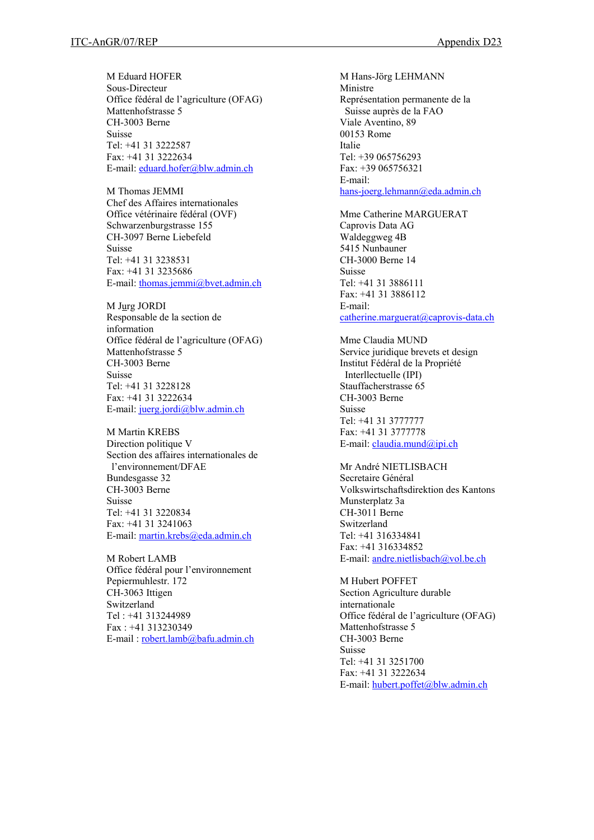M Eduard HOFER Sous-Directeur Office fédéral de l'agriculture (OFAG) Mattenhofstrasse 5 CH-3003 Berne Suisse Tel: +41 31 3222587 Fax: +41 31 3222634 E-mail: [eduard.hofer@blw.admin.ch](mailto:eduard.hofer@blw.admin.ch) 

M Thomas JEMMI Chef des Affaires internationales Office vétérinaire fédéral (OVF) Schwarzenburgstrasse 155 CH-3097 Berne Liebefeld Suisse Tel: +41 31 3238531 Fax: +41 31 3235686 E-mail: [thomas.jemmi@bvet.admin.ch](mailto:thomas.jemmi@bvet.admin.ch)

M Jurg JORDI Responsable de la section de information Office fédéral de l'agriculture (OFAG) Mattenhofstrasse 5 CH-3003 Berne Suisse Tel: +41 31 3228128 Fax: +41 31 3222634 E-mail: [juerg.jordi@blw.admin.ch](mailto:juerg.jordi@blw.admin.ch)

M Martin KREBS Direction politique V Section des affaires internationales de l'environnement/DFAE Bundesgasse 32 CH-3003 Berne Suisse Tel: +41 31 3220834 Fax: +41 31 3241063 E-mail: [martin.krebs@eda.admin.ch](mailto:martin.krebs@eda.admin.ch)

M Robert LAMB Office fédéral pour l'environnement Pepiermuhlestr. 172 CH-3063 Ittigen Switzerland Tel : +41 313244989 Fax : +41 313230349 E-mail : [robert.lamb@bafu.admin.ch](mailto:robert.lamb@bafu.admin.ch)

M Hans-Jörg LEHMANN Ministre Représentation permanente de la Suisse auprès de la FAO Viale Aventino, 89 00153 Rome Italie Tel: +39 065756293 Fax: +39 065756321 E-mail: [hans-joerg.lehmann@eda.admin.ch](mailto:hans-joerg.lehmann@eda.admin.ch) 

Mme Catherine MARGUERAT Caprovis Data AG Waldeggweg 4B 5415 Nunbauner CH-3000 Berne 14 Suisse Tel: +41 31 3886111 Fax: +41 31 3886112 E-mail: [catherine.marguerat@caprovis-data.ch](mailto:catherine.marguerat@caprovis-data.ch)

Mme Claudia MUND Service juridique brevets et design Institut Fédéral de la Propriété Interllectuelle (IPI) Stauffacherstrasse 65 CH-3003 Berne Suisse Tel: +41 31 3777777 Fax: +41 31 3777778 E-mail: [claudia.mund@ipi.ch](mailto:claudia.mund@ipi.ch)

Mr André NIETLISBACH Secretaire Général Volkswirtschaftsdirektion des Kantons Munsterplatz 3a CH-3011 Berne Switzerland Tel: +41 316334841 Fax: +41 316334852 E-mail: [andre.nietlisbach@vol.be.ch](mailto:andre.nietlisbach@vol.be.ch)

M Hubert POFFET Section Agriculture durable internationale Office fédéral de l'agriculture (OFAG) Mattenhofstrasse 5 CH-3003 Berne Suisse Tel: +41 31 3251700 Fax: +41 31 3222634 E-mail: hubert.poffet@blw.admin.ch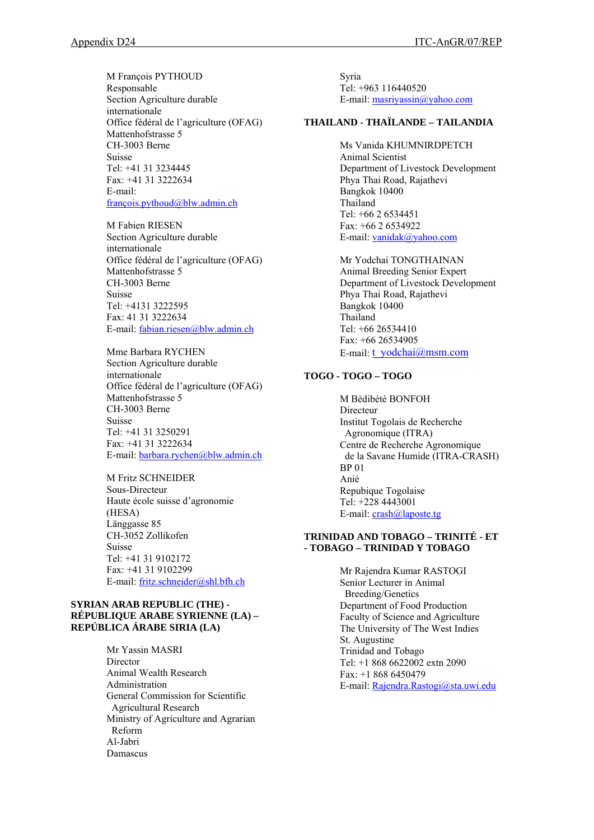M François PYTHOUD Responsable Section Agriculture durable internationale Office fédéral de l'agriculture (OFAG) Mattenhofstrasse 5 CH-3003 Berne Suisse Tel: +41 31 3234445 Fax: +41 31 3222634 E-mail: [françois.pythoud@blw.admin.ch](mailto:fran%C3%A7ois.pythoud@blw.admin.ch)

M Fabien RIESEN Section Agriculture durable internationale Office fédéral de l'agriculture (OFAG) Mattenhofstrasse 5 CH-3003 Berne Suisse Tel: +4131 3222595 Fax: 41 31 3222634 E-mail: [fabian.riesen@blw.admin.ch](mailto:fabian.riesen@blw.admin.ch)

Mme Barbara RYCHEN Section Agriculture durable internationale Office fédéral de l'agriculture (OFAG) Mattenhofstrasse 5 CH-3003 Berne Suisse Tel: +41 31 3250291 Fax: +41 31 3222634 E-mail: [barbara.rychen@blw.admin.ch](mailto:barbara.rychen@blw.admin.ch) 

M Fritz SCHNEIDER Sous-Directeur Haute école suisse d'agronomie (HESA) Länggasse 85 CH-3052 Zollikofen Suisse Tel: +41 31 9102172 Fax: +41 31 9102299 E-mail: [fritz.schneider@shl.bfh.ch](mailto:fritz.schneider@shl.bfh.ch) 

### **SYRIAN ARAB REPUBLIC (THE) - RÉPUBLIQUE ARABE SYRIENNE (LA) – REPÚBLICA ÁRABE SIRIA (LA)**

Mr Yassin MASRI Director Animal Wealth Research Administration General Commission for Scientific Agricultural Research Ministry of Agriculture and Agrarian Reform Al-Jabri Damascus

Syria Tel: +963 116440520 E-mail: [masriyassin@yahoo.com](mailto:masriyassin@yahoo.com)

# **THAILAND - THAÏLANDE – TAILANDIA**

Ms Vanida KHUMNIRDPETCH Animal Scientist Department of Livestock Development Phya Thai Road, Rajathevi Bangkok 10400 Thailand Tel: +66 2 6534451 Fax: +66 2 6534922 E-mail: [vanidak@yahoo.com](mailto:vanidak@yahoo.com)

Mr Yodchai TONGTHAINAN Animal Breeding Senior Expert Department of Livestock Development Phya Thai Road, Rajathevi Bangkok 10400 Thailand Tel: +66 26534410 Fax: +66 26534905 E-mail: t\_vodchai@msm.com

# **TOGO - TOGO – TOGO**

M Bèdibètè BONFOH Directeur Institut Togolais de Recherche Agronomique (ITRA) Centre de Recherche Agronomique de la Savane Humide (ITRA-CRASH) BP 01 Anié Repubique Togolaise Tel: +228 4443001 E-mail: [crash@laposte.tg](mailto:crash@laposte.tg)

## **TRINIDAD AND TOBAGO – TRINITÉ - ET - TOBAGO – TRINIDAD Y TOBAGO**

Mr Rajendra Kumar RASTOGI Senior Lecturer in Animal Breeding/Genetics Department of Food Production Faculty of Science and Agriculture The University of The West Indies St. Augustine Trinidad and Tobago Tel: +1 868 6622002 extn 2090 Fax: +1 868 6450479 E-mail: [Rajendra.Rastogi@sta.uwi.edu](mailto:aphdivision@tstt.net.tt)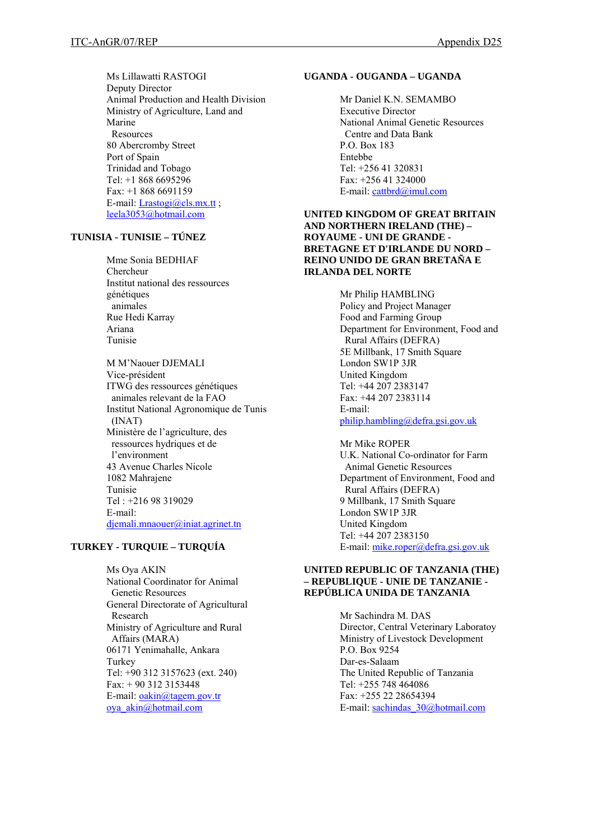Ms Lillawatti RASTOGI Deputy Director Animal Production and Health Division Ministry of Agriculture, Land and Marine Resources 80 Abercromby Street Port of Spain Trinidad and Tobago Tel: +1 868 6695296 Fax: +1 868 6691159 E-mail:  $Lrastogi@cls.mx.tt$ ; [leela3053@hotmail.com](mailto:leela3053@hotmail.com)

# **TUNISIA - TUNISIE – TÚNEZ**

Mme Sonia BEDHIAF Chercheur Institut national des ressources génétiques animales Rue Hedi Karray Ariana Tunisie

M M'Naouer DJEMALI Vice-président ITWG des ressources génétiques animales relevant de la FAO Institut National Agronomique de Tunis (INAT) Ministère de l'agriculture, des ressources hydriques et de l'environment 43 Avenue Charles Nicole 1082 Mahrajene Tunisie Tel : +216 98 319029 E-mail: [djemali.mnaouer@iniat.agrinet.tn](mailto:djemali.mnaouer@iniat.agrinet.tn) 

# **TURKEY - TURQUIE – TURQUÍA**

Ms Oya AKIN National Coordinator for Animal Genetic Resources General Directorate of Agricultural Research Ministry of Agriculture and Rural Affairs (MARA) 06171 Yenimahalle, Ankara Turkey Tel: +90 312 3157623 (ext. 240) Fax: + 90 312 3153448 E-mail: [oakin@tagem.gov.tr](mailto:oakin@tagem.gov.tr) [oya\\_akin@hotmail.com](mailto:oya_akin@hotmail.com) 

# **UGANDA - OUGANDA – UGANDA**

Mr Daniel K.N. SEMAMBO Executive Director National Animal Genetic Resources Centre and Data Bank P.O. Box 183 Entebbe Tel: +256 41 320831 Fax: +256 41 324000 E-mail: [cattbrd@imul.com](mailto:cattbrd@imul.com)

### **UNITED KINGDOM OF GREAT BRITAIN AND NORTHERN IRELAND (THE) – ROYAUME - UNI DE GRANDE - BRETAGNE ET D'IRLANDE DU NORD – REINO UNIDO DE GRAN BRETAÑA E IRLANDA DEL NORTE**

Mr Philip HAMBLING Policy and Project Manager Food and Farming Group Department for Environment, Food and Rural Affairs (DEFRA) 5E Millbank, 17 Smith Square London SW1P 3JR United Kingdom Tel: +44 207 2383147 Fax: +44 207 2383114 E-mail: [philip.hambling@defra.gsi.gov.uk](mailto:philip.hambling@defra.gsi.gov.uk)

Mr Mike ROPER U.K. National Co-ordinator for Farm Animal Genetic Resources Department of Environment, Food and Rural Affairs (DEFRA) 9 Millbank, 17 Smith Square London SW1P 3JR United Kingdom Tel: +44 207 2383150 E-mail: [mike.roper@defra.gsi.gov.uk](mailto:mike.roper@defra.gsi.gov.uk) 

### **UNITED REPUBLIC OF TANZANIA (THE) – REPUBLIQUE - UNIE DE TANZANIE - REPÚBLICA UNIDA DE TANZANIA**

Mr Sachindra M. DAS Director, Central Veterinary Laboratoy Ministry of Livestock Development P.O. Box 9254 Dar-es-Salaam The United Republic of Tanzania Tel: +255 748 464086 Fax: +255 22 28654394 E-mail: [sachindas\\_30@hotmail.com](mailto:sachindas_30@hotmail.com)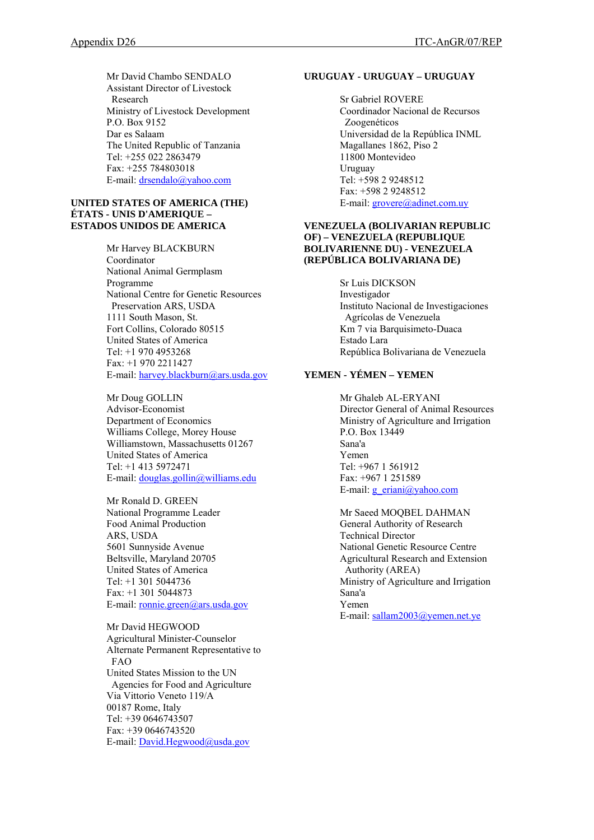Mr David Chambo SENDALO Assistant Director of Livestock Research Ministry of Livestock Development P.O. Box 9152 Dar es Salaam The United Republic of Tanzania Tel: +255 022 2863479 Fax: +255 784803018 E-mail: [drsendalo@yahoo.com](mailto:drsendalo@yahoo.com)

#### **UNITED STATES OF AMERICA (THE) ÉTATS - UNIS D'AMERIQUE – ESTADOS UNIDOS DE AMERICA**

Mr Harvey BLACKBURN Coordinator National Animal Germplasm Programme National Centre for Genetic Resources Preservation ARS, USDA 1111 South Mason, St. Fort Collins, Colorado 80515 United States of America Tel: +1 970 4953268 Fax: +1 970 2211427 E-mail: [harvey.blackburn@ars.usda.gov](mailto:harvey.blackburn@ars.usda.gov)

Mr Doug GOLLIN Advisor-Economist Department of Economics Williams College, Morey House Williamstown, Massachusetts 01267 United States of America Tel: +1 413 5972471 E-mail: [douglas.gollin@williams.edu](mailto:douglas.gollin@williams.edu) 

Mr Ronald D. GREEN National Programme Leader Food Animal Production ARS, USDA 5601 Sunnyside Avenue Beltsville, Maryland 20705 United States of America Tel: +1 301 5044736 Fax: +1 301 5044873 E-mail: [ronnie.green@ars.usda.gov](mailto:ronnie.green@ars.usda.gov) 

Mr David HEGWOOD Agricultural Minister-Counselor Alternate Permanent Representative to FAO United States Mission to the UN Agencies for Food and Agriculture Via Vittorio Veneto 119/A 00187 Rome, Italy Tel: +39 0646743507 Fax: +39 0646743520 E-mail: [David.Hegwood@usda.gov](mailto:David.Hegwood@usda.gov)

#### **URUGUAY - URUGUAY – URUGUAY**

Sr Gabriel ROVERE Coordinador Nacional de Recursos Zoogenéticos Universidad de la República INML Magallanes 1862, Piso 2 11800 Montevideo Uruguay Tel: +598 2 9248512 Fax: +598 2 9248512 E-mail: grovere@adinet.com.uy

### **VENEZUELA (BOLIVARIAN REPUBLIC OF) – VENEZUELA (REPUBLIQUE BOLIVARIENNE DU) - VENEZUELA (REPÚBLICA BOLIVARIANA DE)**

Sr Luis DICKSON Investigador Instituto Nacional de Investigaciones Agrícolas de Venezuela Km 7 via Barquisimeto-Duaca Estado Lara República Bolivariana de Venezuela

# **YEMEN - YÉMEN – YEMEN**

Mr Ghaleb AL-ERYANI Director General of Animal Resources Ministry of Agriculture and Irrigation P.O. Box 13449 Sana'a Yemen Tel: +967 1 561912 Fax: +967 1 251589 E-mail:  $g$  eriani@yahoo.com

Mr Saeed MOQBEL DAHMAN General Authority of Research Technical Director National Genetic Resource Centre Agricultural Research and Extension Authority (AREA) Ministry of Agriculture and Irrigation Sana'a Yemen E-mail: [sallam2003@yemen.net.ye](mailto:sallam2003@yemen.net.ye)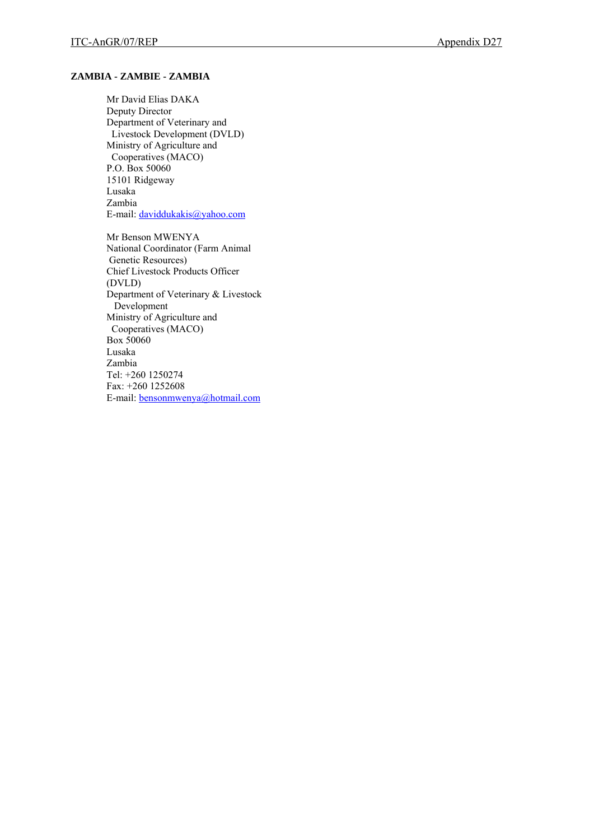# **ZAMBIA - ZAMBIE - ZAMBIA**

Mr David Elias DAKA Deputy Director Department of Veterinary and Livestock Development (DVLD) Ministry of Agriculture and Cooperatives (MACO) P.O. Box 50060 15101 Ridgeway Lusaka Zambia E-mail: [daviddukakis@yahoo.com](mailto:daviddukakis@yahoo.com)

Mr Benson MWENYA National Coordinator (Farm Animal Genetic Resources) Chief Livestock Products Officer (DVLD) Department of Veterinary & Livestock Development Ministry of Agriculture and Cooperatives (MACO) Box 50060 Lusaka Zambia Tel: +260 1250274 Fax: +260 1252608 E-mail: [bensonmwenya@hotmail.com](mailto:bensonmwenya@hotmail.com)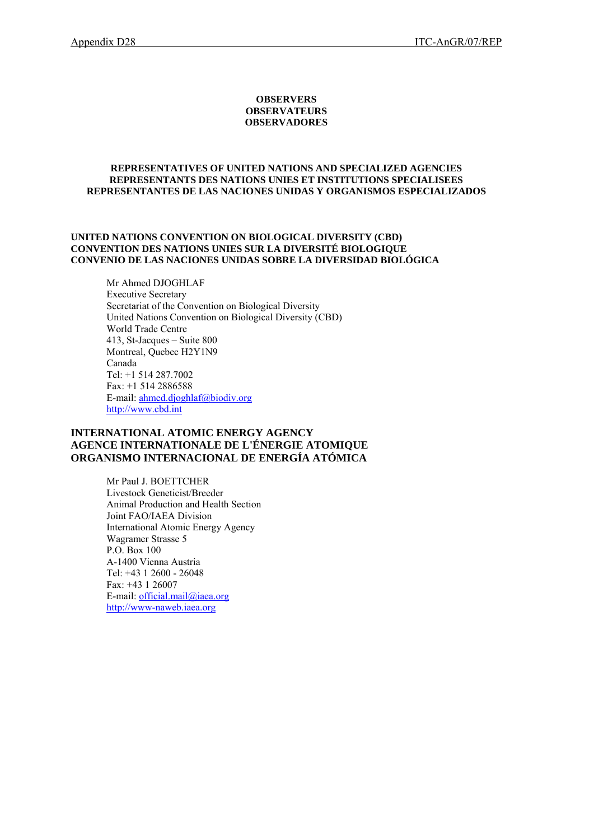#### **OBSERVERS OBSERVATEURS OBSERVADORES**

#### **REPRESENTATIVES OF UNITED NATIONS AND SPECIALIZED AGENCIES REPRESENTANTS DES NATIONS UNIES ET INSTITUTIONS SPECIALISEES REPRESENTANTES DE LAS NACIONES UNIDAS Y ORGANISMOS ESPECIALIZADOS**

#### **UNITED NATIONS CONVENTION ON BIOLOGICAL DIVERSITY (CBD) CONVENTION DES NATIONS UNIES SUR LA DIVERSITÉ BIOLOGIQUE CONVENIO DE LAS NACIONES UNIDAS SOBRE LA DIVERSIDAD BIOLÓGICA**

Mr Ahmed DJOGHLAF Executive Secretary Secretariat of the Convention on Biological Diversity United Nations Convention on Biological Diversity (CBD) World Trade Centre 413, St-Jacques – Suite 800 Montreal, Quebec H2Y1N9 Canada Tel: +1 514 287.7002 Fax: +1 514 2886588 E-mail: [ahmed.djoghlaf@biodiv.org](mailto:secretariat@cbd.int) [http://www.cbd.int](http://www.cbd.int/) 

# **INTERNATIONAL ATOMIC ENERGY AGENCY AGENCE INTERNATIONALE DE L'ÉNERGIE ATOMIQUE ORGANISMO INTERNACIONAL DE ENERGÍA ATÓMICA**

Mr Paul J. BOETTCHER Livestock Geneticist/Breeder Animal Production and Health Section Joint FAO/IAEA Division International Atomic Energy Agency Wagramer Strasse 5 P.O. Box 100 A-1400 Vienna Austria Tel: +43 1 2600 - 26048 Fax: +43 1 26007 E-mail: [official.mail@iaea.org](mailto:official.mail@iaea.org)  [http://www-naweb.iaea.org](http://www-naweb.iaea.org/)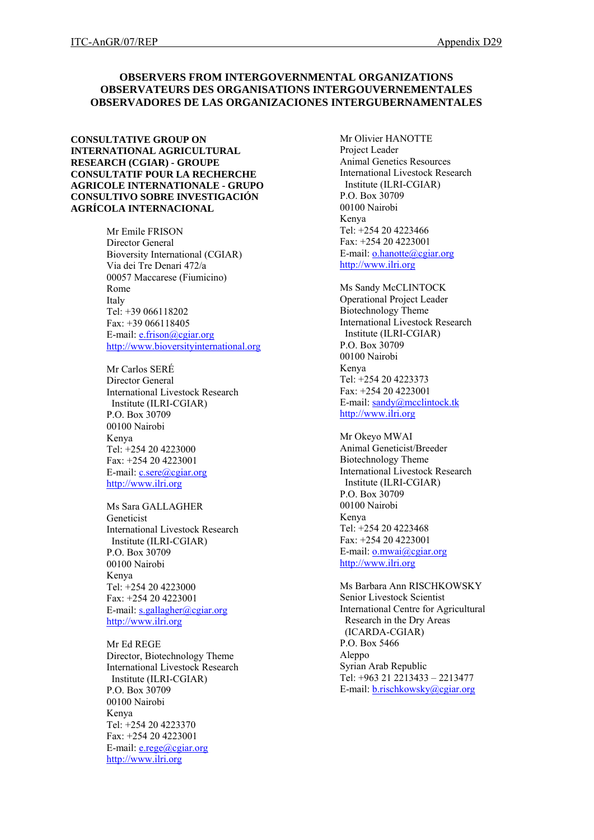# **OBSERVERS FROM INTERGOVERNMENTAL ORGANIZATIONS OBSERVATEURS DES ORGANISATIONS INTERGOUVERNEMENTALES OBSERVADORES DE LAS ORGANIZACIONES INTERGUBERNAMENTALES**

**CONSULTATIVE GROUP ON INTERNATIONAL AGRICULTURAL RESEARCH (CGIAR) - GROUPE CONSULTATIF POUR LA RECHERCHE AGRICOLE INTERNATIONALE - GRUPO CONSULTIVO SOBRE INVESTIGACIÓN AGRÍCOLA INTERNACIONAL** 

> Mr Emile FRISON Director General Bioversity International (CGIAR) Via dei Tre Denari 472/a 00057 Maccarese (Fiumicino) Rome Italy Tel: +39 066118202 Fax: +39 066118405 E-mail: [e.frison@cgiar.org](mailto:e.frison@cgiar.org) [http://www.bioversityinternational.org](http://www.bioversityinternational.org/)

Mr Carlos SERÉ Director General International Livestock Research Institute (ILRI-CGIAR) P.O. Box 30709 00100 Nairobi Kenya Tel: +254 20 4223000 Fax: +254 20 4223001 E-mail: [c.sere@cgiar.org](mailto:c.sere@cgiar.org) [http://www.ilri.org](http://www.ilri.org/)

Ms Sara GALLAGHER Geneticist International Livestock Research Institute (ILRI-CGIAR) P.O. Box 30709 00100 Nairobi Kenya Tel: +254 20 4223000 Fax: +254 20 4223001 E-mail: [s.gallagher@cgiar.org](mailto:s.gallagher@cgiar.org) [http://www.ilri.org](http://www.ilri.org/)

Mr Ed REGE Director, Biotechnology Theme International Livestock Research Institute (ILRI-CGIAR) P.O. Box 30709 00100 Nairobi Kenya Tel: +254 20 4223370 Fax: +254 20 4223001 E-mail: [e.rege@cgiar.org](mailto:e.rege@cgiar.org) [http://www.ilri.org](http://www.ilri.org/)

Mr Olivier HANOTTE Project Leader Animal Genetics Resources International Livestock Research Institute (ILRI-CGIAR) P.O. Box 30709 00100 Nairobi Kenya Tel: +254 20 4223466 Fax: +254 20 4223001 E-mail: [o.hanotte@cgiar.org](mailto:o.hanotte@cgiar.org) [http://www.ilri.org](http://www.ilri.org/)

Ms Sandy McCLINTOCK Operational Project Leader Biotechnology Theme International Livestock Research Institute (ILRI-CGIAR) P.O. Box 30709 00100 Nairobi Kenya Tel: +254 20 4223373 Fax: +254 20 4223001 E-mail: [sandy@mcclintock.tk](mailto:sandy@mcclintock.tk) [http://www.ilri.org](http://www.ilri.org/)

Mr Okeyo MWAI Animal Geneticist/Breeder Biotechnology Theme International Livestock Research Institute (ILRI-CGIAR) P.O. Box 30709 00100 Nairobi Kenya Tel: +254 20 4223468 Fax: +254 20 4223001 E-mail: [o.mwai@cgiar.org](mailto:o.mwai@cgiar.org) [http://www.ilri.org](http://www.ilri.org/)

Ms Barbara Ann RISCHKOWSKY Senior Livestock Scientist International Centre for Agricultural Research in the Dry Areas (ICARDA-CGIAR) P.O. Box 5466 Aleppo Syrian Arab Republic Tel: +963 21 2213433 – 2213477 E-mail: [b.rischkowsky@cgiar.org](mailto:b.rischkowsky@cgiar.org)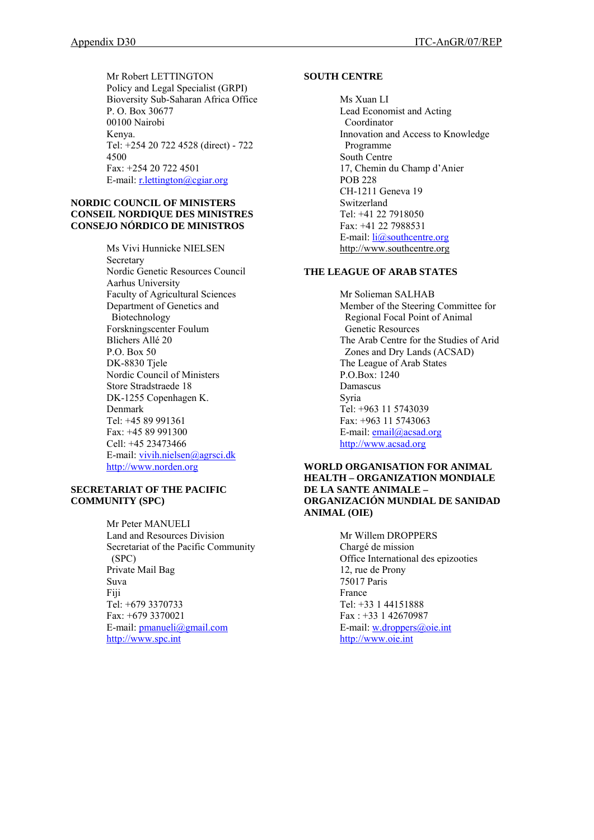Mr Robert LETTINGTON Policy and Legal Specialist (GRPI) Bioversity Sub-Saharan Africa Office P. O. Box 30677 00100 Nairobi Kenya. Tel: +254 20 722 4528 (direct) - 722 4500 Fax: +254 20 722 4501 E-mail: [r.lettington@cgiar.org](mailto:r.lettington@cgiar.org) 

### **NORDIC COUNCIL OF MINISTERS CONSEIL NORDIQUE DES MINISTRES CONSEJO NÓRDICO DE MINISTROS**

Ms Vivi Hunnicke NIELSEN Secretary Nordic Genetic Resources Council Aarhus University Faculty of Agricultural Sciences Department of Genetics and Biotechnology Forskningscenter Foulum Blichers Allé 20 P.O. Box 50 DK-8830 Tjele Nordic Council of Ministers Store Stradstraede 18 DK-1255 Copenhagen K. Denmark Tel: +45 89 991361 Fax: +45 89 991300 Cell: +45 23473466 E-mail: [vivih.nielsen@agrsci.dk](mailto:vivih.nielsen@agrsci.dk) [http://www.norden.org](http://www.norden.org/) 

# **SECRETARIAT OF THE PACIFIC COMMUNITY (SPC)**

Mr Peter MANUELI Land and Resources Division Secretariat of the Pacific Community (SPC) Private Mail Bag Suva Fiji Tel: +679 3370733 Fax: +679 3370021 E-mail: [pmanueli@gmail.com](mailto:pmanueli@gmail.com) [http://www.spc.int](http://www.spc.int/)

# **SOUTH CENTRE**

Ms Xuan LI Lead Economist and Acting Coordinator Innovation and Access to Knowledge Programme South Centre 17, Chemin du Champ d'Anier POB 228 CH-1211 Geneva 19 Switzerland Tel: +41 22 7918050 Fax: +41 22 7988531 E-mail:  $li(\partial)$  southcentre.org [http://www.southcentre.org](http://www.southcentre.org/) 

# **THE LEAGUE OF ARAB STATES**

Mr Solieman SALHAB Member of the Steering Committee for Regional Focal Point of Animal Genetic Resources The Arab Centre for the Studies of Arid Zones and Dry Lands (ACSAD) The League of Arab States P.O.Box: 1240 Damascus Syria Tel: +963 11 5743039 Fax: +963 11 5743063 E-mail: [email@acsad.org](mailto:email@acsad.org) [http://www.acsad.org](http://www.acsad.org/) 

### **WORLD ORGANISATION FOR ANIMAL HEALTH – ORGANIZATION MONDIALE DE LA SANTE ANIMALE – ORGANIZACIÓN MUNDIAL DE SANIDAD ANIMAL (OIE)**

Mr Willem DROPPERS Chargé de mission Office International des epizooties 12, rue de Prony 75017 Paris France Tel: +33 1 44151888 Fax : +33 1 42670987 E-mail: [w.droppers@oie.int](mailto:w.droppers@oie.int) [http://www.oie.int](http://www.oie.int/)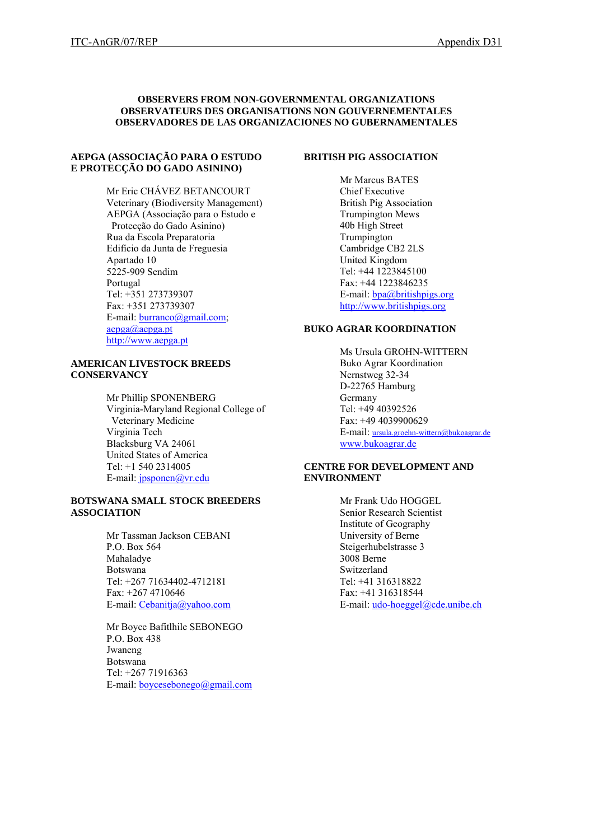### **OBSERVERS FROM NON-GOVERNMENTAL ORGANIZATIONS OBSERVATEURS DES ORGANISATIONS NON GOUVERNEMENTALES OBSERVADORES DE LAS ORGANIZACIONES NO GUBERNAMENTALES**

### **AEPGA (ASSOCIAÇÃO PARA O ESTUDO E PROTECÇÃO DO GADO ASININO)**

Mr Eric CHÁVEZ BETANCOURT Veterinary (Biodiversity Management) AEPGA (Associação para o Estudo e Protecção do Gado Asinino) Rua da Escola Preparatoria Edifício da Junta de Freguesia Apartado 10 5225-909 Sendim Portugal Tel: +351 273739307 Fax: +351 273739307 E-mail: [burranco@gmail.com;](mailto:burranco@gmail.com) [aepga@aepga.pt](mailto:aepga@aepga.pt) [http://www.aepga.pt](http://www.aepga.pt/) 

### **AMERICAN LIVESTOCK BREEDS CONSERVANCY**

Mr Phillip SPONENBERG Virginia-Maryland Regional College of Veterinary Medicine Virginia Tech Blacksburg VA 24061 United States of America Tel: +1 540 2314005 E-mail: [jpsponen@vr.edu](mailto:jpsponen@vr.edu)

### **BOTSWANA SMALL STOCK BREEDERS ASSOCIATION**

Mr Tassman Jackson CEBANI P.O. Box 564 Mahaladye Botswana Tel: +267 71634402-4712181 Fax: +267 4710646 E-mail: [Cebanitja@yahoo.com](mailto:Cebanitja@yahoo.com)

Mr Boyce Bafitlhile SEBONEGO P.O. Box 438 Jwaneng Botswana Tel: +267 71916363 E-mail: [boycesebonego@gmail.com](mailto:boycesebonego@gmail.com)

#### **BRITISH PIG ASSOCIATION**

Mr Marcus BATES Chief Executive British Pig Association Trumpington Mews 40b High Street Trumpington Cambridge CB2 2LS United Kingdom Tel: +44 1223845100 Fax: +44 1223846235 E-mail: [bpa@britishpigs.org](mailto:bpa@britishpigs.org) http://[www.britishpigs.org](http://www.britishpigs.org/)

### **BUKO AGRAR KOORDINATION**

Ms Ursula GROHN-WITTERN Buko Agrar Koordination Nernstweg 32-34 D-22765 Hamburg Germany Tel: +49 40392526 Fax: +49 4039900629 E-mail: [ursula.groehn-wittern@bukoagrar.de](mailto:ursula.groehn-wittern@bukoagrar.de) [www.bukoagrar.de](http://www.bukoagrar.de/)

# **CENTRE FOR DEVELOPMENT AND ENVIRONMENT**

Mr Frank Udo HOGGEL Senior Research Scientist Institute of Geography University of Berne Steigerhubelstrasse 3 3008 Berne Switzerland Tel: +41 316318822 Fax: +41 316318544 E-mail: [udo-hoeggel@cde.unibe.ch](mailto:udo-hoeggel@cde.unibe.ch)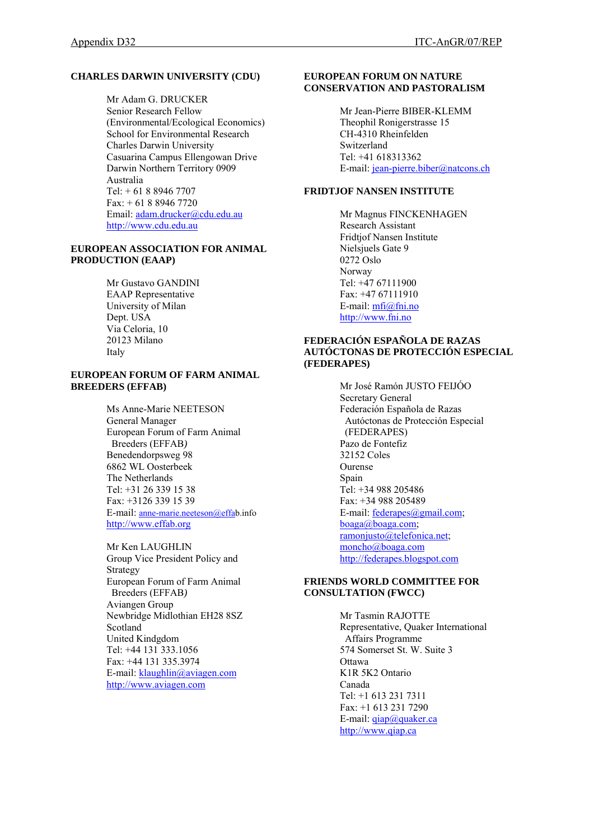# **CHARLES DARWIN UNIVERSITY (CDU)**

Mr Adam G. DRUCKER Senior Research Fellow (Environmental/Ecological Economics) School for Environmental Research Charles Darwin University Casuarina Campus Ellengowan Drive Darwin Northern Territory 0909 Australia Tel: + 61 8 8946 7707 Fax: + 61 8 8946 7720 Email: [adam.drucker@cdu.edu.au](mailto:adam.drucker@cdu.edu.au) [http://www.cdu.edu.au](http://www.cdu.edu.au/)

### **EUROPEAN ASSOCIATION FOR ANIMAL PRODUCTION (EAAP)**

Mr Gustavo GANDINI EAAP Representative University of Milan Dept. USA Via Celoria, 10 20123 Milano Italy

#### **EUROPEAN FORUM OF FARM ANIMAL BREEDERS (EFFAB)**

Ms Anne-Marie NEETESON General Manager European Forum of Farm Animal Breeders (EFFAB*)* Benedendorpsweg 98 6862 WL Oosterbeek The Netherlands Tel: +31 26 339 15 38 Fax: +3126 339 15 39 E-mail: [anne-marie.neeteson@effab](mailto:anne-marie.neeteson@effa).info [http://www.effab.org](http://www.effab.org/)

Mr Ken LAUGHLIN Group Vice President Policy and Strategy European Forum of Farm Animal Breeders (EFFAB*)* Aviangen Group Newbridge Midlothian EH28 8SZ Scotland United Kindgdom Tel: +44 131 333.1056 Fax: +44 131 335.3974 E-mail: [klaughlin@aviagen.com](mailto:klaughlin@aviagen.com) [http://www.aviagen.com](http://www.aviagen.com/)

### **EUROPEAN FORUM ON NATURE CONSERVATION AND PASTORALISM**

Mr Jean-Pierre BIBER-KLEMM Theophil Ronigerstrasse 15 CH-4310 Rheinfelden Switzerland Tel: +41 618313362 E-mail: [jean-pierre.biber@natcons.ch](mailto:jean-pierre.biber@natcons.ch)

# **FRIDTJOF NANSEN INSTITUTE**

Mr Magnus FINCKENHAGEN Research Assistant Fridtjof Nansen Institute Nielsjuels Gate 9 0272 Oslo Norway Tel: +47 67111900 Fax: +47 67111910 E-mail: [mfi@fni.no](mailto:mfi@fni.no) [http://www.fni.no](http://www.fni.no/)

### **FEDERACIÓN ESPAÑOLA DE RAZAS AUTÓCTONAS DE PROTECCIÓN ESPECIAL (FEDERAPES)**

Mr José Ramón JUSTO FEIJÓO Secretary General Federación Española de Razas Autóctonas de Protección Especial (FEDERAPES) Pazo de Fontefiz 32152 Coles Ourense Spain Tel: +34 988 205486 Fax: +34 988 205489 E-mail: [federapes@gmail.com](mailto:federapes@gmail.com); [boaga@boaga.com;](mailto:boaga@boaga.com) [ramonjusto@telefonica.net](mailto:ramonjusto@telefonica.net); [moncho@boaga.com](mailto:moncho@boaga.com)  [http://federapes.blogspot.com](http://federapes.blogspot.com/) 

# **FRIENDS WORLD COMMITTEE FOR CONSULTATION (FWCC)**

Mr Tasmin RAJOTTE Representative, Quaker International Affairs Programme 574 Somerset St. W. Suite 3 **Ottawa** K1R 5K2 Ontario Canada Tel: +1 613 231 7311 Fax: +1 613 231 7290 E-mail:  $q$ iap $@q$ uaker.ca [http://www.qiap.ca](http://www.qiap.ca/)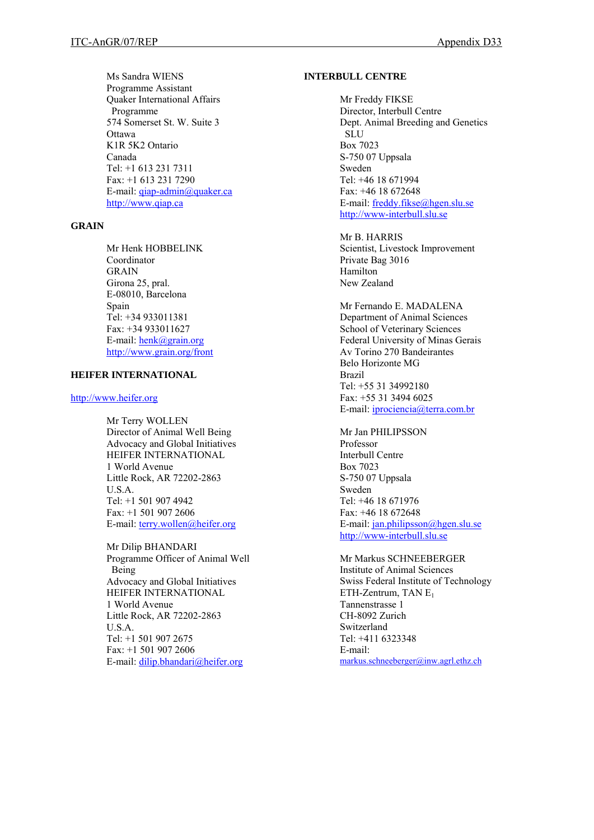Ms Sandra WIENS Programme Assistant Quaker International Affairs Programme 574 Somerset St. W. Suite 3 Ottawa K1R 5K2 Ontario Canada Tel: +1 613 231 7311 Fax: +1 613 231 7290 E-mail: [qiap-admin@quaker.ca](mailto:qiap-admin@quaker.ca)  [http://www.qiap.ca](http://www.qiap.ca/) 

### **GRAIN**

Mr Henk HOBBELINK Coordinator GRAIN Girona 25, pral. E-08010, Barcelona Spain Tel: +34 933011381 Fax: +34 933011627 E-mail: [henk@grain.org](mailto:henk@grain.org) <http://www.grain.org/front>

### **HEIFER INTERNATIONAL**

[http://www.heifer.org](http://www.heifer.org/)

Mr Terry WOLLEN Director of Animal Well Being Advocacy and Global Initiatives HEIFER INTERNATIONAL 1 World Avenue Little Rock, AR 72202-2863 U.S.A. Tel: +1 501 907 4942 Fax: +1 501 907 2606 E-mail: [terry.wollen@heifer.org](mailto:terry.wollen@heifer.org)

Mr Dilip BHANDARI Programme Officer of Animal Well Being Advocacy and Global Initiatives HEIFER INTERNATIONAL 1 World Avenue Little Rock, AR 72202-2863 U.S.A. Tel: +1 501 907 2675 Fax: +1 501 907 2606 E-mail: [dilip.bhandari@heifer.org](mailto:dilip.bhandari@heifer.org) 

### **INTERBULL CENTRE**

Mr Freddy FIKSE Director, Interbull Centre Dept. Animal Breeding and Genetics SLU Box 7023 S-750 07 Uppsala Sweden Tel: +46 18 671994 Fax: +46 18 672648 E-mail: [freddy.fikse@hgen.slu.se](mailto:freddy.fikse@hgen.slu.se)  [http://www-interbull.slu.se](http://www-interbull.slu.se/) 

Mr B. HARRIS Scientist, Livestock Improvement Private Bag 3016 Hamilton New Zealand

Mr Fernando E. MADALENA Department of Animal Sciences School of Veterinary Sciences Federal University of Minas Gerais Av Torino 270 Bandeirantes Belo Horizonte MG Brazil Tel: +55 31 34992180 Fax: +55 31 3494 6025 E-mail: [iprociencia@terra.com.br](mailto:iprociencia@terra.com.br) 

Mr Jan PHILIPSSON Professor Interbull Centre Box 7023 S-750 07 Uppsala Sweden Tel: +46 18 671976 Fax: +46 18 672648 E-mail: [jan.philipsson@hgen.slu.se](mailto:jan.philipsson@hgen.slu.se)  [http://www-interbull.slu.se](http://www-interbull.slu.se/)

Mr Markus SCHNEEBERGER Institute of Animal Sciences Swiss Federal Institute of Technology ETH-Zentrum, TAN  $E_1$ Tannenstrasse 1 CH-8092 Zurich Switzerland Tel: +411 6323348 E-mail: [markus.schneeberger@inw.agrl.ethz.ch](mailto:markus.schneeberger@inw.agrl.ethz.ch)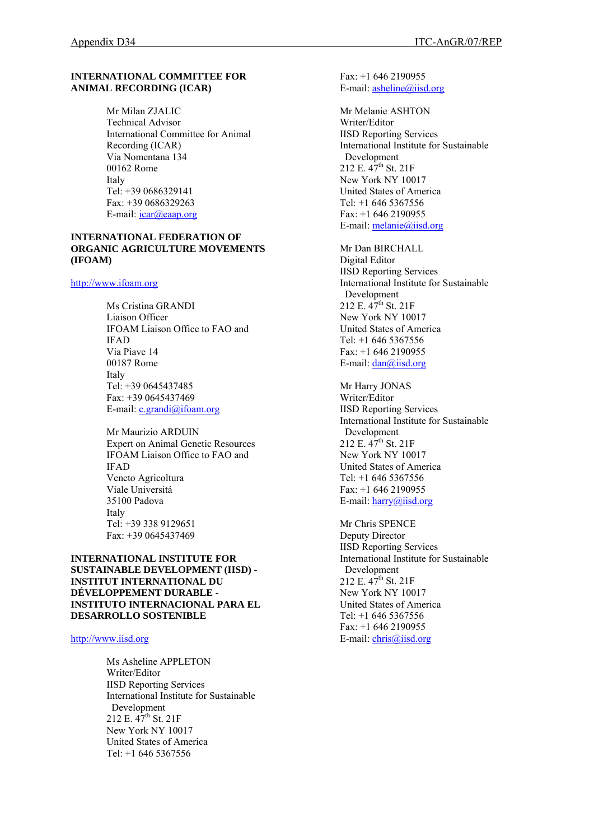### **INTERNATIONAL COMMITTEE FOR ANIMAL RECORDING (ICAR)**

Mr Milan ZJALIC Technical Advisor International Committee for Animal Recording (ICAR) Via Nomentana 134 00162 Rome Italy Tel: +39 0686329141 Fax: +39 0686329263 E-mail: *icar@eaap.org* 

### **INTERNATIONAL FEDERATION OF ORGANIC AGRICULTURE MOVEMENTS (IFOAM)**

### [http://www.ifoam.org](http://www.ifoam.org/)

Ms Cristina GRANDI Liaison Officer IFOAM Liaison Office to FAO and IFAD Via Piave 14 00187 Rome Italy Tel: +39 0645437485 Fax: +39 0645437469 E-mail: [c.grandi@ifoam.org](mailto:c.grandi@ifoam.org)

Mr Maurizio ARDUIN Expert on Animal Genetic Resources IFOAM Liaison Office to FAO and IFAD Veneto Agricoltura Viale Universitá 35100 Padova Italy Tel: +39 338 9129651 Fax: +39 0645437469

### **INTERNATIONAL INSTITUTE FOR SUSTAINABLE DEVELOPMENT (IISD) - INSTITUT INTERNATIONAL DU DÉVELOPPEMENT DURABLE - INSTITUTO INTERNACIONAL PARA EL DESARROLLO SOSTENIBLE**

[http://www.iisd.org](http://www.iisd.org/)

Ms Asheline APPLETON Writer/Editor IISD Reporting Services International Institute for Sustainable Development 212 E.  $47^{th}$  St. 21F New York NY 10017 United States of America Tel: +1 646 5367556

Fax: +1 646 2190955 E-mail: [asheline@iisd.org](mailto:chris@iisd.org)

Mr Melanie ASHTON Writer/Editor IISD Reporting Services International Institute for Sustainable Development 212 E. 47<sup>th</sup> St. 21F New York NY 10017 United States of America Tel: +1 646 5367556 Fax: +1 646 2190955 E-mail: [melanie@iisd.org](mailto:melanie@iisd.org)

Mr Dan BIRCHALL Digital Editor IISD Reporting Services International Institute for Sustainable Development 212 E.  $47^{th}$  St. 21F New York NY 10017 United States of America Tel: +1 646 5367556 Fax: +1 646 2190955 E-mail: [dan@iisd.org](mailto:chris@iisd.org)

Mr Harry JONAS Writer/Editor IISD Reporting Services International Institute for Sustainable Development  $212$  E.  $47^{\text{th}}$  St.  $21$ F New York NY 10017 United States of America Tel: +1 646 5367556 Fax: +1 646 2190955 E-mail: [harry@iisd.org](mailto:chris@iisd.org) 

Mr Chris SPENCE Deputy Director IISD Reporting Services International Institute for Sustainable Development 212 E.  $47^{th}$  St. 21F New York NY 10017 United States of America Tel: +1 646 5367556 Fax: +1 646 2190955 E-mail: [chris@iisd.org](mailto:chris@iisd.org)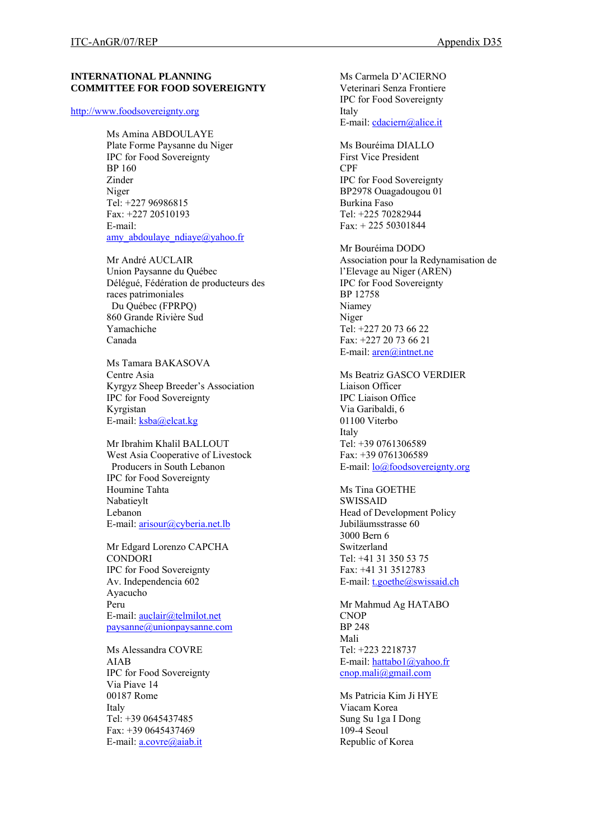### **INTERNATIONAL PLANNING COMMITTEE FOR FOOD SOVEREIGNTY**

#### [http://www.foodsovereignty.org](http://www.foodsovereignty.org/)

Ms Amina ABDOULAYE Plate Forme Paysanne du Niger IPC for Food Sovereignty BP 160 Zinder Niger Tel: +227 96986815 Fax: +227 20510193 E-mail: amy abdoulaye  $ndiave@yahoo.fr$ 

Mr André AUCLAIR Union Paysanne du Québec Délégué, Fédération de producteurs des races patrimoniales Du Québec (FPRPQ) 860 Grande Rivière Sud Yamachiche Canada

Ms Tamara BAKASOVA Centre Asia Kyrgyz Sheep Breeder's Association IPC for Food Sovereignty Kyrgistan E-mail: [ksba@elcat.kg](mailto:ksba@elcat.kg)

Mr Ibrahim Khalil BALLOUT West Asia Cooperative of Livestock Producers in South Lebanon IPC for Food Sovereignty Houmine Tahta Nabatieylt Lebanon E-mail: [arisour@cyberia.net.lb](mailto:arisour@cyberia.net.lb) 

Mr Edgard Lorenzo CAPCHA **CONDORI** IPC for Food Sovereignty Av. Independencia 602 Ayacucho Peru E-mail: [auclair@telmilot.net](mailto:auclair@telmilot.net) [paysanne@unionpaysanne.com](mailto:paysanne@unionpaysanne.com)

Ms Alessandra COVRE AIAB IPC for Food Sovereignty Via Piave 14 00187 Rome Italy Tel: +39 0645437485 Fax: +39 0645437469 E-mail: [a.covre@aiab.it](mailto:a.covre@aiab.it)

Ms Carmela D'ACIERNO Veterinari Senza Frontiere IPC for Food Sovereignty Italy E-mail: [cdaciern@alice.it](mailto:cdaciern@alice.it) Ms Bouréima DIALLO First Vice President CPF IPC for Food Sovereignty BP2978 Ouagadougou 01 Burkina Faso Tel: +225 70282944 Fax: + 225 50301844 Mr Bouréima DODO Association pour la Redynamisation de l'Elevage au Niger (AREN) IPC for Food Sovereignty BP 12758 Niamey Niger Tel: +227 20 73 66 22 Fax: +227 20 73 66 21 E-mail: [aren@intnet.ne](mailto:aren@intnet.ne)  Ms Beatriz GASCO VERDIER Liaison Officer IPC Liaison Office Via Garibaldi, 6 01100 Viterbo Italy Tel: +39 0761306589 Fax: +39 0761306589 E-mail: [lo@foodsovereignty.org](mailto:lo@foodsovereignty.org) Ms Tina GOETHE SWISSAID Head of Development Policy Jubiläumsstrasse 60 3000 Bern 6 Switzerland Tel: +41 31 350 53 75 Fax: +41 31 3512783 E-mail: [t.goethe@swissaid.ch](mailto:t.goethe@swissaid.ch) Mr Mahmud Ag HATABO **CNOP** BP 248 Mali Tel: +223 2218737 E-mail: [hattabo1@yahoo.fr](mailto:hattabo1@yahoo.fr) [cnop.mali@gmail.com](mailto:cnop.mali@gmail.com) Ms Patricia Kim Ji HYE

Viacam Korea Sung Su 1ga I Dong 109-4 Seoul Republic of Korea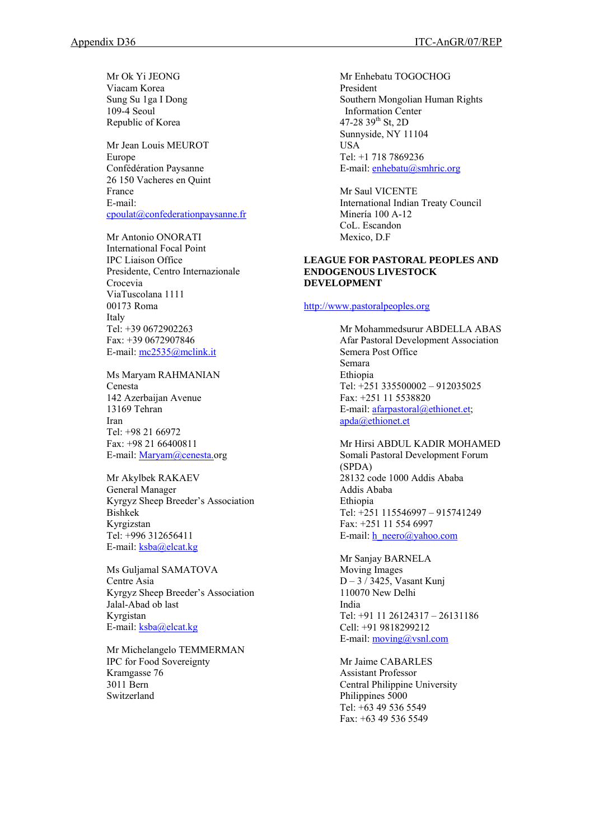Mr Ok Yi JEONG Viacam Korea Sung Su 1ga I Dong 109-4 Seoul Republic of Korea

Mr Jean Louis MEUROT Europe Confédération Paysanne 26 150 Vacheres en Quint France E-mail: [cpoulat@confederationpaysanne.fr](mailto:cpoulat@confederationpaysanne.fr) 

Mr Antonio ONORATI

International Focal Point IPC Liaison Office Presidente, Centro Internazionale Crocevia ViaTuscolana 1111 00173 Roma Italy Tel: +39 0672902263 Fax: +39 0672907846 E-mail: [mc2535@mclink.it](mailto:mc2535@mclink.it) 

Ms Maryam RAHMANIAN

Cenesta 142 Azerbaijan Avenue 13169 Tehran Iran Tel: +98 21 66972 Fax: +98 21 66400811 E-mail: [Maryam@cenesta.](mailto:Maryam@cenesta.)org

Mr Akylbek RAKAEV General Manager Kyrgyz Sheep Breeder's Association Bishkek Kyrgizstan Tel: +996 312656411 E-mail: [ksba@elcat.kg](mailto:ksba@elcat.kg)

Ms Guljamal SAMATOVA Centre Asia Kyrgyz Sheep Breeder's Association Jalal-Abad ob last Kyrgistan E-mail: [ksba@elcat.kg](mailto:ksba@elcat.kg)

Mr Michelangelo TEMMERMAN IPC for Food Sovereignty Kramgasse 76 3011 Bern Switzerland

Mr Enhebatu TOGOCHOG President Southern Mongolian Human Rights Information Center 47-28  $39^{th}$  St, 2D Sunnyside, NY 11104 USA Tel: +1 718 7869236 E-mail: [enhebatu@smhric.org](mailto:enhebatu@smhric.org)

Mr Saul VICENTE International Indian Treaty Council Minería 100 A-12 CoL. Escandon Mexico, D.F

### **LEAGUE FOR PASTORAL PEOPLES AND ENDOGENOUS LIVESTOCK DEVELOPMENT**

### [http://www.pastoralpeoples.org](http://www.pastoralpeoples.org/)

Mr Mohammedsurur ABDELLA ABAS Afar Pastoral Development Association Semera Post Office Semara Ethiopia Tel: +251 335500002 – 912035025 Fax: +251 11 5538820 E-mail: [afarpastoral@ethionet.et;](mailto:afarpastoral@ethionet.et) [apda@ethionet.et](mailto:apda@ethionet.et) 

Mr Hirsi ABDUL KADIR MOHAMED Somali Pastoral Development Forum (SPDA) 28132 code 1000 Addis Ababa Addis Ababa Ethiopia Tel: +251 115546997 – 915741249 Fax: +251 11 554 6997 E-mail:  $h$  neero@yahoo.com

Mr Sanjay BARNELA Moving Images D – 3 / 3425, Vasant Kunj 110070 New Delhi India Tel: +91 11 26124317 – 26131186 Cell: +91 9818299212 E-mail: [moving@vsnl.com](mailto:moving@vsnl.com) 

Mr Jaime CABARLES Assistant Professor Central Philippine University Philippines 5000 Tel: +63 49 536 5549 Fax: +63 49 536 5549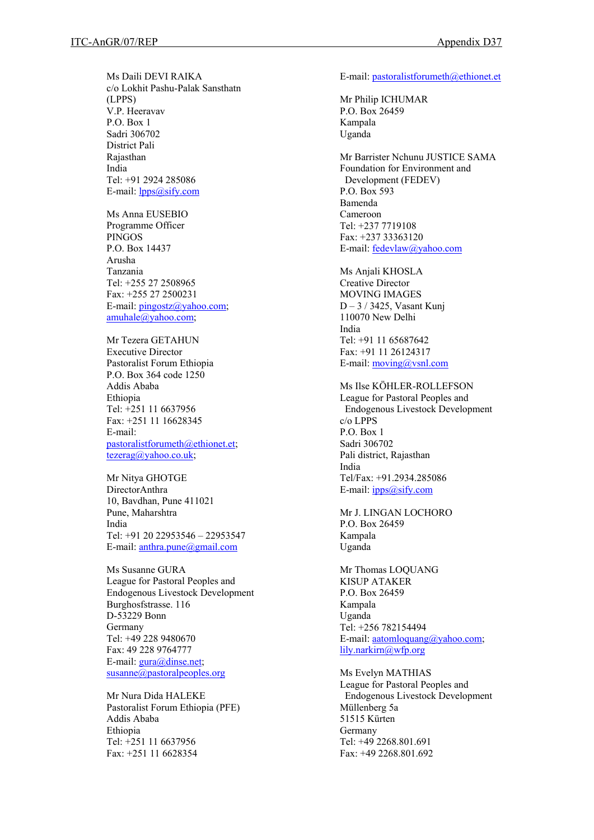Ms Daili DEVI RAIKA c/o Lokhit Pashu-Palak Sansthatn (LPPS) V.P. Heeravav P.O. Box 1 Sadri 306702 District Pali Rajasthan India Tel: +91 2924 285086 E-mail: **lpps**@sify.com

Ms Anna EUSEBIO Programme Officer PINGOS P.O. Box 14437 Arusha Tanzania Tel: +255 27 2508965 Fax: +255 27 2500231 E-mail: [pingostz@yahoo.com;](mailto:pingostz@yahoo.com) [amuhale@yahoo.com](mailto:amuhale@yahoo.com);

Mr Tezera GETAHUN Executive Director Pastoralist Forum Ethiopia P.O. Box 364 code 1250 Addis Ababa Ethiopia Tel: +251 11 6637956 Fax: +251 11 16628345 E-mail: [pastoralistforumeth@ethionet.et;](mailto:pastoralistforumeth@ethionet.et) [tezerag@yahoo.co.uk;](mailto:tezerag@yahoo.co.uk)

Mr Nitya GHOTGE DirectorAnthra 10, Bavdhan, Pune 411021 Pune, Maharshtra India Tel: +91 20 22953546 – 22953547 E-mail: [anthra.pune@gmail.com](mailto:anthra.pune@gmail.com)

Ms Susanne GURA League for Pastoral Peoples and Endogenous Livestock Development Burghosfstrasse. 116 D-53229 Bonn Germany Tel: +49 228 9480670 Fax: 49 228 9764777 E-mail: [gura@dinse.net](mailto:gura@dinse.net); [susanne@pastoralpeoples.org](mailto:susanne@pastoralpeoples.org) 

Mr Nura Dida HALEKE Pastoralist Forum Ethiopia (PFE) Addis Ababa Ethiopia Tel: +251 11 6637956 Fax: +251 11 6628354

E-mail: [pastoralistforumeth@ethionet.et](mailto:pastoralistforumeth@ethionet.et)

Mr Philip ICHUMAR P.O. Box 26459 Kampala Uganda

Mr Barrister Nchunu JUSTICE SAMA Foundation for Environment and Development (FEDEV) P.O. Box 593 Bamenda Cameroon Tel: +237 7719108 Fax: +237 33363120 E-mail: [fedevlaw@yahoo.com](mailto:fedevlaw@yahoo.com)

Ms Anjali KHOSLA Creative Director MOVING IMAGES D – 3 / 3425, Vasant Kunj 110070 New Delhi India Tel: +91 11 65687642 Fax: +91 11 26124317 E-mail:  $moving(\omega$ vsnl.com

Ms Ilse KÖHLER-ROLLEFSON League for Pastoral Peoples and Endogenous Livestock Development c/o LPPS P.O. Box 1 Sadri 306702 Pali district, Rajasthan India Tel/Fax: +91.2934.285086 E-mail: ipp[s@sify.com](mailto:@sify.com)

Mr J. LINGAN LOCHORO P.O. Box 26459 Kampala Uganda

Mr Thomas LOQUANG KISUP ATAKER P.O. Box 26459 Kampala Uganda Tel: +256 782154494 E-mail: [aatomloquang@yahoo.com](mailto:aatomloquang@yahoo.com); [lily.narkirn@wfp.org](mailto:lily.narkirn@wfp.org)

Ms Evelyn MATHIAS League for Pastoral Peoples and Endogenous Livestock Development Müllenberg 5a 51515 Kürten Germany Tel: +49 2268.801.691 Fax: +49 2268.801.692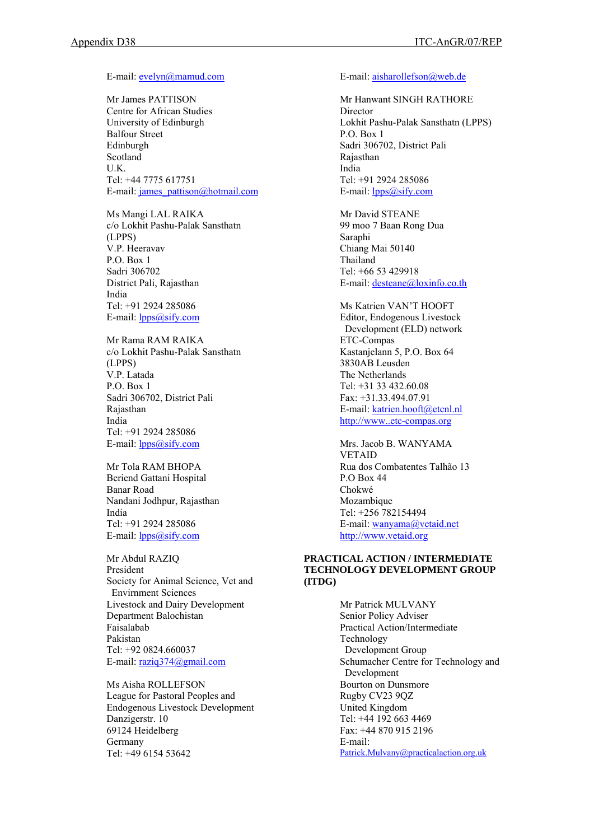E-mail: [evelyn@mamud.com](mailto:evelyn@mamud.com)

Mr James PATTISON Centre for African Studies University of Edinburgh Balfour Street Edinburgh Scotland U.K. Tel: +44 7775 617751 E-mail: [james\\_pattison@hotmail.com](mailto:james_pattison@hotmail.com)

Ms Mangi LAL RAIKA c/o Lokhit Pashu-Palak Sansthatn (LPPS) V.P. Heeravav P.O. Box 1 Sadri 306702 District Pali, Rajasthan India Tel: +91 2924 285086 E-mail: **lpps**@sify.com

Mr Rama RAM RAIKA c/o Lokhit Pashu-Palak Sansthatn (LPPS) V.P. Latada P.O. Box 1 Sadri 306702, District Pali Rajasthan India Tel: +91 2924 285086 E-mail: [lpps@sify.com](mailto:lpps@sify.com) 

Mr Tola RAM BHOPA Beriend Gattani Hospital Banar Road Nandani Jodhpur, Rajasthan India Tel: +91 2924 285086 E-mail: **lpps**@sify.com

Mr Abdul RAZIQ President Society for Animal Science, Vet and Envirnment Sciences Livestock and Dairy Development Department Balochistan Faisalabab Pakistan Tel: +92 0824.660037 E-mail: [raziq374@gmail.com](mailto:raziq374@gmail.com)

Ms Aisha ROLLEFSON League for Pastoral Peoples and Endogenous Livestock Development Danzigerstr. 10 69124 Heidelberg Germany Tel: +49 6154 53642

#### E-mail: [aisharollefson@web.de](mailto:aisharollefson@web.de)

Mr Hanwant SINGH RATHORE Director Lokhit Pashu-Palak Sansthatn (LPPS) P.O. Box 1 Sadri 306702, District Pali Rajasthan India Tel: +91 2924 285086 E-mail: **lpps**@sify.com

Mr David STEANE 99 moo 7 Baan Rong Dua Saraphi Chiang Mai 50140 Thailand Tel: +66 53 429918 E-mail: [desteane@loxinfo.co.th](mailto:desteane@loxinfo.co.in)

Ms Katrien VAN'T HOOFT Editor, Endogenous Livestock Development (ELD) network ETC-Compas Kastanjelann 5, P.O. Box 64 3830AB Leusden The Netherlands Tel: +31 33 432.60.08 Fax: +31.33.494.07.91 E-mail: [katrien.hooft@etcnl.nl](mailto:katrien.hooft@etcnl.nl)  [http://www..etc-compas.org](http://www..etc-compas.org/)

Mrs. Jacob B. WANYAMA VETAID Rua dos Combatentes Talhão 13 P.O Box 44 Chokwé Mozambique Tel: +256 782154494 E-mail: [wanyama@vetaid.net](mailto:wanyama@vetaid.net) [http://www.vetaid.org](http://www.vetaid.org/)

### **PRACTICAL ACTION / INTERMEDIATE TECHNOLOGY DEVELOPMENT GROUP (ITDG)**

Mr Patrick MULVANY Senior Policy Adviser Practical Action/Intermediate Technology Development Group Schumacher Centre for Technology and Development Bourton on Dunsmore Rugby CV23 9QZ United Kingdom Tel: +44 192 663 4469 Fax: +44 870 915 2196 E-mail: [Patrick.Mulvany@practicalaction.org.uk](mailto:Patrick.Mulvany@practicalaction.org.uk)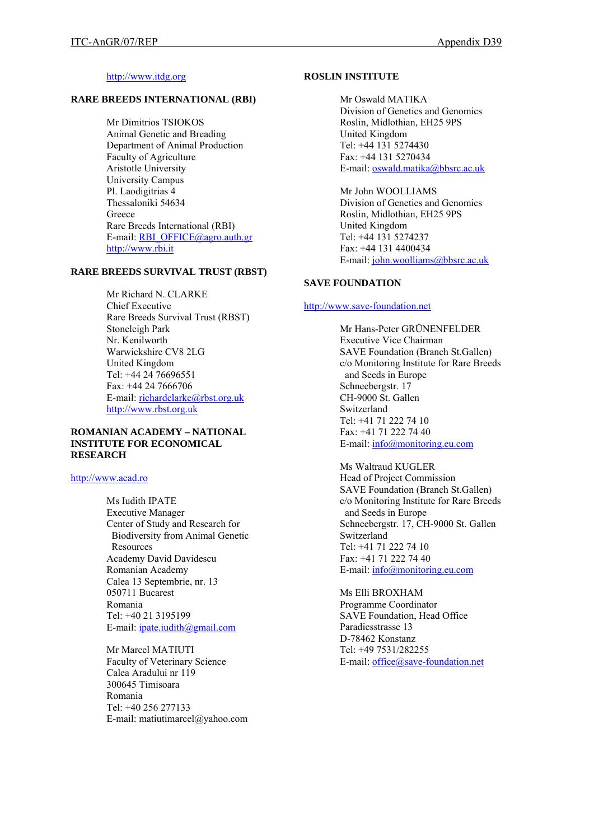### [http://www.itdg.org](http://www.itdg.org/)

## **RARE BREEDS INTERNATIONAL (RBI)**

Mr Dimitrios TSIOKOS Animal Genetic and Breading Department of Animal Production Faculty of Agriculture Aristotle University University Campus Pl. Laodigitrias 4 Thessaloniki 54634 **Greece** Rare Breeds International (RBI) E-mail: [RBI\\_OFFICE@agro.auth.gr](mailto:RBI_OFFICE@agro.auth.gr) [http://www.rbi.it](http://www.rbi.it/)

#### **RARE BREEDS SURVIVAL TRUST (RBST)**

Mr Richard N. CLARKE Chief Executive Rare Breeds Survival Trust (RBST) Stoneleigh Park Nr. Kenilworth Warwickshire CV8 2LG United Kingdom Tel: +44 24 76696551 Fax: +44 24 7666706 E-mail: [richardclarke@rbst.org.uk](mailto:richardclarke@rbst.org.uk)  [http://www.rbst.org.uk](http://www.rbst.org.uk/)

#### **ROMANIAN ACADEMY – NATIONAL INSTITUTE FOR ECONOMICAL RESEARCH**

#### [http://www.acad.ro](http://www.acad.ro/)

Ms Iudith IPATE Executive Manager Center of Study and Research for Biodiversity from Animal Genetic **Resources** Academy David Davidescu Romanian Academy Calea 13 Septembrie, nr. 13 050711 Bucarest Romania Tel: +40 21 3195199 E-mail: [ipate.iudith@gmail.com](mailto:ipate.iudith@gmail.com)

Mr Marcel MATIUTI Faculty of Veterinary Science Calea Aradului nr 119 300645 Timisoara Romania Tel: +40 256 277133 E-mail: matiutimarcel@yahoo.com

#### **ROSLIN INSTITUTE**

Mr Oswald MATIKA Division of Genetics and Genomics Roslin, Midlothian, EH25 9PS United Kingdom Tel: +44 131 5274430 Fax: +44 131 5270434 E-mail: [oswald.matika@bbsrc.ac.uk](mailto:oswald.matika@bbsrc.ac.uk)

Mr John WOOLLIAMS Division of Genetics and Genomics Roslin, Midlothian, EH25 9PS United Kingdom Tel: +44 131 5274237 Fax: +44 131 4400434 E-mail: [john.woolliams@bbsrc.ac.uk](mailto:john.woolliams@bbsrc.ac.uk)

### **SAVE FOUNDATION**

#### [http://www.save-foundation.net](http://www.save-foundation.net/)

Mr Hans-Peter GRÜNENFELDER Executive Vice Chairman SAVE Foundation (Branch St.Gallen) c/o Monitoring Institute for Rare Breeds and Seeds in Europe Schneebergstr. 17 CH-9000 St. Gallen Switzerland Tel: +41 71 222 74 10 Fax: +41 71 222 74 40 E-mail: [info@monitoring.eu.com](mailto:info@monitoring.eu.com)

Ms Waltraud KUGLER Head of Project Commission SAVE Foundation (Branch St.Gallen) c/o Monitoring Institute for Rare Breeds and Seeds in Europe Schneebergstr. 17, CH-9000 St. Gallen Switzerland Tel: +41 71 222 74 10 Fax: +41 71 222 74 40 E-mail: [info@monitoring.eu.com](mailto:info@monitoring.eu.com)

Ms Elli BROXHAM Programme Coordinator SAVE Foundation, Head Office Paradiesstrasse 13 D-78462 Konstanz Tel: +49 7531/282255 E-mail: [office@save-foundation.net](mailto:info@monitoring.eu.com)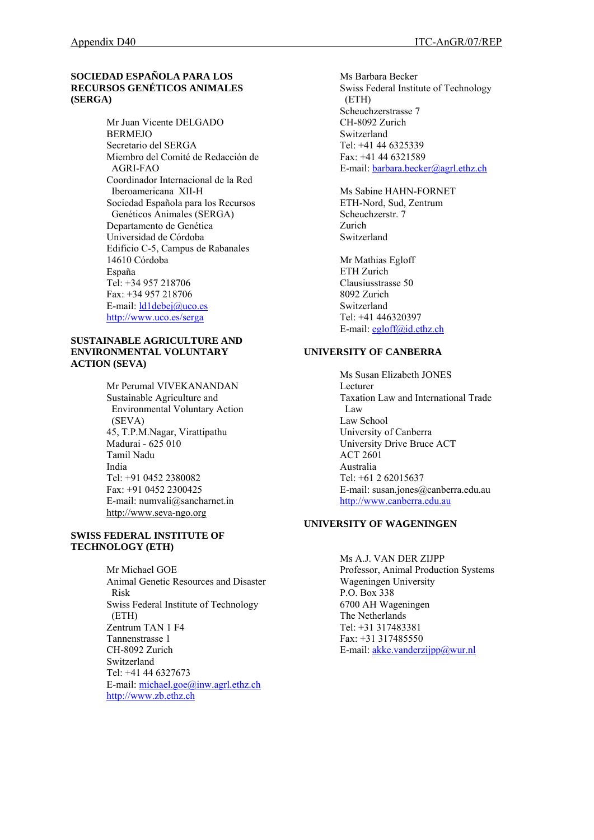# **SOCIEDAD ESPAÑOLA PARA LOS RECURSOS GENÉTICOS ANIMALES (SERGA)**

Mr Juan Vicente DELGADO BERMEJO Secretario del SERGA Miembro del Comité de Redacción de AGRI-FAO Coordinador Internacional de la Red Iberoamericana XII-H Sociedad Española para los Recursos Genéticos Animales (SERGA) Departamento de Genética Universidad de Córdoba Edificio C-5, Campus de Rabanales 14610 Córdoba España Tel: +34 957 218706 Fax: +34 957 218706 E-mail: [ld1debej@uco.es](mailto:ld1debej@uco.es) <http://www.uco.es/serga>

#### **SUSTAINABLE AGRICULTURE AND ENVIRONMENTAL VOLUNTARY ACTION (SEVA)**

Mr Perumal VIVEKANANDAN Sustainable Agriculture and Environmental Voluntary Action(SEVA) 45, T.P.M.Nagar, Virattipathu Madurai - 625 010 Tamil Nadu India Tel: +91 0452 2380082 Fax: +91 0452 2300425 E-mail: numvali@sancharnet.in http://[www.seva-ngo.org](http://www.seva-ngo.org/)

## **SWISS FEDERAL INSTITUTE OF TECHNOLOGY (ETH)**

Mr Michael GOE Animal Genetic Resources and Disaster Risk Swiss Federal Institute of Technology (ETH) Zentrum TAN 1 F4 Tannenstrasse 1 CH-8092 Zurich Switzerland Tel: +41 44 6327673 E-mail: [michael.goe@inw.agrl.ethz.ch](mailto:michael.goe@inw.agrl.ethz.ch) [http://www.zb.ethz.ch](http://www.zb.ethz.ch/) 

Ms Barbara Becker Swiss Federal Institute of Technology (ETH) Scheuchzerstrasse 7 CH-8092 Zurich Switzerland Tel: +41 44 6325339 Fax: +41 44 6321589 E-mail: [barbara.becker@agrl.ethz.ch](mailto:barbara.becker@agrl.ethz.ch)

Ms Sabine HAHN-FORNET ETH-Nord, Sud, Zentrum Scheuchzerstr. 7 Zurich Switzerland

Mr Mathias Egloff ETH Zurich Clausiusstrasse 50 8092 Zurich Switzerland Tel: +41 446320397 E-mail: [egloff@id.ethz.ch](mailto:egloff@id.ethz.ch)

## **UNIVERSITY OF CANBERRA**

Ms Susan Elizabeth JONES Lecturer Taxation Law and International Trade Law Law School University of Canberra University Drive Bruce ACT ACT 2601 Australia Tel: +61 2 62015637 E-mail: susan.jones@canberra.edu.au [http://www.canberra.edu.au](http://www.canberra.edu.au/)

### **UNIVERSITY OF WAGENINGEN**

Ms A.J. VAN DER ZIJPP Professor, Animal Production Systems Wageningen University P.O. Box 338 6700 AH Wageningen The Netherlands Tel: +31 317483381 Fax: +31 317485550 E-mail:  $akke.vanderzijpp@wur.nl$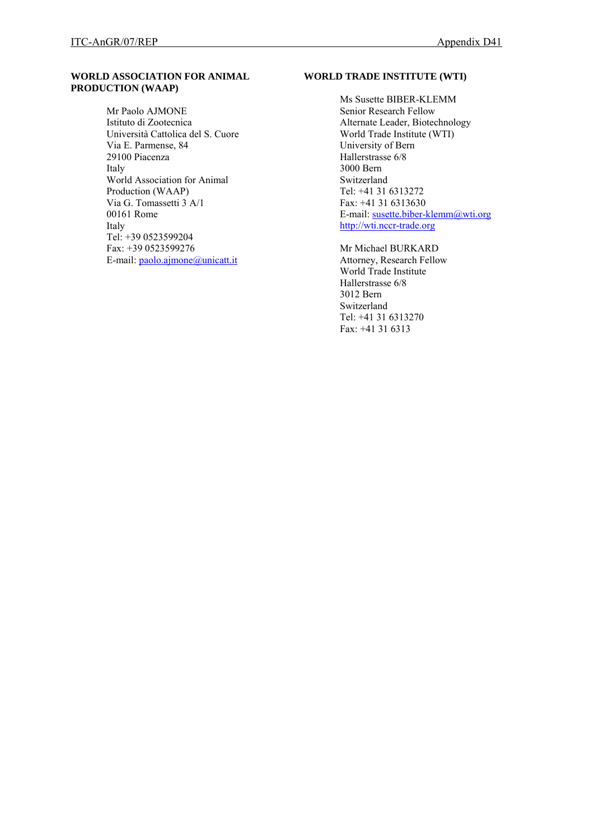### **WORLD ASSOCIATION FOR ANIMAL PRODUCTION (WAAP)**

Mr Paolo AJMONE Istituto di Zootecnica Università Cattolica del S. Cuore Via E. Parmense, 84 29100 Piacenza Italy World Association for Animal Production (WAAP) Via G. Tomassetti 3 A/1 00161 Rome Italy Tel: +39 0523599204 Fax: +39 0523599276 E-mail: [paolo.ajmone@unicatt.it](mailto:paolo.ajmone@unicatt.it)

# **WORLD TRADE INSTITUTE (WTI)**

Ms Susette BIBER-KLEMM Senior Research Fellow Alternate Leader, Biotechnology World Trade Institute (WTI) University of Bern Hallerstrasse 6/8 3000 Bern Switzerland Tel: +41 31 6313272 Fax: +41 31 6313630 E-mail: [susette.biber-klemm@wti.org](mailto:susette.biber-klemm@wti.org) [http://wti.nccr-trade.org](http://wti.nccr-trade.org/)

Mr Michael BURKARD Attorney, Research Fellow World Trade Institute Hallerstrasse 6/8 3012 Bern Switzerland Tel: +41 31 6313270 Fax: +41 31 6313